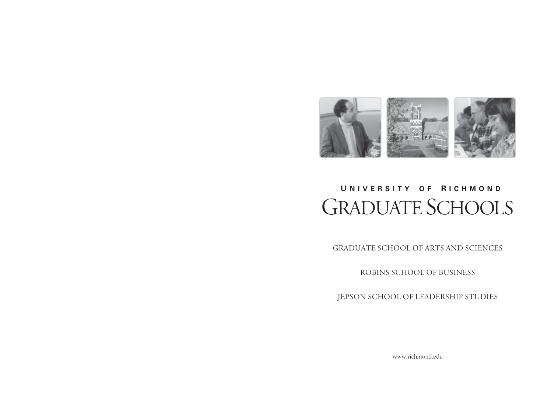

# **U NIVERSITY O F R ICHMOND** GRADUATE SCHOOLS

GRADUATE SCHOOL OF ARTS AND SCIENCES

ROBINS SCHOOL OF BUSINESS

JEPSON SCHOOL OF LEADERSHIP STUDIES

www.richmond.edu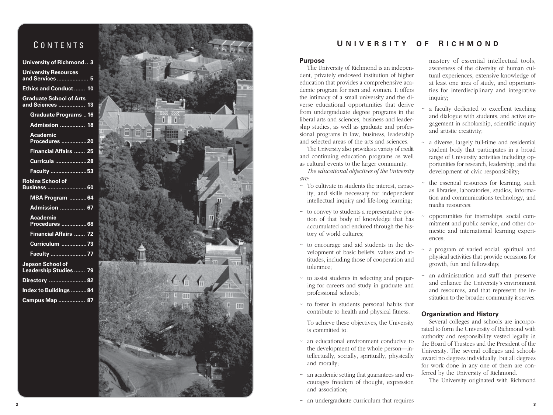# **CONTENTS**

| <b>University of Richmond 3</b>                    |
|----------------------------------------------------|
| <b>University Resources</b><br>and Services  5     |
| <b>Ethics and Conduct  10</b>                      |
| <b>Graduate School of Arts</b><br>and Sciences  13 |
| <b>Graduate Programs16</b>                         |
| <b>Admission  18</b>                               |
| <b>Academic</b><br><b>Procedures  20</b>           |
| <b>Financial Affairs  25</b>                       |
| Curricula 28                                       |
| Faculty 53                                         |
| <b>Robins School of</b><br>Business  60            |
| MBA Program  64                                    |
| <b>Admission  67</b>                               |
| Academic<br>Procedures  68                         |
| Financial Affairs  72                              |
| Curriculum 73                                      |
| Faculty <u></u> 77                                 |
| Jepson School of<br>Leadership Studies  79         |
| Directory 82                                       |
| Index to Buildings 84                              |
| Campus Map  87                                     |



# **U NIVERSITY O F R ICHMOND**

# **Purpose**

The University of Richmond is an independent, privately endowed institution of higher education that provides a comprehensive academic program for men and women. It offers the intimacy of a small university and the diverse educational opportunities that derive from undergraduate degree programs in the liberal arts and sciences, business and leadership studies, as well as graduate and professional programs in law, business, leadership and selected areas of the arts and sciences.

The University also provides a variety of credit and continuing education programs as well as cultural events to the larger community.

*The educational objectives of the University are:*

- ~ To cultivate in students the interest, capacity, and skills necessary for independent intellectual inquiry and life-long learning;
- ~ to convey to students a representative portion of that body of knowledge that has accumulated and endured through the history of world cultures;
- ~ to encourage and aid students in the development of basic beliefs, values and attitudes, including those of cooperation and tolerance;
- ~ to assist students in selecting and preparing for careers and study in graduate and professional schools;
- ~ to foster in students personal habits that contribute to health and physical fitness.

To achieve these objectives, the University is committed to:

- ~ an educational environment conducive to the development of the whole person—intellectually, socially, spiritually, physically and morally;
- ~ an academic setting that guarantees and encourages freedom of thought, expression and association;
- $\sim$  an undergraduate curriculum that requires

mastery of essential intellectual tools, awareness of the diversity of human cultural experiences, extensive knowledge of at least one area of study, and opportunities for interdisciplinary and integrative inquiry;

- a faculty dedicated to excellent teaching and dialogue with students, and active engagement in scholarship, scientific inquiry and artistic creativity;
- ~ a diverse, largely full-time and residential student body that participates in a broad range of University activities including opportunities for research, leadership, and the development of civic responsibility;
- the essential resources for learning, such as libraries, laboratories, studios, information and communications technology, and media resources;
- ~ opportunities for internships, social commitment and public service, and other domestic and international learning experiences;
- a program of varied social, spiritual and physical activities that provide occasions for growth, fun and fellowship;
- an administration and staff that preserve and enhance the University's environment and resources, and that represent the institution to the broader community it serves.

# **Organization and History**

Several colleges and schools are incorporated to form the University of Richmond with authority and responsibility vested legally in the Board of Trustees and the President of the University. The several colleges and schools award no degrees individually, but all degrees for work done in any one of them are conferred by the University of Richmond.

The University originated with Richmond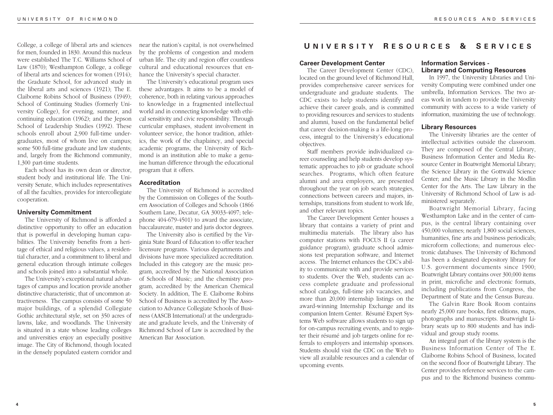College, a college of liberal arts and sciences for men, founded in 1830. Around this nucleus were established The T.C. Williams School of Law (1870); Westhampton College, a college of liberal arts and sciences for women (1914); the Graduate School, for advanced study in the liberal arts and sciences (1921); The E. Claiborne Robins School of Business (1949); School of Continuing Studies (formerly University College), for evening, summer, and continuing education (1962); and the Jepson School of Leadership Studies (1992). These schools enroll about 2,900 full-time undergraduates, most of whom live on campus; some 500 full-time graduate and law students; and, largely from the Richmond community, 1,300 part-time students.

Each school has its own dean or director, student body and institutional life. The University Senate, which includes representatives of all the faculties, provides for intercollegiate cooperation.

# **University Commitment**

The University of Richmond is afforded a distinctive opportunity to offer an education that is powerful in developing human capabilities. The University benefits from a heritage of ethical and religious values, a residential character, and a commitment to liberal and general education through intimate colleges and schools joined into a substantial whole.

The University's exceptional natural advantages of campus and location provide another distinctive characteristic, that of uncommon attractiveness. The campus consists of some 50 major buildings, of a splendid Collegiate Gothic architectural style, set on 350 acres of lawns, lake, and woodlands. The University is situated in a state whose leading colleges and universities enjoy an especially positive image. The City of Richmond, though located in the densely populated eastern corridor and

near the nation's capital, is not overwhelmed by the problems of congestion and modern urban life. The city and region offer countless cultural and educational resources that enhance the University's special character.

The University's educational program uses these advantages. It aims to be a model of coherence, both in relating various approaches to knowledge in a fragmented intellectual world and in connecting knowledge with ethical sensitivity and civic responsibility. Through curricular emphases, student involvement in volunteer service, the honor tradition, athletics, the work of the chaplaincy, and special academic programs, the University of Richmond is an institution able to make a genuine human difference through the educational program that it offers.

# **Accreditation**

The University of Richmond is accredited by the Commission on Colleges of the Southern Association of Colleges and Schools (1866 Southern Lane, Decatur, GA 30033-4097; telephone 404-679-4501) to award the associate, baccalaureate, master and juris doctor degrees.

The University also is certified by the Virginia State Board of Education to offer teacher licensure programs. Various departments and divisions have more specialized accreditation. Included in this category are the music program, accredited by the National Association of Schools of Music; and the chemistry program, accredited by the American Chemical Society. In addition, The E. Claiborne Robins School of Business is accredited by The Association to Advance Collegiate Schools of Business (AASCB International) at the undergraduate and graduate levels, and the University of Richmond School of Law is accredited by the American Bar Association.

# **U NIVERSITY R ESOURCES & S ERVICES**

#### **Career Development Center**

The Career Development Center (CDC), located on the ground level of Richmond Hall, provides comprehensive career services for undergraduate and graduate students. The CDC exists to help students identify and achieve their career goals, and is committed to providing resources and services to students and alumni, based on the fundamental belief that career decision-making is a life-long process, integral to the University's educational objectives.

Staff members provide individualized career counseling and help students develop systematic approaches to job or graduate school searches. Programs, which often feature alumni and area employers, are presented throughout the year on job search strategies, connections between careers and majors, internships, transitions from student to work life, and other relevant topics.

The Career Development Center houses a library that contains a variety of print and multimedia materials. The library also has computer stations with FOCUS II (a career guidance program), graduate school admissions test preparation software, and Internet access. The Internet enhances the CDC's ability to communicate with and provide services to students. Over the Web, students can access complete graduate and professional school catalogs, full-time job vacancies, and more than 20,000 internship listings on the award-winning Internship Exchange and its companion Intern Center. Résumé Expert Systems Web software allows students to sign up for on-campus recruiting events, and to register their résumé and job targets online for referrals to employers and internship sponsors. Students should visit the CDC on the Web to view all available resources and a calendar of upcoming events.

# **Information Services - Library and Computing Resources**

In 1997, the University Libraries and University Computing were combined under one umbrella, Information Services. The two areas work in tandem to provide the University community with access to a wide variety of information, maximizing the use of technology.

# **Library Resources**

The University libraries are the center of intellectual activities outside the classroom. They are composed of the Central Library, Business Information Center and Media Resource Center in Boatwright Memorial Library; the Science Library in the Gottwald Science Center; and the Music Library in the Modlin Center for the Arts. The Law Library in the University of Richmond School of Law is administered separately.

Boatwright Memorial Library, facing Westhampton Lake and in the center of campus, is the central library containing over 450,000 volumes; nearly 1,800 social sciences, humanities, fine arts and business periodicals; microform collections; and numerous electronic databases. The University of Richmond has been a designated depository library for U.S. government documents since 1900; Boatwright Library contains over 300,000 items in print, microfiche and electronic formats, including publications from Congress, the Department of State and the Census Bureau.

The Galvin Rare Book Room contains nearly 25,000 rare books, first editions, maps, photographs and manuscripts. Boatwright Library seats up to 800 students and has individual and group study rooms.

An integral part of the library system is the Business Information Center of The E. Claiborne Robins School of Business, located on the second floor of Boatwright Library. The Center provides reference services to the campus and to the Richmond business commu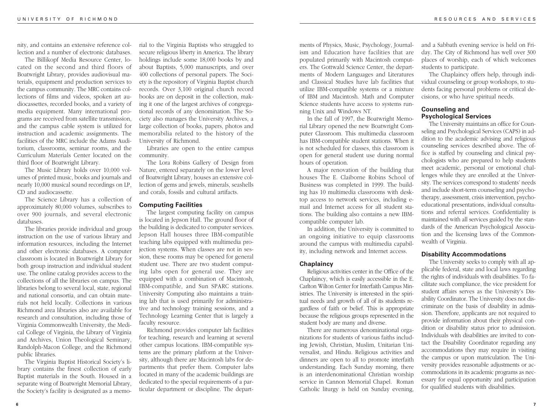nity, and contains an extensive reference collection and a number of electronic databases.

The Billikopf Media Resource Center, located on the second and third floors of Boatwright Library, provides audiovisual materials, equipment and production services to the campus community. The MRC contains collections of films and videos, spoken art audiocassettes, recorded books, and a variety of media equipment. Many international programs are received from satellite transmission, and the campus cable system is utilized for instruction and academic assignments. The facilities of the MRC include the Adams Auditorium, classrooms, seminar rooms, and the Curriculum Materials Center located on the third floor of Boatwright Library.

The Music Library holds over 10,000 volumes of printed music, books and journals and nearly 10,000 musical sound recordings on LP, CD and audiocassette.

The Science Library has a collection of approximately 80,000 volumes, subscribes to over 900 journals, and several electronic databases.

The libraries provide individual and group instruction on the use of various library and information resources, including the Internet and other electronic databases. A computer classroom is located in Boatwright Library for both group instruction and individual student use. The online catalog provides access to the collections of all the libraries on campus. The libraries belong to several local, state, regional and national consortia, and can obtain materials not held locally. Collections in various Richmond area libraries also are available for research and consultation, including those of Virginia Commonwealth University, the Medical College of Virginia, the Library of Virginia and Archives, Union Theological Seminary, Randolph-Macon College, and the Richmond public libraries.

The Virginia Baptist Historical Society's library contains the finest collection of early Baptist materials in the South. Housed in a separate wing of Boatwright Memorial Library, the Society's facility is designated as a memorial to the Virginia Baptists who struggled to secure religious liberty in America. The library holdings include some 18,000 books by and about Baptists, 5,000 manuscripts, and over 400 collections of personal papers. The Society is the repository of Virginia Baptist church records. Over 3,100 original church record books are on deposit in the collection, making it one of the largest archives of congregational records of any denomination. The Society also manages the University Archives, a large collection of books, papers, photos and memorabilia related to the history of the University of Richmond.

Libraries are open to the entire campus community.

The Lora Robins Gallery of Design from Nature, entered separately on the lower level of Boatwright Library, houses an extensive collection of gems and jewels, minerals, seashells and corals, fossils and cultural artifacts.

# **Computing Facilities**

The largest computing facility on campus is located in Jepson Hall. The ground floor of the building is dedicated to computer services. Jepson Hall houses three IBM-compatible teaching labs equipped with multimedia projection systems. When classes are not in session, these rooms may be opened for general student use. There are two student computing labs open for general use. They are equipped with a combination of Macintosh, IBM-compatible, and Sun SPARC stations. University Computing also maintains a training lab that is used primarily for administrative and technology training sessions, and a Technology Learning Center that is largely a faculty resource.

Richmond provides computer lab facilities for teaching, research and learning at several other campus locations. IBM-compatible systems are the primary platform at the University, although there are Macintosh labs for departments that prefer them. Computer labs located in many of the academic buildings are dedicated to the special requirements of a particular department or discipline. The depart-

ments of Physics, Music, Psychology, Journalism and Education have facilities that are populated primarily with Macintosh computers. The Gottwald Science Center, the departments of Modern Languages and Literatures and Classical Studies have lab facilities that utilize IBM-compatible systems or a mixture of IBM and Macintosh. Math and Computer Science students have access to systems running Unix and Windows NT.

In the fall of 1997, the Boatwright Memorial Library opened the new Boatwright Computer Classroom. This multimedia classroom has IBM-compatible student stations. When it is not scheduled for classes, this classroom is open for general student use during normal hours of operation.

A major renovation of the building that houses The E. Claiborne Robins School of Business was completed in 1999. The building has 10 multimedia classrooms with desktop access to network services, including email and Internet access for all student stations. The building also contains a new IBMcompatible computer lab.

In addition, the University is committed to an ongoing initiative to equip classrooms around the campus with multimedia capability, including network and Internet access.

#### **Chaplaincy**

Religious activities center in the Office of the Chaplaincy, which is easily accessible in the E. Carlton Wilton Center for Interfaith Campus Ministries. The University is interested in the spiritual needs and growth of all of its students regardless of faith or belief. This is appropriate because the religious groups represented in the student body are many and diverse.

There are numerous denominational organizations for students of various faiths including Jewish, Christian, Muslim, Unitarian Universalist, and Hindu. Religious activities and dinners are open to all to promote interfaith understanding. Each Sunday morning, there is an interdenominational Christian worship service in Cannon Memorial Chapel. Roman Catholic liturgy is held on Sunday evening,

and a Sabbath evening service is held on Friday. The City of Richmond has well over 300 places of worship, each of which welcomes students to participate.

The Chaplaincy offers help, through individual counseling or group workshops, to students facing personal problems or critical decisions, or who have spiritual needs.

# **Counseling and Psychological Services**

The University maintains an office for Counseling and Psychological Services (CAPS) in addition to the academic advising and religious counseling services described above. The office is staffed by counseling and clinical psychologists who are prepared to help students meet academic, personal or emotional challenges while they are enrolled at the University. The services correspond to students' needs and include short-term counseling and psychotherapy, assessment, crisis intervention, psychoeducational presentations, individual consultations and referral services. Confidentiality is maintained with all services guided by the standards of the American Psychological Association and the licensing laws of the Commonwealth of Virginia.

#### **Disability Accommodations**

The University seeks to comply with all applicable federal, state and local laws regarding the rights of individuals with disabilities. To facilitate such compliance, the vice president for student affairs serves as the University's Disability Coordinator. The University does not discriminate on the basis of disability in admission. Therefore, applicants are not required to provide information about their physical condition or disability status prior to admission. Individuals with disabilities are invited to contact the Disability Coordinator regarding any accommodations they may require in visiting the campus or upon matriculation. The University provides reasonable adjustments or accommodations in its academic programs as necessary for equal opportunity and participation for qualified students with disabilities.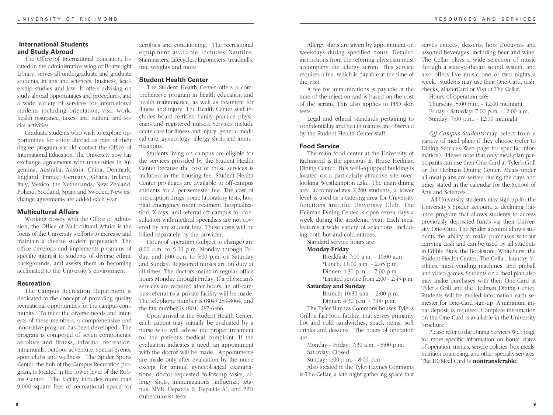# **International Students and Study Abroad**

The Office of International Education, located in the administrative wing of Boatwright Library, serves all undergraduate and graduate students, in arts and sciences, business, leadership studies and law. It offers advising on study abroad opportunities and procedures, and a wide variety of services for international students including orientation, visa, work, health insurance, taxes, and cultural and social activities.

Graduate students who wish to explore opportunities for study abroad as part of their degree program should contact the Office of International Education. The University now has exchange agreements with universities in Argentina, Australia, Austria, China, Denmark, England, France, Germany, Ghana, Ireland, Italy, Mexico, the Netherlands, New Zealand, Poland, Scotland, Spain and Sweden. New exchange agreements are added each year.

# **Multicultural Affairs**

Working closely with the Office of Admission, the Office of Multicultural Affairs is the focus of the University's efforts to increase and maintain a diverse student population. The office develops and implements programs of specific interest to students of diverse ethnic backgrounds, and assists them in becoming acclimated to the University's environment.

#### **Recreation**

The Campus Recreation Department is dedicated to the concept of providing quality recreational opportunities for the campus community. To meet the diverse needs and interests of these members, a comprehensive and innovative program has been developed. The program is composed of seven components: aerobics and fitness, informal recreation, intramurals, outdoor adventure, special events, sport clubs and wellness. The Spider Sports Center, the hub of the Campus Recreation program, is located in the lower level of the Robins Center. The facility includes more than 9,000 square feet of recreational space for aerobics and conditioning. The recreational equipment available includes Nautilus, Stairmasters, Lifecycles, Ergometers, treadmills, free weights and more.

# **Student Health Center**

The Student Health Center offers a comprehensive program in health education and health maintenance, as well as treatment for illness and injury. The Health Center staff includes board-certified family practice physicians and registered nurses. Services include acute care for illness and injury, general medical care, gynecology, allergy shots and immunizations.

Students living on campus are eligible for the services provided by the Student Health Center because the cost of these services is included in the housing fee. Student Health Center privileges are available to off-campus students for a per-semester fee. The cost of prescription drugs, some laboratory tests, hospital emergency room treatment, hospitalization, X-rays, and referral off campus for consultation with medical specialists are not covered by any student fees. These costs will be billed separately by the provider.

Hours of operation (subject to change) are 8:00 a.m. to 5:00 p.m. Monday through Friday, and 1:00 p.m. to 5:00 p.m. on Saturday and Sunday. Registered nurses are on duty at all times. The doctors maintain regular office hours Monday through Friday. If a physician's services are required after hours, an off-campus referral to a private facility will be made. The telephone number is (804) 289-8064, and the fax number is (804) 287-6466.

Upon arrival at the Student Health Center, each patient may initially be evaluated by a nurse who will advise the proper treatment for the patient's medical complaint. If the evaluation indicates a need, an appointment with the doctor will be made. Appointments are made only after evaluation by the nurse except for annual gynecological examinations, doctor-requested follow-up visits, allergy shots, immunizations (influenza, tetanus, MMR, Hepatitis B, Hepatitis A), and PPD (tuberculosis) tests.

Allergy shots are given by appointment on weekdays during specified hours. Detailed instructions from the referring physician must accompany the allergy serum. This service requires a fee, which is payable at the time of the visit.

A fee for immunizations is payable at the time of the injection and is based on the cost of the serum. This also applies to PPD skin tests.

Legal and ethical standards pertaining to confidentiality and health matters are observed by the Student Health Center staff.

# **Food Service**

The main food center at the University of Richmond is the spacious E. Bruce Heilman Dining Center. This well-equipped building is located on a particularly attractive site overlooking Westhampton Lake. The main dining area accommodates 2,200 students; a lower level is used as a catering area for University functions and the University Club. The Heilman Dining Center is open seven days a week during the academic year. Each meal features a wide variety of selections, including both hot and cold entrees.

Standard service hours are: **Monday-Friday**

> Breakfast: 7:00 a.m. - 10:00 a.m. \*Lunch: 11:00 a.m. - 2:45 p.m. Dinner: 4:30 p.m. - 7:00 p.m. \*Limited service from 2:00 - 2:45 p.m.

#### **Saturday and Sunday**

Brunch: 10:30 a.m. - 2:00 p.m. Dinner: 4:30 p.m. - 7:00 p.m.

The Tyler Haynes Commons houses Tyler's Grill, a fast food facility, that serves primarily hot and cold sandwiches, snack items, soft drinks and desserts. The hours of operation are:

Monday - Friday: 7:30 a.m. - 8:00 p.m. Saturday: Closed Sunday: 4:00 p.m. - 8:00 p.m

Also located in the Tyler Haynes Commons is The Cellar, a late night gathering space that serves entrees, desserts, hors d'oeuvres and assorted beverages, including beer and wine. The Cellar plays a wide selection of music through a state-of-the-art sound system, and also offers live music one or two nights a week. Students may use their One-Card, cash, checks, MasterCard or Visa at The Cellar.

Hours of operation are:

Thursday: 5:00 p.m. - 12:00 midnight Friday - Saturday: 7:00 p.m. - 2:00 a.m. Sunday: 7:00 p.m. - 12:00 midnight

*Off-Campus Students* may select from a variety of meal plans if they choose (refer to Dining Services Web page for specific information). Please note that only meal plan participants can use their One-Card at Tyler's Grill or the Heilman Dining Center. Meals under all meal plans are served during the days and times stated in the calendar for the School of Arts and Sciences.

All University students may sign up for the University's Spider account, a declining balance program that allows students to access previously deposited funds via their University One-Card. The Spider account allows students the ability to make purchases without carrying cash and can be used by all students in Edible Bites, the Bookstore, Whitehurst, the Student Health Center, The Cellar, laundry facilities, most vending machines, and pinball and video games. Students on a meal plan also may make purchases with their One-Card at Tyler's Grill and the Heilman Dining Center. Students will be mailed information each semester for One-Card sign-up. A minimum initial deposit is required. Complete information on the One-Card is available in the University brochure.

Please refer to the Dining Services Web page for more specific information on hours, dates of operation, menus, service policies, box meals, nutrition counseling, and other specialty services. The ID/Meal Card is **nontransferable**.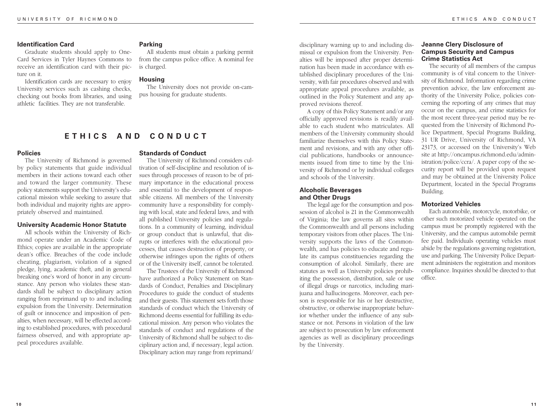# **Identification Card**

Graduate students should apply to One-Card Services in Tyler Haynes Commons to receive an identification card with their picture on it.

Identification cards are necessary to enjoy University services such as cashing checks, checking out books from libraries, and using athletic facilities. They are not transferable.

#### **Parking**

All students must obtain a parking permit from the campus police office. A nominal fee is charged.

# **Housing**

The University does not provide on-campus housing for graduate students.

# **ETHICS AND CONDUCT**

# **Policies**

The University of Richmond is governed by policy statements that guide individual members in their actions toward each other and toward the larger community. These policy statements support the University's educational mission while seeking to assure that both individual and majority rights are appropriately observed and maintained.

# **University Academic Honor Statute**

All schools within the University of Richmond operate under an Academic Code of Ethics; copies are available in the appropriate dean's office. Breaches of the code include cheating, plagiarism, violation of a signed pledge, lying, academic theft, and in general breaking one's word of honor in any circumstance. Any person who violates these standards shall be subject to disciplinary action ranging from reprimand up to and including expulsion from the University. Determination of guilt or innocence and imposition of penalties, when necessary, will be effected according to established procedures, with procedural fairness observed, and with appropriate appeal procedures available.

# **Standards of Conduct**

The University of Richmond considers cultivation of self-discipline and resolution of issues through processes of reason to be of primary importance in the educational process and essential to the development of responsible citizens. All members of the University community have a responsibility for complying with local, state and federal laws, and with all published University policies and regulations. In a community of learning, individual or group conduct that is unlawful, that disrupts or interferes with the educational processes, that causes destruction of property, or otherwise infringes upon the rights of others or of the University itself, cannot be tolerated.

The Trustees of the University of Richmond have authorized a Policy Statement on Standards of Conduct, Penalties and Disciplinary Procedures to guide the conduct of students and their guests. This statement sets forth those standards of conduct which the University of Richmond deems essential for fulfilling its educational mission. Any person who violates the standards of conduct and regulations of the University of Richmond shall be subject to disciplinary action and, if necessary, legal action. Disciplinary action may range from reprimand/

disciplinary warning up to and including dismissal or expulsion from the University. Penalties will be imposed after proper determination has been made in accordance with established disciplinary procedures of the University, with fair procedures observed and with appropriate appeal procedures available, as outlined in the Policy Statement and any approved revisions thereof.

A copy of this Policy Statement and/or any officially approved revisions is readily available to each student who matriculates. All members of the University community should familiarize themselves with this Policy Statement and revisions, and with any other official publications, handbooks or announcements issued from time to time by the University of Richmond or by individual colleges and schools of the University.

# **Alcoholic Beverages and Other Drugs**

The legal age for the consumption and possession of alcohol is 21 in the Commonwealth of Virginia; the law governs all sites within the Commonwealth and all persons including temporary visitors from other places. The University supports the laws of the Commonwealth, and has policies to educate and regulate its campus constituencies regarding the consumption of alcohol. Similarly, there are statutes as well as University policies prohibiting the possession, distribution, sale or use of illegal drugs or narcotics, including marijuana and hallucinogens. Moreover, each person is responsible for his or her destructive, obstructive, or otherwise inappropriate behavior whether under the influence of any substance or not. Persons in violation of the law are subject to prosecution by law enforcement agencies as well as disciplinary proceedings by the University.

# **Jeanne Clery Disclosure of Campus Security and Campus Crime Statistics Act**

The security of all members of the campus community is of vital concern to the University of Richmond. Information regarding crime prevention advice, the law enforcement authority of the University Police, policies concerning the reporting of any crimes that may occur on the campus, and crime statistics for the most recent three-year period may be requested from the University of Richmond Police Department, Special Programs Building, 31 UR Drive, University of Richmond, VA 23173, or accessed on the University's Web site at http://oncampus.richmond.edu/administration/police/ccra/. A paper copy of the security report will be provided upon request and may be obtained at the University Police Department, located in the Special Programs Building.

# **Motorized Vehicles**

Each automobile, motorcycle, motorbike, or other such motorized vehicle operated on the campus must be promptly registered with the University, and the campus automobile permit fee paid. Individuals operating vehicles must abide by the regulations governing registration, use and parking. The University Police Department administers the registration and monitors compliance. Inquiries should be directed to that office.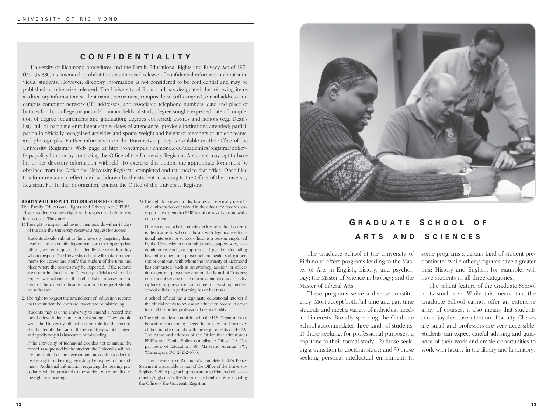# **CONFIDENTIALITY**

University of Richmond procedures and the Family Educational Rights and Privacy Act of 1974 (P.L. 93-380) as amended, prohibit the unauthorized release of confidential information about individual students. However, directory information is not considered to be confidential and may be published or otherwise released. The University of Richmond has designated the following items as directory information: student name; permanent, campus, local (off-campus), e-mail address and campus computer network (IP) addresses, and associated telephone numbers; date and place of birth; school or college; major and/or minor fields of study; degree sought; expected date of completion of degree requirements and graduation; degrees conferred; awards and honors (e.g. Dean's list); full or part time enrollment status; dates of attendance; previous institutions attended; participation in officially recognized activities and sports; weight and height of members of athletic teams; and photographs. Further information on the University's policy is available on the Office of the University Registrar's Web page at http://oncampus.richmond.edu/academics/registrar/policy/ ferpapolicy.html or by contacting the Office of the University Registrar. A student may opt to have his or her directory information withheld. To exercise this option, the appropriate form must be obtained from the Office the University Registrar, completed and returned to that office. Once filed this form remains in effect until withdrawn by the student in writing to the Office of the University Registrar. For further information, contact the Office of the University Registrar.

#### **RIGHTS WITH RESPECT TO EDUCATION RECORDS**

The Family Educational Rights and Privacy Act (FERPA) affords students certain rights with respect to their education records. They are:

- 1) The right to inspect and review their records within 45 days of the date the University receives a request for access.
- Students should submit to the University Registrar, dean, head of the academic department, or other appropriate official, written requests that identify the record(s) they wish to inspect. The University official will make arrangements for access and notify the student of the time and place where the records may be inspected. If the records are not maintained by the University official to whom the request was submitted, that official shall advise the student of the correct official to whom the request should be addressed.
- 2) The right to request the amendment of education records that the student believes are inaccurate or misleading.

Students may ask the University to amend a record that they believe is inaccurate or misleading. They should write the University official responsible for the record, clearly identify the part of the record they want changed, and specify why it is inaccurate or misleading.

If the University of Richmond decides not to amend the record as requested by the student, the University will notify the student of the decision and advise the student of his/her right to a hearing regarding the request for amendment. Additional information regarding the hearing procedures will be provided to the student when notified of the right to a hearing.

3) The right to consent to disclosures of personally identifiable information contained in the education records, except to the extent that FERPA authorizes disclosure without consent.

One exception which permits disclosure without consent is disclosure to school officials with legitimate educational interests. A school official is a person employed by the University in an administrative, supervisory, academic or research, or support staff position (including law enforcement unit personnel and health staff); a person or company with whom the University of Richmond has contracted (such as an attorney, auditor, or collection agent); a person serving on the Board of Trustees; or a student serving on an official committee, such as disciplinary or grievance committee, or assisting another school official in performing his or her tasks.

A school official has a legitimate educational interest if the official needs to review an education record in order to fulfill his or her professional responsibility.

4) The right to file a complaint with the U.S. Department of Education concerning alleged failures by the University of Richmond to comply with the requirements of FERPA. The name and address of the Office that administers FERPA are: Family Policy Compliance Office, U.S. Department of Education, 400 Maryland Avenue, SW, Washington, DC 20202-4605.

The University of Richmond's complete FERPA Policy Statement is available as part of the Office of the University Registrar's Web page at http:/oncampus.richmond.edu/academics/registrar/policy/ferpapolicy.html or by contacting the Office of the University Registrar.



# **G RADUATE S CHOOL O F A RTS AND S CIENCES**

The Graduate School at the University of Richmond offers programs leading to the Master of Arts in English, history, and psychology; the Master of Science in biology; and the Master of Liberal Arts.

These programs serve a diverse constituency. Most accept both full-time and part-time students and meet a variety of individual needs and interests. Broadly speaking, the Graduate School accommodates three kinds of students: 1) those seeking, for professional purposes, a capstone to their formal study; 2) those seeking a transition to doctoral study; and 3) those seeking personal intellectual enrichment. In

some programs a certain kind of student predominates while other programs have a greater mix: History and English, for example, will have students in all three categories.

The salient feature of the Graduate School is its small size. While this means that the Graduate School cannot offer an extensive array of courses, it also means that students can enjoy the close attention of faculty. Classes are small and professors are very accessible. Students can expect careful advising and guidance of their work and ample opportunities to work with faculty in the library and laboratory.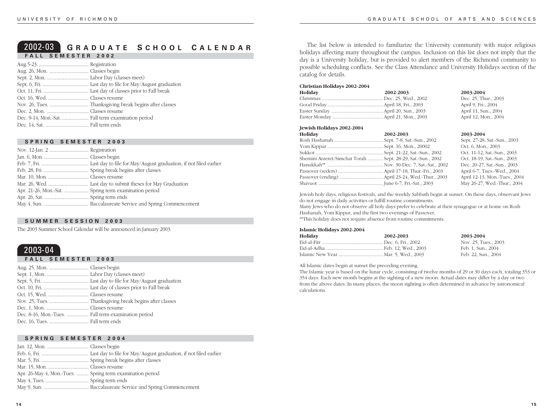# 2002-03 **G RADUATE S CHOOL C ALENDAR FALL SEMESTER 2002**

### **SPRING SEMESTER 2003**

| Apr. 21-26, Mon.-Sat.  Spring term examination period |  |
|-------------------------------------------------------|--|
|                                                       |  |
|                                                       |  |

#### **SUMMER SESSION 2003**

The 2003 Summer School Calendar will be announced in January 2003.

# 2003-04

|  |  |  |  |  |  | FALL SEMESTER 2003 |  |  |
|--|--|--|--|--|--|--------------------|--|--|
|  |  |  |  |  |  |                    |  |  |

# **SPRING SEMESTER 2004**

| Apr. 26-May 4, Mon.-Tues.  Spring term examination period |  |
|-----------------------------------------------------------|--|
|                                                           |  |
|                                                           |  |

The list below is intended to familiarize the University community with major religious holidays affecting many throughout the campus. Inclusion on this list does not imply that the day is a University holiday, but is provided to alert members of the Richmond community to possible scheduling conflicts. See the Class Attendance and University Holidays section of the catalog for details.

#### **Christian Holidays 2002-2004**

| Holiday | 2002-2003 |
|---------|-----------|
|         |           |
|         |           |
|         |           |
|         |           |

**Holiday 2002-2003 2003-2004** Dec. 25, Thur., 2003 April 9, Fri., 2004 April 11, Sun., 2004 April 12, Mon., 2004

#### **Jewish Holidays 2002-2004**

| Holiday                                                     | 2002-2003 | 2003-2004                     |
|-------------------------------------------------------------|-----------|-------------------------------|
|                                                             |           | Sept. 27-28, Sat.-Sun., 2003  |
|                                                             |           | Oct. 6, Mon., 2003            |
|                                                             |           | Oct. 11-12, Sat.-Sun., 2003   |
| Shemini Atzeret/Simchat Torah  Sept. 28-29, Sat.-Sun., 2002 |           | Oct. 18-19, Sat.-Sun., 2003   |
|                                                             |           | Dec. 20-27, Sat.-Sun., 2003   |
|                                                             |           | April 6-7, Tues.-Wed., 2004   |
|                                                             |           | April 12-13, Mon.-Tues., 2004 |
|                                                             |           | May 26-27, Wed.-Thur., 2004   |

Jewish holy days, religious festivals, and the weekly Sabbath begin at sunset. On these days, observant Jews do not engage in daily activities or fulfill routine commitments.

Many Jews who do not observe all holy days prefer to celebrate at their synagogue or at home on Rosh Hashanah, Yom Kippur, and the first two evenings of Passover.

\*\*This holiday does not require absence from routine commitments.

#### **Islamic Holidays 2002-2004**

| Holiday | 2002-2003 | 2003-2004            |
|---------|-----------|----------------------|
|         |           | Nov. 25, Tues., 2003 |
|         |           | Feb. 1. Sun., 2004   |
|         |           | Feb. 22, Sun., 2004  |

All Islamic dates begin at sunset the preceding evening.

The Islamic year is based on the lunar cycle, consisting of twelve months of 29 or 30 days each, totaling 353 or 354 days. Each new month begins at the sighting of a new moon. Actual dates may differ by a day or two from the above dates. In many places, the moon sighting is often determined in advance by astronomical calculations.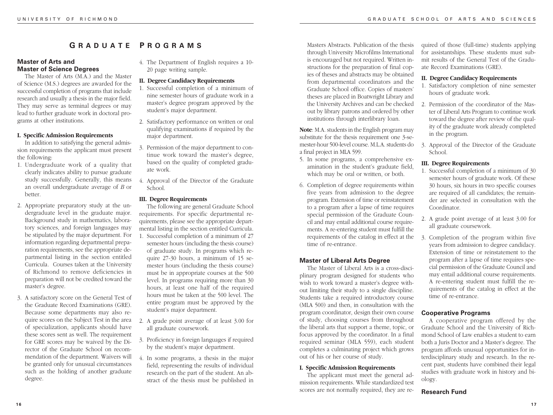# **G RADUATE P ROGRAMS**

# **Master of Arts and Master of Science Degrees**

The Master of Arts (M.A.) and the Master of Science (M.S.) degrees are awarded for the successful completion of programs that include research and usually a thesis in the major field. They may serve as terminal degrees or may lead to further graduate work in doctoral programs at other institutions.

# **I. Specific Admission Requirements**

In addition to satisfying the general admission requirements the applicant must present the following:

- 1. Undergraduate work of a quality that clearly indicates ability to pursue graduate study successfully. Generally, this means an overall undergraduate average of *B* or better.
- 2. Appropriate preparatory study at the undergraduate level in the graduate major. Background study in mathematics, laboratory sciences, and foreign languages may be stipulated by the major department. For information regarding departmental preparation requirements, see the appropriate departmental listing in the section entitled Curricula. Courses taken at the University of Richmond to remove deficiencies in preparation will not be credited toward the master's degree.
- 3. A satisfactory score on the General Test of the Graduate Record Examinations (GRE). Because some departments may also require scores on the Subject Test in the area of specialization, applicants should have these scores sent as well. The requirement for GRE scores may be waived by the Director of the Graduate School on recommendation of the department. Waivers will be granted only for unusual circumstances such as the holding of another graduate degree.
- 4. The Department of English requires a 10- 20 page writing sample.
- **II. Degree Candidacy Requirements**
- 1. Successful completion of a minimum of nine semester hours of graduate work in a master's degree program approved by the student's major department.
- 2. Satisfactory performance on written or oral qualifying examinations if required by the major department.
- 3. Permission of the major department to continue work toward the master's degree, based on the quality of completed graduate work.
- 4. Approval of the Director of the Graduate School.

# **III. Degree Requirements**

The following are general Graduate School requirements. For specific departmental requirements, please see the appropriate departmental listing in the section entitled Curricula.

- 1. Successful completion of a minimum of 27 semester hours (including the thesis course) of graduate study. In programs which require 27-30 hours, a minimum of 15 semester hours (including the thesis course) must be in appropriate courses at the 500 level. In programs requiring more than 30 hours, at least one half of the required hours must be taken at the 500 level. The entire program must be approved by the student's major department.
- 2. A grade point average of at least 3.00 for all graduate coursework.
- 3. Proficiency in foreign languages if required by the student's major department.
- 4. In some programs, a thesis in the major field, representing the results of individual research on the part of the student. An abstract of the thesis must be published in

Masters Abstracts. Publication of the thesis through University Microfilms International is encouraged but not required. Written instructions for the preparation of final copies of theses and abstracts may be obtained from departmental coordinators and the Graduate School office. Copies of masters' theses are placed in Boatwright Library and the University Archives and can be checked out by library patrons and ordered by other institutions through interlibrary loan.

**Note**: M.A. students in the English program may substitute for the thesis requirement one 3-semester-hour 500-level course. M.L.A. students do a final project in MLA 599.

- 5. In some programs, a comprehensive examination in the student's graduate field, which may be oral or written, or both.
- 6. Completion of degree requirements within five years from admission to the degree program. Extension of time or reinstatement to a program after a lapse of time requires special permission of the Graduate Council and may entail additional course requirements. A re-entering student must fulfill the requirements of the catalog in effect at the time of re-entrance.

# **Master of Liberal Arts Degree**

The Master of Liberal Arts is a cross-disciplinary program designed for students who wish to work toward a master's degree without limiting their study to a single discipline. Students take a required introductory course (MLA 500) and then, in consultation with the program coordinator, design their own course of study, choosing courses from throughout the liberal arts that support a theme, topic, or focus approved by the coordinator. In a final required seminar (MLA 559), each student completes a culminating project which grows out of his or her course of study.

# **I. Specific Admission Requirements**

The applicant must meet the general admission requirements. While standardized test scores are not normally required, they are required of those (full-time) students applying for assistantships. These students must submit results of the General Test of the Graduate Record Examinations (GRE).

# **II. Degree Candidacy Requirements**

- 1. Satisfactory completion of nine semester hours of graduate work.
- 2. Permission of the coordinator of the Master of Liberal Arts Program to continue work toward the degree after review of the quality of the graduate work already completed in the program.
- 3. Approval of the Director of the Graduate School.

# **III. Degree Requirements**

- 1. Successful completion of a minimum of 30 semester hours of graduate work. Of these 30 hours, six hours in two specific courses are required of all candidates; the remainder are selected in consultation with the Coordinator.
- 2. A grade point average of at least 3.00 for all graduate coursework.
- 3. Completion of the program within five years from admission to degree candidacy. Extension of time or reinstatement to the program after a lapse of time requires special permission of the Graduate Council and may entail additional course requirements. A re-entering student must fulfill the requirements of the catalog in effect at the time of re-entrance.

# **Cooperative Programs**

A cooperative program offered by the Graduate School and the University of Richmond School of Law enables a student to earn both a Juris Doctor and a Master's degree. The program affords unusual opportunities for interdisciplinary study and research. In the recent past, students have combined their legal studies with graduate work in history and biology.

# **Research Fund**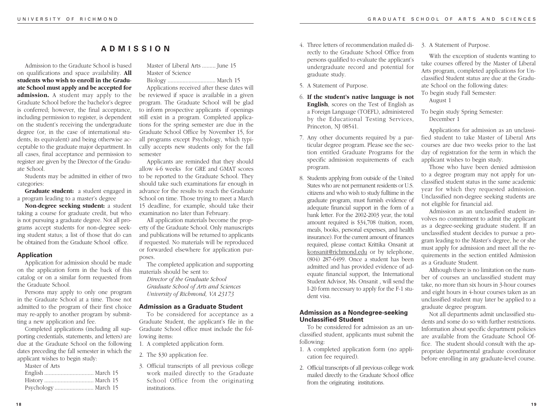# **ADMISSION**

Admission to the Graduate School is based on qualifications and space availability. **All students who wish to enroll in the Graduate School must apply and be accepted for admission.** A student may apply to the Graduate School before the bachelor's degree is conferred; however, the final acceptance, including permission to register, is dependent on the student's receiving the undergraduate degree (or, in the case of international students, its equivalent) and being otherwise acceptable to the graduate major department. In all cases, final acceptance and permission to register are given by the Director of the Graduate School.

Students may be admitted in either of two categories:

**Graduate student:** a student engaged in a program leading to a master's degree

**Non-degree seeking student:** a student taking a course for graduate credit, but who is not pursuing a graduate degree. Not all programs accept students for non-degree seeking student status; a list of those that do can be obtained from the Graduate School office.

# **Application**

Application for admission should be made on the application form in the back of this catalog or on a similar form requested from the Graduate School.

Persons may apply to only one program in the Graduate School at a time. Those not admitted to the program of their first choice may re-apply to another program by submitting a new application and fee.

Completed applications (including all supporting credentials, statements, and letters) are due at the Graduate School on the following dates preceding the fall semester in which the applicant wishes to begin study:

| Master of Arts |
|----------------|
|                |
|                |
|                |

Master of Liberal Arts ......... June 15 Master of Science

Biology ................................ March 15 Applications received after these dates will

be reviewed if space is available in a given program. The Graduate School will be glad to inform prospective applicants if openings still exist in a program. Completed applications for the spring semester are due in the Graduate School Office by November 15, for all programs except Psychology, which typically accepts new students only for the fall semester

Applicants are reminded that they should allow 4-6 weeks for GRE and GMAT scores to be reported to the Graduate School. They should take such examinations far enough in advance for the results to reach the Graduate School on time. Those trying to meet a March 15 deadline, for example, should take their examination no later than February.

All application materials become the property of the Graduate School. Only manuscripts and publications will be returned to applicants if requested. No materials will be reproduced or forwarded elsewhere for application purposes.

The completed application and supporting materials should be sent to:

*Director of the Graduate School Graduate School of Arts and Sciences University of Richmond, VA 23173*

# **Admission as a Graduate Student**

To be considered for acceptance as a Graduate Student, the applicant's file in the Graduate School office must include the following items:

1. A completed application form.

- 2. The \$30 application fee.
- 3. Official transcripts of all previous college work mailed directly to the Graduate School Office from the originating institutions.
- 4. Three letters of recommendation mailed directly to the Graduate School Office from persons qualified to evaluate the applicant's undergraduate record and potential for graduate study.
- 5. A Statement of Purpose.
- 6. **If the student's native language is not English**, scores on the Test of English as a Foreign Language (TOEFL), administered by the Educational Testing Services, Princeton, NJ 08541.
- 7. Any other documents required by a particular degree program. Please see the section entitled Graduate Programs for the specific admission requirements of each program.
- 8. Students applying from outside of the United States who are not permanent residents or U.S. citizens and who wish to study fulltime in the graduate program, must furnish evidence of adequate financial support in the form of a bank letter. For the 2002-2003 year, the total amount required is \$34,708 (tuition, room, meals, books, personal expenses, and health insurance). For the current amount of finances required, please contact Krittika Onsanit at konsanit@richmond.edu or by telephone, (804) 287-6499. Once a student has been admitted and has provided evidence of adequate financial support, the International Student Advisor, Ms. Onsanit , will send the I-20 form necessary to apply for the F-1 student visa.

# **Admission as a Nondegree-seeking Unclassified Student**

To be considered for admission as an unclassified student, applicants must submit the following:

- 1. A completed application form (no application fee required).
- 2. Official transcripts of all previous college work mailed directly to the Graduate School office from the originating institutions.

#### 3. A Statement of Purpose.

With the exception of students wanting to take courses offered by the Master of Liberal Arts program, completed applications for Unclassified Student status are due at the Graduate School on the following dates: To begin study Fall Semester:

August 1

To begin study Spring Semester: December 1

Applications for admission as an unclassified student to take Master of Liberal Arts courses are due two weeks prior to the last day of registration for the term in which the applicant wishes to begin study.

Those who have been denied admission to a degree program may not apply for unclassified student status in the same academic year for which they requested admission. Unclassified non-degree seeking students are not eligible for financial aid.

Admission as an unclassified student involves no commitment to admit the applicant as a degree-seeking graduate student. If an unclassified student decides to pursue a program leading to the Master's degree, he or she must apply for admission and meet all the requirements in the section entitled Admission as a Graduate Student.

Although there is no limitation on the number of courses an unclassified student may take, no more than six hours in 3-hour courses and eight hours in 4-hour courses taken as an unclassified student may later be applied to a graduate degree program.

Not all departments admit unclassified students and some do so with further restrictions. Information about specific department policies are available from the Graduate School Office. The student should consult with the appropriate departmental graduate coordinator before enrolling in any graduate-level course.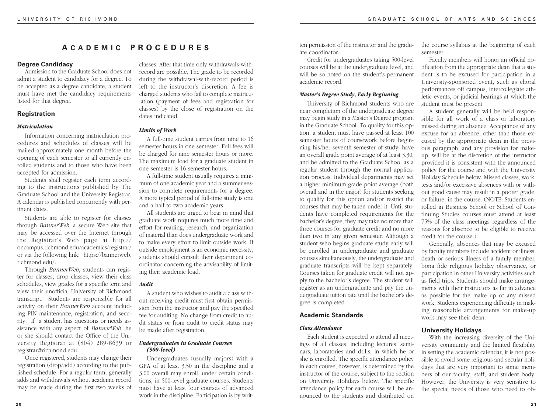# **A CADEMIC PROCEDURE S**

#### **Degree Candidacy**

Admission to the Graduate School does not admit a student to candidacy for a degree. To be accepted as a degree candidate, a student must have met the candidacy requirements listed for that degree.

# **Registration**

#### *Matriculation*

Information concerning matriculation procedures and schedules of classes will be mailed approximately one month before the opening of each semester to all currently enrolled students and to those who have been accepted for admission.

Students shall register each term according to the instructions published by The Graduate School and the University Registrar. A calendar is published concurrently with pertinent dates.

Students are able to register for classes through *BannerWeb,* a secure Web site that may be accessed over the Internet through the Registrar's Web page at http:// oncampus.richmond.edu/academics/registrar/ or via the following link: https://bannerweb. richmond.edu/.

Through *BannerWeb*, students can register for classes, drop classes, view their class schedules, view grades for a specific term and view their unofficial University of Richmond transcript. Students are responsible for all activity on their *BannerWeb* account including PIN maintenance, registration, and security. If a student has questions or needs assistance with any aspect of *BannerWeb*, he or she should contact the Office of the University Registrar at (804) 289-8639 or registrar@richmond.edu.

Once registered, students may change their registration (drop/add) according to the published schedule. For a regular term, generally adds and withdrawals without academic record may be made during the first two weeks of classes. After that time only withdrawals-withrecord are possible. The grade to be recorded during the withdrawal-with-record period is left to the instructor's discretion. A fee is charged students who fail to complete matriculation (payment of fees and registration for classes) by the close of registration on the dates indicated.

#### *Limits of Work*

A full-time student carries from nine to 16 semester hours in one semester. Full fees will be charged for nine semester hours or more. The maximum load for a graduate student in one semester is 16 semester hours.

A full-time student usually requires a minimum of one academic year and a summer session to complete requirements for a degree. A more typical period of full-time study is one and a half to two academic years.

All students are urged to bear in mind that graduate work requires much more time and effort for reading, research, and organization of material than does undergraduate work and to make every effort to limit outside work. If outside employment is an economic necessity, students should consult their department coordinator concerning the advisability of limiting their academic load.

# *Audit*

A student who wishes to audit a class without receiving credit must first obtain permission from the instructor and pay the specified fee for auditing. No change from credit to audit status or from audit to credit status may be made after registration.

# *Undergraduates in Graduate Courses (500-level)*

Undergraduates (usually majors) with a GPA of at least 3.50 in the discipline and a 3.00 overall may enroll, under certain conditions, in 500-level graduate courses. Students must have at least four courses of advanced work in the discipline. Participation is by written permission of the instructor and the graduate coordinator.

Credit for undergraduates taking 500-level courses will be at the undergraduate level, and will be so noted on the student's permanent academic record.

#### *Master's Degree Study, Early Beginning*

University of Richmond students who are near completion of the undergraduate degree may begin study in a Master's Degree program in the Graduate School. To qualify for this option, a student must have passed at least 100 semester hours of coursework before beginning his/her seventh semester of study; have an overall grade point average of at least 3.30; and be admitted to the Graduate School as a regular student through the normal application process. Individual departments may set a higher minimum grade point average (both overall and in the major) for students seeking to qualify for this option and/or restrict the courses that may be taken under it. Until students have completed requirements for the bachelor's degree, they may take no more than three courses for graduate credit and no more than two in any given semester. Although a student who begins graduate study early will be enrolled in undergraduate and graduate courses simultaneously, the undergraduate and graduate transcripts will be kept separately. Courses taken for graduate credit will not apply to the bachelor's degree. The student will register as an undergraduate and pay the undergraduate tuition rate until the bachelor's degree is completed.

# **Academic Standards**

#### *Class Attendance*

Each student is expected to attend all meetings of all classes, including lectures, seminars, laboratories and drills, in which he or she is enrolled. The specific attendance policy in each course, however, is determined by the instructor of the course, subject to the section on University Holidays below. The specific attendance policy for each course will be announced to the students and distributed on the course syllabus at the beginning of each semester.

Faculty members will honor an official notification from the appropriate dean that a student is to be excused for participation in a University-sponsored event, such as choral performances off campus, intercollegiate athletic events, or judicial hearings at which the student must be present.

A student generally will be held responsible for all work of a class or laboratory missed during an absence. Acceptance of any excuse for an absence, other than those excused by the appropriate dean in the previous paragraph, and any provision for makeup, will be at the discretion of the instructor provided it is consistent with the announced policy for the course and with the University Holiday Schedule below. Missed classes, work, tests and/or excessive absences with or without good cause may result in a poorer grade, or failure, in the course. (NOTE: Students enrolled in Business School or School of Continuing Studies courses must attend at least 75% of the class meetings regardless of the reasons for absence to be eligible to receive credit for the course.)

Generally, absences that may be excused by faculty members include accident or illness, death or serious illness of a family member, bona fide religious holiday observance, or participation in other University activities such as field trips. Students should make arrangements with their instructors as far in advance as possible for the make up of any missed work. Students experiencing difficulty in making reasonable arrangements for make-up work may see their dean.

# **University Holidays**

With the increasing diversity of the University community and the limited flexibility in setting the academic calendar, it is not possible to avoid some religious and secular holidays that are very important to some members of our faculty, staff, and student body. However, the University is very sensitive to the special needs of those who need to ob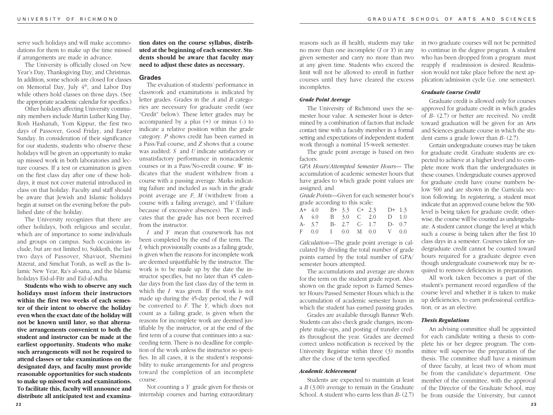serve such holidays and will make accommodations for them to make up the time missed if arrangements are made in advance.

The University is officially closed on New Year's Day, Thanksgiving Day, and Christmas. In addition, some schools are closed for classes on Memorial Day, July 4<sup>th</sup>, and Labor Day while others hold classes on those days. (See the appropriate academic calendar for specifics.)

Other holidays affecting University community members include Martin Luther King Day, Rosh Hashanah, Yom Kippur, the first two days of Passover, Good Friday, and Easter Sunday. In consideration of their significance for our students, students who observe these holidays will be given an opportunity to make up missed work in both laboratories and lecture courses. If a test or examination is given on the first class day after one of these holidays, it must not cover material introduced in class on that holiday. Faculty and staff should be aware that Jewish and Islamic holidays begin at sunset on the evening before the published date of the holiday.

The University recognizes that there are other holidays, both religious and secular, which are of importance to some individuals and groups on campus. Such occasions include, but are not limited to, Sukkoth, the last two days of Passover, Shavuot, Shemini Atzerat, and Simchat Torah, as well as the Islamic New Year, Ra's al-sana, and the Islamic holidays Eid-al-Fitr and Eid-al-Adha.

**Students who wish to observe any such holidays must inform their instructors within the first two weeks of each semester of their intent to observe the holiday even when the exact date of the holiday will not be known until later, so that alternative arrangements convenient to both the student and instructor can be made at the earliest opportunity. Students who make such arrangements will not be required to attend classes or take examinations on the designated days, and faculty must provide reasonable opportunities for such students to make up missed work and examinations. To facilitate this, faculty will announce and distribute all anticipated test and examina-** **tion dates on the course syllabus, distributed at the beginning of each semester. Students should be aware that faculty may need to adjust these dates as necessary.**

#### **Grades**

The evaluation of students' performance in classwork and examinations is indicated by letter grades. Grades in the *A* and *B* categories are necessary for graduate credit (see "Credit" below). These letter grades may be accompanied by a plus (+) or minus (-) to indicate a relative position within the grade category. *P* shows credit has been earned in a Pass/Fail course, and *Z* shows that a course was audited. *S* and *U* indicate satisfactory or unsatisfactory performance in nonacademic courses or in a Pass/No-credit course. *W* indicates that the student withdrew from a course with a passing average. Marks indicating failure and included as such in the grade point average are *F, M* (withdrew from a course with a failing average), and *V* (failure because of excessive absences). The *X* indicates that the grade has not been received from the instructor.

*I* and *Y* mean that coursework has not been completed by the end of the term. The *I,* which provisionally counts as a failing grade, is given when the reasons for incomplete work are deemed unjustifiable by the instructor. The work is to be made up by the date the instructor specifies, but no later than 45 calendar days from the last class day of the term in which the *I* was given. If the work is not made up during the 45-day period, the *I* will be converted to *F*. The *Y,* which does not count as a failing grade, is given when the reasons for incomplete work are deemed justifiable by the instructor, or at the end of the first term of a course that continues into a succeeding term. There is no deadline for completion of the work unless the instructor so specifies. In all cases, it is the student's responsibility to make arrangements for and progress toward the completion of an incomplete course.

Not counting a *Y* grade given for thesis or internship courses and barring extraordinary

reasons such as ill health, students may take no more than one incomplete (*I* or *Y*) in any given semester and carry no more than two at any given time. Students who exceed the limit will not be allowed to enroll in further courses until they have cleared the excess incompletes.

#### *Grade Point Average*

The University of Richmond uses the semester hour value. A semester hour is determined by a combination of factors that include contact time with a faculty member in a formal setting and expectations of independent student work through a nominal 15-week semester.

The grade point average is based on two factors:

*GPA Hours/Attempted Semester Hours*— The accumulation of academic semester hours that have grades to which grade point values are assigned; and

*Grade Points*—Given for each semester hour's grade according to this scale:

| A+ $4.0$ B+ $3.3$ C+ $2.3$ D+ $1.3$ |  |  |  |
|-------------------------------------|--|--|--|
| A 4.0 B 3.0 C 2.0 D 1.0             |  |  |  |
| A-3.7 B-2.7 C-1.7 D-0.7             |  |  |  |
| F 0.0 I 0.0 M 0.0 V 0.0             |  |  |  |

*Calculation*—The grade point average is calculated by dividing the total number of grade points earned by the total number of GPA/ semester hours attempted.

The accumulations and average are shown for the term on the student grade report. Also shown on the grade report is Earned Semester Hours/Passed Semester Hours which is the accumulation of academic semester hours in which the student has earned passing grades.

Grades are available through Banner Web. Students can also check grade changes, incomplete make-ups, and posting of transfer credits throughout the year. Grades are deemed correct unless notification is received by the University Registrar within three (3) months after the close of the term specified.

#### *Academic Achievement*

Students are expected to maintain at least a *B* (3.00) average to remain in the Graduate School. A student who earns less than *B-* (2.7) in two graduate courses will not be permitted to continue in the degree program. A student who has been dropped from a program must reapply if readmission is desired. Readmission would not take place before the next application/admission cycle (i.e. one semester).

#### *Graduate Course Credit*

Graduate credit is allowed only for courses approved for graduate credit in which grades of *B-* (2.7) or better are received. No credit toward graduation will be given for an Arts and Sciences graduate course in which the student earns a grade lower than *B-* (2.7).

Certain undergraduate courses may be taken for graduate credit. Graduate students are expected to achieve at a higher level and to complete more work than the undergraduates in these courses. Undergraduate courses approved for graduate credit have course numbers below 500 and are shown in the Curricula section following. In registering, a student must indicate that an approved course below the 500 level is being taken for graduate credit; otherwise, the course will be counted as undergraduate. A student cannot change the level at which such a course is being taken after the first 10 class days in a semester. Courses taken for undergraduate credit cannot be counted toward hours required for a graduate degree even though undergraduate coursework may be required to remove deficiencies in preparation.

All work taken becomes a part of the student's permanent record regardless of the course level and whether it is taken to make up deficiencies, to earn professional certification, or as an elective.

#### *Thesis Regulations*

An advising committee shall be appointed for each candidate writing a thesis to complete his or her degree program. The committee will supervise the preparation of the thesis. The committee shall have a minimum of three faculty, at least two of whom must be from the candidate's department. One member of the committee, with the approval of the Director of the Graduate School, may be from outside the University, but cannot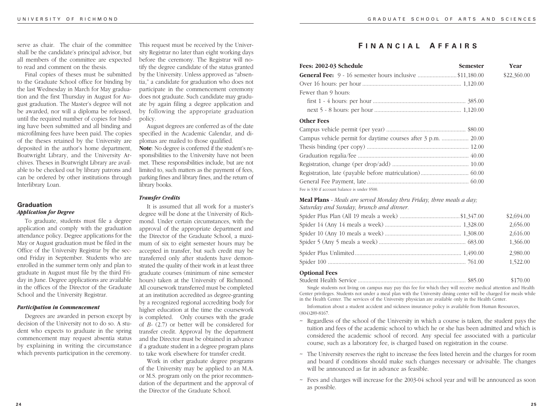shall be the candidate's principal advisor, but all members of the committee are expected to read and comment on the thesis.

Final copies of theses must be submitted to the Graduate School office for binding by the last Wednesday in March for May graduation and the first Thursday in August for August graduation. The Master's degree will not be awarded, nor will a diploma be released, until the required number of copies for binding have been submitted and all binding and microfilming fees have been paid. The copies of the theses retained by the University are deposited in the author's home department, Boatwright Library, and the University Archives. Theses in Boatwright Library are available to be checked out by library patrons and can be ordered by other institutions through Interlibrary Loan.

# **Graduation** *Application for Degree*

To graduate, students must file a degree application and comply with the graduation attendance policy. Degree applications for the May or August graduation must be filed in the Office of the University Registrar by the second Friday in September. Students who are enrolled in the summer term only and plan to graduate in August must file by the third Friday in June. Degree applications are available in the offices of the Director of the Graduate School and the University Registrar.

#### *Participation in Commencement*

Degrees are awarded in person except by decision of the University not to do so. A student who expects to graduate in the spring commencement may request absentia status by explaining in writing the circumstance which prevents participation in the ceremony.

serve as chair. The chair of the committee This request must be received by the Univer-<br> **FINANCIAL AFFAIRS** This request must be received by the University Registrar no later than eight working days before the ceremony. The Registrar will notify the degree candidate of the status granted by the University. Unless approved as "absentia," a candidate for graduation who does not participate in the commencement ceremony does not graduate. Such candidate may graduate by again filing a degree application and by following the appropriate graduation policy.

> August degrees are conferred as of the date specified in the Academic Calendar, and diplomas are mailed to those qualified. **Note**: No degree is conferred if the student's responsibilities to the University have not been met. These responsibilities include, but are not limited to, such matters as the payment of fees, parking fines and library fines, and the return of library books.

# *Transfer Credits*

It is assumed that all work for a master's degree will be done at the University of Richmond. Under certain circumstances, with the approval of the appropriate department and the Director of the Graduate School, a maximum of six to eight semester hours may be accepted in transfer, but such credit may be transferred only after students have demonstrated the quality of their work in at least three graduate courses (minimum of nine semester hours) taken at the University of Richmond. All coursework transferred must be completed at an institution accredited as degree-granting by a recognized regional accrediting body for higher education at the time the coursework is completed. Only courses with the grade of *B-* (2.7) or better will be considered for transfer credit. Approval by the department and the Director must be obtained in advance if a graduate student in a degree program plans to take work elsewhere for transfer credit.

Work in other graduate degree programs of the University may be applied to an M.A. or M.S. program only on the prior recommendation of the department and the approval of the Director of the Graduate School.

| Fees: 2002-03 Schedule                                                                                          | <b>Semester</b> | Year        |
|-----------------------------------------------------------------------------------------------------------------|-----------------|-------------|
| <b>General Fee:</b> 9 - 16 semester hours inclusive \$11,180.00                                                 |                 | \$22,360.00 |
|                                                                                                                 |                 |             |
| Fewer than 9 hours:                                                                                             |                 |             |
|                                                                                                                 |                 |             |
|                                                                                                                 |                 |             |
| <b>Other Fees</b>                                                                                               |                 |             |
|                                                                                                                 |                 |             |
| Campus vehicle permit for daytime courses after 3 p.m.  20.00                                                   |                 |             |
|                                                                                                                 |                 |             |
|                                                                                                                 |                 |             |
|                                                                                                                 |                 |             |
|                                                                                                                 |                 |             |
|                                                                                                                 |                 |             |
| Fee is \$30 if account balance is under \$500.                                                                  |                 |             |
| Meal Plans - Meals are served Monday thru Friday, three meals a day;<br>Saturday and Sunday, brunch and dinner. |                 |             |
|                                                                                                                 |                 | \$2,694.00  |
|                                                                                                                 |                 | 2,656.00    |
|                                                                                                                 |                 | 2,616.00    |
|                                                                                                                 |                 | 1,366.00    |
|                                                                                                                 |                 | 2.980.00    |

#### **Optional Fees**

|  | \$170.00 |
|--|----------|

Spider 100 ............................................................................................ 761.00 1,522.00

Single students not living on campus may pay this fee for which they will receive medical attention and Health Center privileges. Students not under a meal plan with the University dining center will be charged for meals while in the Health Center. The services of the University physician are available only in the Health Center.

Information about a student accident and sickness insurance policy is available from Human Resources, (804)289-8167.

- $\sim$  Regardless of the school of the University in which a course is taken, the student pays the tuition and fees of the academic school to which he or she has been admitted and which is considered the academic school of record. Any special fee associated with a particular course, such as a laboratory fee, is charged based on registration in the course.
- ~ The University reserves the right to increase the fees listed herein and the charges for room and board if conditions should make such changes necessary or advisable. The changes will be announced as far in advance as feasible.
- ~ Fees and charges will increase for the 2003-04 school year and will be announced as soon as possible.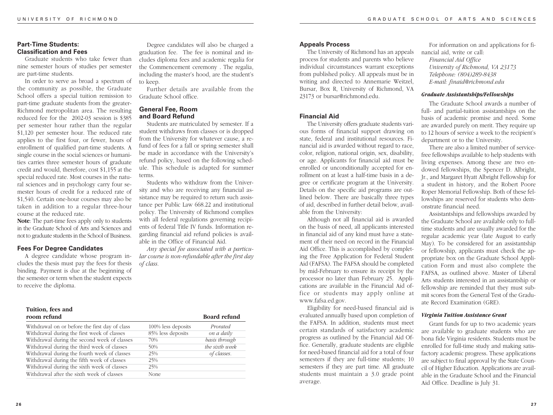# **Part-Time Students: Classification and Fees**

Graduate students who take fewer than nine semester hours of studies per semester are part-time students.

In order to serve as broad a spectrum of the community as possible, the Graduate School offers a special tuition remission to part-time graduate students from the greater-Richmond metropolitan area. The resulting reduced fee for the 2002-03 session is \$385 per semester hour rather than the regular \$1,120 per semester hour. The reduced rate applies to the first four, or fewer, hours of enrollment of qualified part-time students. A single course in the social sciences or humanities carries three semester hours of graduate credit and would, therefore, cost \$1,155 at the special reduced rate. Most courses in the natural sciences and in psychology carry four semester hours of credit for a reduced rate of \$1,540. Certain one-hour courses may also be taken in addition to a regular three-hour course at the reduced rate.

**Note**: The part-time fees apply only to students in the Graduate School of Arts and Sciences and not to graduate students in the School of Business.

# **Fees For Degree Candidates**

A degree candidate whose program includes the thesis must pay the fees for thesis binding. Payment is due at the beginning of the semester or term when the student expects to receive the diploma.

Degree candidates will also be charged a graduation fee. The fee is nominal and includes diploma fees and academic regalia for the Commencement ceremony . The regalia, including the master's hood, are the student's to keep.

Further details are available from the Graduate School office.

# **General Fee, Room and Board Refund**

Students are matriculated by semester. If a student withdraws from classes or is dropped from the University for whatever cause, a refund of fees for a fall or spring semester shall be made in accordance with the University's refund policy, based on the following schedule. This schedule is adapted for summer terms.

Students who withdraw from the University and who are receiving any financial assistance may be required to return such assistance per Public Law 668.22 and institutional policy. The University of Richmond complies with all federal regulations governing recipients of federal Title IV funds. Information regarding financial aid refund policies is available in the Office of Financial Aid.

*Any special fee associated with a particular course is non-refundable after the first day of class.*

| Tuition, fees and<br>room refund               |                    | <b>Board refund</b> |
|------------------------------------------------|--------------------|---------------------|
| Withdrawal on or before the first day of class | 100% less deposits | Prorated            |
| Withdrawal during the first week of classes    | 85% less deposits  | on a daily          |
| Withdrawal during the second week of classes   | 70%                | basis through       |
| Withdrawal during the third week of classes    | 50%                | the sixth week      |
| Withdrawal during the fourth week of classes   | 25%                | of classes.         |
| Withdrawal during the fifth week of classes    | 25%                |                     |
| Withdrawal during the sixth week of classes    | 25%                |                     |
| Withdrawal after the sixth week of classes     | None               |                     |
|                                                |                    |                     |

# **Appeals Process**

The University of Richmond has an appeals process for students and parents who believe individual circumstances warrant exceptions from published policy. All appeals must be in writing and directed to Annemarie Weitzel, Bursar, Box R, University of Richmond, VA 23173 or bursar@richmond.edu.

# **Financial Aid**

The University offers graduate students various forms of financial support drawing on state, federal and institutional resources. Financial aid is awarded without regard to race, color, religion, national origin, sex, disability, or age. Applicants for financial aid must be enrolled or unconditionally accepted for enrollment on at least a half-time basis in a degree or certificate program at the University. Details on the specific aid programs are outlined below. There are basically three types of aid, described in further detail below, available from the University:

Although not all financial aid is awarded on the basis of need, all applicants interested in financial aid of any kind must have a statement of their need on record in the Financial Aid Office. This is accomplished by completing the Free Application for Federal Student Aid (FAFSA). The FAFSA should be completed by mid-February to ensure its receipt by the processor no later than February 25. Applications are available in the Financial Aid office or students may apply online at www.fafsa.ed.gov.

Eligibility for need-based financial aid is evaluated annually based upon completion of the FAFSA. In addition, students must meet certain standards of satisfactory academic progress as outlined by the Financial Aid Office. Generally, graduate students are eligible for need-based financial aid for a total of four semesters if they are full-time students; 10 semesters if they are part time. All graduate students must maintain a 3.0 grade point average.

For information on and applications for financial aid, write or call: *Financial Aid Office University of Richmond, VA 23173 Telephone: (804)289-8438 E-mail: finaid@richmond.edu*

#### *Graduate Assistantships/Fellowships*

The Graduate School awards a number of full- and partial-tuition assistantships on the basis of academic promise and need. Some are awarded purely on merit. They require up to 12 hours of service a week to the recipient's department or to the University.

There are also a limited number of servicefree fellowships available to help students with living expenses. Among these are two endowed fellowships, the Spencer D. Albright, Jr., and Margaret Hyatt Albright Fellowship for a student in history, and the Robert Poore Roper Memorial Fellowship. Both of these fellowships are reserved for students who demonstrate financial need.

Assistantships and fellowships awarded by the Graduate School are available only to fulltime students and are usually awarded for the regular academic year (late August to early May). To be considered for an assistantship or fellowship, applicants must check the appropriate box on the Graduate School Application Form and must also complete the FAFSA, as outlined above. Master of Liberal Arts students interested in an assistantship or fellowship are reminded that they must submit scores from the General Test of the Graduate Record Examination (GRE).

#### *Virginia Tuition Assistance Grant*

Grant funds for up to two academic years are available to graduate students who are bona fide Virginia residents. Students must be enrolled for full-time study and making satisfactory academic progress. These applications are subject to final approval by the State Council of Higher Education. Applications are available in the Graduate School and the Financial Aid Office. Deadline is July 31.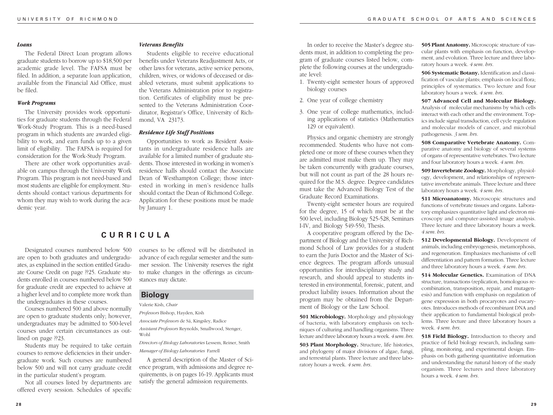#### *Loans*

The Federal Direct Loan program allows graduate students to borrow up to \$18,500 per academic grade level. The FAFSA must be filed. In addition, a separate loan application, available from the Financial Aid Office, must be filed.

# *Work Programs*

The University provides work opportunities for graduate students through the Federal Work-Study Program. This is a need-based program in which students are awarded eligibility to work, and earn funds up to a given limit of eligibility. The FAFSA is required for consideration for the Work-Study Program.

There are other work opportunities available on campus through the University Work Program. This program is not need-based and most students are eligible for employment. Students should contact various departments for whom they may wish to work during the academic year.

# *Veterans Benefits*

Students eligible to receive educational benefits under Veterans Readjustment Acts, or other laws for veterans, active service persons, children, wives, or widows of deceased or disabled veterans, must submit applications to the Veterans Administration prior to registration. Certificates of eligibility must be presented to the Veterans Administration Coordinator, Registrar's Office, University of Richmond, VA 23173.

#### *Residence Life Staff Positions*

Opportunities to work as Resident Assistants in undergraduate residence halls are available for a limited number of graduate students. Those interested in working in women's residence halls should contact the Associate Dean of Westhampton College; those interested in working in men's residence halls should contact the Dean of Richmond College. Application for these positions must be made by January 1.

# **CURRICULA**

Designated courses numbered below 500 are open to both graduates and undergraduates, as explained in the section entitled Graduate Course Credit on page ??25. Graduate students enrolled in courses numbered below 500 for graduate credit are expected to achieve at a higher level and to complete more work than the undergraduates in these courses.

Courses numbered 500 and above normally are open to graduate students only; however, undergraduates may be admitted to 500-level courses under certain circumstances as outlined on page ??23.

Students may be required to take certain courses to remove deficiencies in their undergraduate work. Such courses are numbered below 500 and will not carry graduate credit in the particular student's program.

Not all courses listed by departments are offered every session. Schedules of specific courses to be offered will be distributed in advance of each regular semester and the summer session. The University reserves the right to make changes in the offerings as circumstances may dictate.

# **Biology**

Valerie Kish, *Chair*

*Professors* Bishop, Hayden, Kish

*Associate Professors* de Sá, Kingsley, Radice *Assistant Professors* Reynolds, Smallwood, Stenger,

Wohl

*Directors of Biology Laboratories* Lessem, Reiner, Smith *Manager of Biology Laboratories* Farrell

A general description of the Master of Science program, with admissions and degree requirements, is on pages 16-19. Applicants must satisfy the general admission requirements.

In order to receive the Master's degree students must, in addition to completing the program of graduate courses listed below, complete the following courses at the undergraduate level:

- 1. Twenty-eight semester hours of approved biology courses
- 2. One year of college chemistry
- 3. One year of college mathematics, including applications of statistics (Mathematics 129 or equivalent).

Physics and organic chemistry are strongly recommended. Students who have not completed one or more of these courses when they are admitted must make them up. They may be taken concurrently with graduate courses, but will not count as part of the 28 hours required for the M.S. degree. Degree candidates must take the Advanced Biology Test of the Graduate Record Examinations.

Twenty-eight semester hours are required for the degree, 15 of which must be at the 500 level, including Biology 525-528, Seminars I-IV, and Biology 549-550, Thesis.

A cooperative program offered by the Department of Biology and the University of Richmond School of Law provides for a student to earn the Juris Doctor and the Master of Science degrees. The program affords unusual opportunities for interdisciplinary study and research, and should appeal to students interested in environmental, forensic, patent, and product liability issues. Information about the program may be obtained from the Department of Biology or the Law School.

**501 Microbiology.** Morphology and physiology of bacteria, with laboratory emphasis on techniques of culturing and handling organisms. Three lecture and three laboratory hours a week. *4 sem. hrs.*

**503 Plant Morphology.** Structure, life histories, and phylogeny of major divisions of algae, fungi, and terrestrial plants. Three lecture and three laboratory hours a week. *4 sem. hrs.*

**505 Plant Anatomy.** Microscopic structure of vascular plants with emphasis on function, development, and evolution. Three lecture and three laboratory hours a week. *4 sem. hrs.*

**506 Systematic Botany.** Identification and classification of vascular plants; emphasis on local flora; principles of systematics. Two lecture and four laboratory hours a week. *4 sem. hrs.*

**507 Advanced Cell and Molecular Biology.** Analysis of molecular mechanisms by which cells interact with each other and the environment. Topics include signal transduction, cell cycle regulation and molecular models of cancer, and microbial pathogenesis. *3 sem. hrs.*

**508 Comparative Vertebrate Anatomy.** Comparative anatomy and biology of several systems of organs of representative vertebrates. Two lecture and four laboratory hours a week. *4 sem. hrs.*

**509 Invertebrate Zoology.** Morphology, physiology, development, and relationships of representative invertebrate animals. Three lecture and three laboratory hours a week. *4 sem. hrs.*

**511 Microanatomy.** Microscopic structures and functions of vertebrate tissues and organs. Laboratory emphasizes quantitative light and electron microscopy and computer-assisted image analysis. Three lecture and three laboratory hours a week. *4 sem. hrs.*

**512 Developmental Biology.** Development of animals, including embryogenesis, metamorphosis, and regeneration. Emphasizes mechanisms of cell differentiation and pattern formation. Three lecture and three laboratory hours a week. *4 sem. hrs.*

**514 Molecular Genetics.** Examination of DNA structure, transactions (replication, homologous recombination, transposition, repair, and mutagenesis) and function with emphasis on regulation of gene expression in both procaryotes and eucaryotes. Introduces methods of recombinant DNA and their application to fundamental biological problems. Three lecture and three laboratory hours a week. *4 sem. hrs.*

**518 Field Biology.** Introduction to theory and practice of field biology research, including sampling, monitoring, and experimental design. Emphasis on both gathering quantitative information and understanding the natural history of the study organism. Three lectures and three laboratory hours a week. *4 sem. hrs.*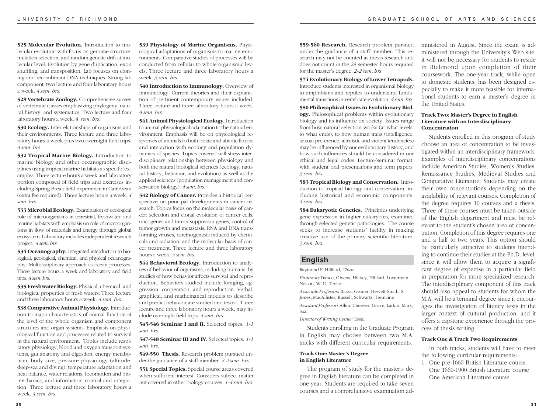**525 Molecular Evolution.** Introduction to molecular evolution with focus on genome structure, mutation selection, and random genetic drift at molecular level. Evolution by gene duplication, exon shuffling, and transposition. Lab focuses on cloning and recombinant DNA techniques. Strong lab component, two lecture and four laboratory hours a week. *4 sem. hrs.*

**528 Vertebrate Zoology.** Comprehensive survey of vertebrate classes emphasizing phylogeny, natural history, and systematics. Two lecture and four laboratory hours a week. *4 sem. hrs.*

**530 Ecology.** Interrelationships of organisms and their environments. Three lecture and three laboratory hours a week plus two overnight field trips. *4 sem. hrs.*

**532 Tropical Marine Biology.** Introduction to marine biology and other oceanographic disciplines using tropical marine habitats as specific examples. Three lecture hours a week and laboratory portion composed of field trips and exercises including Spring Break field experience in Caribbean (extra fee required). Three lecture hours a week. *4 sem. hrs.*

**533 Microbial Ecology.** Examination of ecological role of microorganisms in terrestrial, freshwater, and marine habitats with emphasis on role of microorganisms in flow of materials and energy through global ecosystem. Laboratory includes independent research project. *4 sem. hrs.*

**534 Oceanography.** Integrated introduction to biological, geological, chemical, and physical oceanography. Multidisciplinary approach to ocean processes. Three lecture hours a week and laboratory and field trips. *4 sem. hrs.*

**535 Freshwater Biology.** Physical, chemical, and biological properties of fresh waters. Three lecture and three laboratory hours a week. *4 sem. hrs.*

**538 Comparative Animal Physiology.** Introduction to major characteristics of animal function at the level of the whole organism and component structures and organ systems. Emphasis on physiological function and processes related to survival in the natural environment. Topics include respiratory physiology, blood and oxygen transport systems, gut anatomy and digestion, energy metabolism, body size, pressure physiology (altitude, deep-sea and diving), temperature adaptation and heat balance, water relations, locomotion and biomechanics, and information control and integration. Three lecture and three laboratory hours a week. *4 sem. hrs.*

**539 Physiology of Marine Organisms.** Physiological adaptations of organisms to marine environments. Comparative studies of processes will be conducted from cellular to whole organismic levels. Three lecture and three laboratory hours a week. *3 sem. hrs.*

**540 Introduction to Immunology.** Overview of immunology. Current theories and their explanation of pertinent contemporary issues included. Three lecture and three laboratory hours a week. *4 sem. hrs.*

**541 Animal Physiological Ecology.** Introduction to animal physiological adaptation to the natural environment. Emphasis will be on physiological responses of animals to both biotic and abiotic factors and interaction with ecology and population dynamics of species. Topics covered will stress interdisciplinary relationship between physiology and both the natural biological sciences (ecology, natural history, behavior, and evolution) as well as the applied sciences (population management and conservation biology). *4 sem. hrs.*

**542 Biology of Cancer.** Provides a historical perspective on principal developments in cancer research. Topics focus on the molecular basis of cancer: selection and clonal evolution of cancer cells, oncogenes and tumor suppressor genes, control of tumor growth and metastasis, RNA and DNA transforming viruses, carcinogenesis induced by chemicals and radiation, and the molecular basis of cancer treatment. Three lecture and three laboratory hours a week. *4 sem. hrs.*

**544 Behavioral Ecology.** Introduction to analyses of behavior of organisms, including humans, by studies of how behavior affects survival and reproduction. Behaviors studied include foraging, aggression, cooperation, and reproduction. Verbal, graphical, and mathematical models to describe and predict behavior are studied and tested. Three lecture and three laboratory hours a week, may include overnight field trips. *4 sem. hrs.*

**545-546 Seminar I and II.** Selected topics. *1-1 sem. hrs.*

#### **547-548 Seminar III and IV.** Selected topics. *1-1 sem. hrs.*

**549-550 Thesis.** Research problem pursued under the guidance of a staff member. *2-2 sem. hrs.*

**551 Special Topics.** Special course areas covered when sufficient interest. Considers subject matter not covered in other biology courses. *1-4 sem. hrs.*

**559-560 Research.** Research problem pursued under the guidance of a staff member. This research may not be counted as thesis research and does not count in the 28 semester hours required for the master's degree. *2-2 sem. hrs.*

**574 Evolutionary Biology of Lower Tetrapods.** Introduce students interested in organismal biology to amphibians and reptiles to understand fundamental transitions in vertebrate evolution. *4 sem. hrs.*

**580 Philosophical Issues in Evolutionary Biology.** Philosophical problems within evolutionary biology and its influence on society. Issues range from how natural selection works (at what levels, to what ends), to how human traits (intelligence, sexual preference, altruistic and violent tendencies) may be influenced by our evolutionary history, and how such influences should be considered in our ethical and legal codes. Lecture/seminar format, with student oral presentations and term papers. *3 sem. hrs.*

**583 Tropical Biology and Conservation.** Introduction to tropical biology and conservation, including historical and economic components. *4 sem. hrs.*

**584 Eukaryotic Genetics.** Principles underlying gene expression in higher eukaryotes, examined through selected genetic pathologies. The course seeks to increase students' facility in making creative use of the primary scientific literature. *3 sem. hrs.*

# **English**

Raymond F. Hilliard, *Chair*

*Professors* Dance, Givens, Hickey, Hilliard, Loxterman, Nelson, W. D. Taylor

*Associate Professors* Barza, Gruner, Hewett-Smith, S. Jones, MacAllister, Russell, Schwartz, Tremaine

*Assistant Professors* Allen, Cheever, Grove, Larkin, Marx, Saal

*Director of Writing Center* Essid

Students enrolling in the Graduate Program in English may choose between two M.A. tracks with different curricular requirements.

#### **Track One: Master's Degree in English Literature**

The program of study for the master's degree in English literature can be completed in one year. Students are required to take seven courses and a comprehensive examination administered in August. Since the exam is administered through the University's Web site, it will not be necessary for students to reside in Richmond upon completion of their coursework. The one-year track, while open to domestic students, has been designed especially to make it more feasible for international students to earn a master's degree in the United States.

#### **Track Two: Master's Degree in English Literature with an Interdisciplinary Concentration**

Students enrolled in this program of study choose an area of concentration to be investigated within an interdisciplinary framework. Examples of interdisciplinary concentrations include American Studies, Women's Studies, Renaissance Studies, Medieval Studies and Comparative Literature. Students may create their own concentrations depending on the availability of relevant courses. Completion of the degree requires 10 courses and a thesis. Three of these courses must be taken outside of the English department and must be relevant to the student's chosen area of concentration. Completion of this degree requires one and a half to two years. This option should be particularly attractive to students intending to continue their studies at the Ph.D. level, since it will allow them to acquire a significant degree of expertise in a particular field in preparation for more specialized research. The interdisciplinary component of this track should also appeal to students for whom the M.A. will be a terminal degree since it encourages the investigation of literary texts in the larger context of cultural production, and it offers a capstone experience through the process of thesis writing.

# **Track One & Track Two Requirements**

In both tracks, students will have to meet the following curricular requirements:

1. One pre-1660 British Literature course One 1660-1900 British Literature course One American Literature course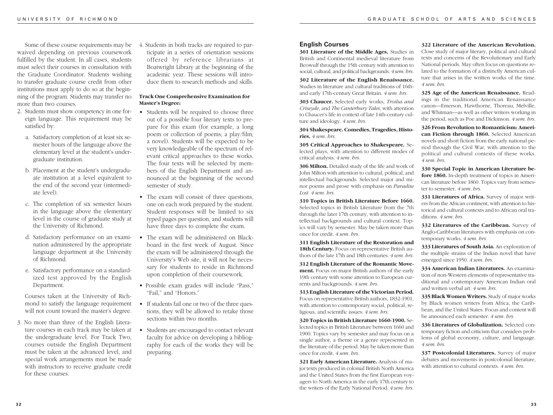Some of these course requirements may be waived depending on previous coursework fulfilled by the student. In all cases, students must select their courses in consultation with the Graduate Coordinator. Students wishing to transfer graduate course credit from other institutions must apply to do so at the beginning of the program. Students may transfer no more than two courses.

- 2. Students must show competency in one foreign language. This requirement may be satisfied by:
	- a. Satisfactory completion of at least six semester hours of the language above the elementary level at the student's undergraduate institution.
	- b. Placement at the student's undergraduate institution at a level equivalent to the end of the second year (intermediate level).
	- c. The completion of six semester hours in the language above the elementary level in the course of graduate study at the University of Richmond.
	- d. Satisfactory performance on an examination administered by the appropriate language department at the University of Richmond.
	- e. Satisfactory performance on a standardized test approved by the English Department.

Courses taken at the University of Richmond to satisfy the language requirement will not count toward the master's degree.

3. No more than three of the English Literature courses in each track may be taken at the undergraduate level. For Track Two, courses outside the English Department must be taken at the advanced level, and special work arrangements must be made with instructors to receive graduate credit for these courses.

4. Students in both tracks are required to participate in a series of orientation sessions offered by reference librarians at Boatwright Library at the beginning of the academic year. These sessions will introduce them to research methods and skills.

# **Track One Comprehensive Examination for Master's Degree:**

- Students will be required to choose three out of a possible four literary texts to prepare for this exam (for example, a long poem or collection of poems; a play/film; a novel). Students will be expected to be very knowledgeable of the spectrum of relevant critical approaches to these works. The four texts will be selected by members of the English Department and announced at the beginning of the second semester of study.
- The exam will consist of three questions, one on each work prepared by the student. Student responses will be limited to six typed pages per question, and students will have three days to complete the exam.
- The exam will be administered on Blackboard in the first week of August. Since the exam will be administered through the University's Web site, it will not be necessary for students to reside in Richmond upon completion of their coursework.
- Possible exam grades will include "Pass," "Fail," and "Honors."
- If students fail one or two of the three questions, they will be allowed to retake those sections within two months.
- Students are encouraged to contact relevant faculty for advice on developing a bibliography for each of the works they will be preparing.

# **English Courses**

**301 Literature of the Middle Ages.** Studies in British and Continental medieval literature from Beowulf through the 15th century with attention to social, cultural, and political backgrounds. *4 sem. hrs.*

**302 Literature of the English Renaissance.** Studies in literature and cultural traditions of 16thand early 17th-century Great Britain. *4 sem. hrs.*

**303 Chaucer.** Selected early works, *Troilus and Criseyde*, and *The Canterbury Tales*, with attention to Chaucer's life in context of late 14th-century culture and ideology. *4 sem. hrs.*

**304 Shakespeare. Comedies, Tragedies, Histories.** *4 sem. hrs.*

**305 Critical Approaches to Shakespeare.** Selected plays, with attention to different modes of critical analysis. *4 sem. hrs.*

**306 Milton.** Detailed study of the life and work of John Milton with attention to cultural, political, and intellectual backgrounds. Selected major and minor poems and prose with emphasis on *Paradise Lost*. *4 sem. hrs.*

**310 Topics in British Literature Before 1660.** Selected topics in British Literature from the 7th through the later 17th century, with attention to intellectual backgrounds and cultural context. Topics will vary by semester. May be taken more than once for credit. *4 sem. hrs.*

**311 English Literature of the Restoration and 18th Century.** Focus on representative British authors of the late 17th and 18th centuries. *4 sem. hrs.* **312 English Literature of the Romantic Movement.** Focus on major British authors of the early 19th century with some attention to European currents and backgrounds. *4 sem. hrs.*

**313 English Literature of the Victorian Period.** Focus on representative British authors, 1832-1901, with attention to contemporary social, political, religious, and scientific issues. *4 sem. hrs.*

**320 Topics in British Literature 1660-1900.** Selected topics in British Literature between 1660 and 1900. Topics vary by semester and may focus on a single author, a theme or a genre represented in the literature of the period. May be taken more than once for credit. *4 sem. hrs.*

**321 Early American Literature.** Analysis of major texts produced in colonial British North America and the United States from the first European voyagers to North America in the early 17th century to the writers of the Early National Period. *4 sem. hrs.*

#### **322 Literature of the American Revolution.**

Close study of major literary, political and cultural texts and concerns of the Revolutionary and Early National periods. May often focus on questions related to the formation of a distinctly American culture that arises in the written works of the time. *4 sem. hrs.*

**325 Age of the American Renaissance.** Readings in the traditional American Renaissance canon—Emerson, Hawthorne, Thoreau, Melville, and Whitman—as well as other writers working in the period, such as Poe and Dickinson. *4 sem. hrs.*

**326 From Revolution to Romanticism: American Fiction through 1860.** Selected American novels and short fiction from the early national period through the Civil War, with attention to the political and cultural contexts of these works. *4 sem. hrs.*

**330 Special Topic in American Literature before 1860.** In-depth treatment of topics in American literature before 1860. Topics vary from semester to semester. *4 sem. hrs.*

**331 Literatures of Africa.** Survey of major writers from the African continent, with attention to historical and cultural contexts and to African oral traditions. *4 sem. hrs.*

**332 Literatures of the Caribbean.** Survey of Anglo-Caribbean literatures with emphasis on contemporary works. *4 sem. hrs.*

**333 Literatures of South Asia.** An exploration of the multiple strains of the Indian novel that have emerged since 1950. *4 sem. hrs.*

**334 American Indian Literatures.** An examination of non-Western elements of representative traditional and contemporary American Indian oral and written verbal art. *4 sem. hrs.*

**335 Black Women Writers.** Study of major works by Black women writers from Africa, the Caribbean, and the United States. Focus and content will be announced each semester. *4 sem. hrs.*

**336 Literatures of Globalization.** Selected contemporary fiction and criticism that considers problems of global economy, culture, and language. *4 sem. hrs.*

**337 Postcolonial Literatures.** Survey of major debates and movements in postcolonial literature, with attention to cultural contexts. *4 sem. hrs.*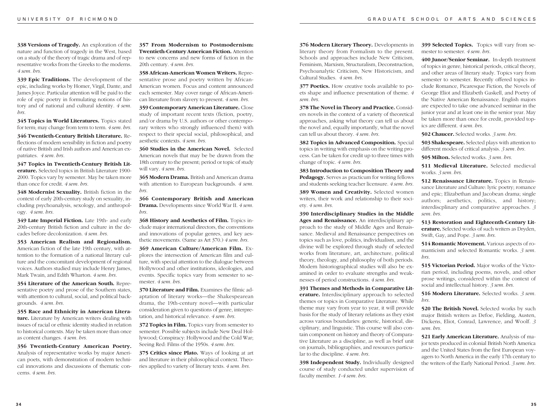**338 Versions of Tragedy.** An exploration of the nature and function of tragedy in the West, based on a study of the theory of tragic drama and of representative works from the Greeks to the moderns. *4 sem. hrs.*

**339 Epic Traditions.** The development of the epic, including works by Homer, Virgil, Dante, and James Joyce. Particular attention will be paid to the role of epic poetry in formulating notions of history and of national and cultural identity. *4 sem. hrs.*

**345 Topics in World Literatures.** Topics stated for term; may change from term to term. *4 sem. hrs.*

**346 Twentieth-Century British Literature.** Reflections of modern sensibility in fiction and poetry of native British and Irish authors and American expatriates. *4 sem. hrs.*

**347 Topics in Twentieth-Century British Literature.** Selected topics in British Literature 1900- 2000. Topics vary by semester. May be taken more than once for credit. *4 sem. hrs.*

**348 Modernist Sexuality.** British fiction in the context of early 20th-century study on sexuality, including psychoanalysis, sexology, and anthropology. *4 sem. hrs.*

**349 Late Imperial Fiction.** Late 19th- and early 20th-century British fiction and culture in the decades before decolonization. *4 sem. hrs.*

**353 American Realism and Regionalism.** American fiction of the late 19th century, with attention to the formation of a national literary culture and the concomitant development of regional voices. Authors studied may include Henry James, Mark Twain, and Edith Wharton. *4 sem. hrs.*

**354 Literature of the American South.** Representative poetry and prose of the Southern states, with attention to cultural, social, and political backgrounds. *4 sem. hrs.*

**355 Race and Ethnicity in American Literature.** Literature by American writers dealing with issues of racial or ethnic identity studied in relation to historical contexts. May be taken more than once as content changes. *4 sem. hrs.*

**356 Twentieth-Century American Poetry.** Analysis of representative works by major American poets, with demonstration of modern technical innovations and discussions of thematic concerns. *4 sem. hrs.*

**357 From Modernism to Postmodernism: Twentieth-Century American Fiction.** Attention to new concerns and new forms of fiction in the 20th century. *4 sem. hrs.*

**358 African-American Women Writers.** Representative prose and poetry written by African-American women. Focus and content announced each semester. May cover range of African-American literature from slavery to present. *4 sem. hrs.*

**359 Contemporary American Literature.** Close study of important recent texts (fiction, poetry, and/or drama by U.S. authors or other contemporary writers who strongly influenced them) with respect to their special social, philosophical, and aesthetic contexts. *4 sem. hrs.*

**360 Studies in the American Novel.** Selected American novels that may be be drawn from the 18th century to the present; period or topic of study will vary. *4 sem. hrs.*

**365 Modern Drama.** British and American drama with attention to European backgrounds. *4 sem. hrs.*

**366 Contemporary British and American Drama.** Developments since World War II. *4 sem. hrs.*

**368 History and Aesthetics of Film.** Topics include major international directors, the conventions and innovations of popular genres, and key aesthetic movements. (Same as Art 370.) *4 sem. hrs.*

**369 American Culture/American Film.** Explores the intersection of American film and culture, with special attention to the dialogue between Hollywood and other institutions, ideologies, and events. Specific topics vary from semester to semester. *4 sem. hrs.*

**370 Literature and Film.** Examines the filmic adaptation of literary works—the Shakespearean drama, the 19th-century novel—with particular consideration given to questions of genre, interpretation, and historical relevance. *4 sem. hrs.*

**372 Topics in Film.** Topics vary from semester to semester. Possible subjects include New Deal Hollywood; Conspiracy: Hollywood and the Cold War; Seeing Red: Films of the 1950s. *4 sem. hrs.*

**375 Critics since Plato.** Ways of looking at art and literature in their philosophical context. Theories applied to variety of literary texts. *4 sem. hrs.*

**376 Modern Literary Theory.** Developments in literary theory from Formalism to the present. Schools and approaches include New Criticism, Feminism, Marxism, Structuralism, Deconstruction, Psychoanalytic Criticism, New Historicism, and Cultural Studies. *4 sem. hrs.*

**377 Poetics.** How creative tools available to poets shape and influence presentation of theme. *4 sem. hrs.*

**378 The Novel in Theory and Practice.** Considers novels in the context of a variety of theoretical approaches, asking what theory can tell us about the novel and, equally importantly, what the novel can tell us about theory. *4 sem. hrs.*

**382 Topics in Advanced Composition.** Special topics in writing with emphasis on the writing process. Can be taken for credit up to three times with change of topic. *4 sem. hrs.*

**383 Introduction to Composition Theory and Pedagogy.** Serves as practicum for writing fellows and students seeking teacher licensure. *4 sem. hrs.*

**389 Women and Creativity.** Selected women writers, their work and relationship to their society. *4 sem. hrs.*

**390 Interdisciplinary Studies in the Middle Ages and Renaissance.** An interdisciplinary approach to the study of Middle Ages and Renaissance. Medieval and Renaissance perspectives on topics such as love, politics, individualism, and the divine will be explored through study of selected works from literature, art, architecture, political theory, theology, and philosophy of both periods. Modern historiographical studies will also be examined in order to evaluate strengths and weaknesses of period constructions. *4 sem. hrs.*

**391 Themes and Methods in Comparative Literature.** Interdisciplinary approach to selected themes or topics in Comparative Literature. While theme may vary from year to year, it will provide basis for the study of literary relations as they exist across various boundaries: generic, historical, disciplinary, and linguistic. This course will also contain component on history and theory of Comparative Literature as a discipline, as well as brief unit on journals, bibliographies, and resources particular to the discipline. *4 sem. hrs.*

**398 Independent Study.** Individually designed course of study conducted under supervision of faculty member. *1-4 sem. hrs.*

**399 Selected Topics.** Topics will vary from semester to semester. *4 sem. hrs.*

**400 Junor/Senior Seminar.** In-depth treatment of topics in genre, historical periods, critical theory, and other areas of literary study. Topics vary from semester to semester. Recently offered topics include Romance, Picaresque Fiction, the Novels of George Eliot and Elizabeth Gaskell, and Poetry of the Native American Renaissance. English majors are expected to take one advanced seminar in the junior year and at least one in the senior year. May be taken more than once for credit, provided topics are different. *4 sem. hrs.*

**502 Chaucer.** Selected works. *3 sem. hrs.*

**503 Shakespeare.** Selected plays with attention to different modes of critical analysis. *3 sem. hrs.*

**505 Milton.** Selected works. *3 sem. hrs.*

**511 Medieval Literature.** Selected medieval works. *3 sem. hrs.*

**512 Renaissance Literature.** Topics in Renaissance Literature and Culture: lyric poetry; romance and epic; Elizabethan and Jacobean drama; single authors; aesthetics, politics, and history; interdiscplinary and comparative approaches. *3 sem. hrs.*

**513 Restoration and Eighteenth-Century Literature.** Selected works of such writers as Dryden, Swift, Gay, and Pope. *3 sem. hrs.*

**514 Romantic Movement.** Various aspects of romanticism and selected Romantic works. *3 sem. hrs.*

**515 Victorian Period.** Major works of the Victorian period, including poems, novels, and other prose writings, considered within the context of social and intellectual history. *3 sem. hrs.*

**516 Modern Literature.** Selected works. *3 sem. hrs.*

520 The British Novel. Selected works by such major British writers as Defoe, Fielding, Austen, Dickens, Eliot, Conrad, Lawrence, and Woolf. *3 sem. hrs.*

**521 Early American Literature.** Analysis of major texts produced in colonial British North America and the United States from the first European voyagers to North America in the early 17th century to the writers of the Early National Period. *3 sem. hrs.*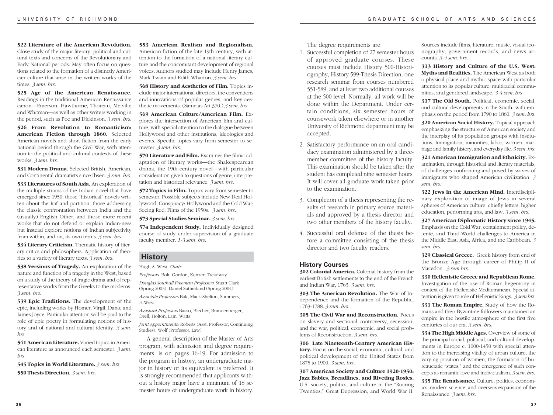**522 Literature of the American Revolution.** Close study of the major literary, political and cultural texts and concerns of the Revolutionary and Early National periods. May often focus on questions related to the formation of a distinctly American culture that arise in the written works of the times. *3 sem. hrs.*

**525 Age of the American Renaissance.** Readings in the traditional American Renaissance canon—Emerson, Hawthorne, Thoreau, Melville and Whitman—as well as other writers working in the period, such as Poe and Dickinson. *3 sem. hrs.*

**526 From Revolution to Romanticism: American Fiction through 1860.** Selected American novels and short fiction from the early national period through the Civil War, with attention to the political and cultural contexts of these works. *3 sem. hrs.*

**531 Modern Drama.** Selected British, American, and Continental dramatists since Ibsen. *3 sem. hrs.*

**533 Literatures of South Asia.** An exploration of the multiple strains of the Indian novel that have emerged since 1950: those "historical" novels written about the Raf and partition, those addressing the classic confrontation between India and the (usually) English Other, and those more recent works that do not defend or explain Indian-ness but instead explore notions of Indian subjectivity from within, and on, its own terms. *3 sem. hrs.*

**534 Literary Criticism.** Thematic history of literary critics and philosophers. Application of theories to a variety of literary texts. *3 sem. hrs.*

**538 Versions of Tragedy.** An exploration of the nature and function of a tragedy in the West, based on a study of the theory of tragic drama and of representative works from the Greeks to the moderns. *3 sem. hrs.*

**539 Epic Traditions.** The development of the epic, including works by Homer, Virgil, Dante and James Joyce. Particular attention will be paid to the role of epic poetry in formulating notions of history and of national and cultural identity. *3 sem. hrs.*

**541 American Literature.** Varied topics in American literature as announced each semester. *3 sem. hrs.*

**545 Topics in World Literature.** *3 sem. hrs.*

**550 Thesis Direction.** *3 sem. hrs.*

**553 American Realism and Regionalism.** American fiction of the late 19th century, with attention to the formation of a national literary culture and the concomitant development of regional voices. Authors studied may include Henry James, Mark Twain and Edith Wharton. *3 sem. hrs.*

**568 History and Aesthetics of Film.** Topics include major international directors, the conventions and innovations of popular genres, and key aesthetic movements. (Same as Art 370.) *3 sem. hrs.*

**569 American Culture/American Film.** Explores the intersection of American film and culture, with special attention to the dialogue between Hollywood and other institutions, ideologies and events. Specific topics vary from semester to semester. *3 sem. hrs.*

**570 Literature and Film.** Examines the filmic adaptation of literary works—the Shakespearean drama, the 19th-century novel—with particular consideration given to questions of genre, interpretation and historical relevance. *3 sem. hrs.*

**572 Topics in Film.** Topics vary from semester to semester. Possible subjects include New Deal Hollywood; Conspiracy: Hollywood and the Cold War; Seeing Red: Films of the 1950s. *3 sem. hrs.*

**573 Special Studies Seminar.** *3 sem. hrs.*

**574 Independent Study.** Individually designed course of study under supervision of a graduate faculty member. *1-3 sem. hrs.*

# **History**

Hugh A. West, *Chair*

*Professors* Bolt, Gordon, Kenzer, Treadway

*Douglas Southall Freeman Professors* Stuart Clark (Spring 2003), Daniel Sutherland (Spring 2004)

*Associate Professors* Bak, Mack-Shelton, Summers, H.West

*Assistant Professors* Basso, Blecher, Brandenberger, Drell, Holton, Lam, Watts

*Joint Appointments:* Roberts (Asst. Professor, Continuing Studies), Wolf (Professor, Law)

A general description of the Master of Arts program, with admission and degree requirements, is on pages 16-19. For admission to the program in history, an undergraduate major in history or its equivalent is preferred. It is strongly recommended that applicants without a history major have a minimum of 18 semester hours of undergraduate work in history.

The degree requirements are:

- 1. Successful completion of 27 semester hours of approved graduate courses. These courses must include History 500-Historiography, History 599-Thesis Direction, one research seminar from courses numbered 551-589, and at least two additional courses at the 500 level. Normally, all work will be done within the Department. Under certain conditions, six semester hours of coursework taken elsewhere or in another University of Richmond department may be accepted.
- 2. Satisfactory performance on an oral candidacy examination administered by a threemember committee of the history faculty. This examination should be taken after the student has completed nine semester hours. It will cover all graduate work taken prior to the examination.
- 3. Completion of a thesis representing the results of research in primary source materials and approved by a thesis director and two other members of the history faculty.
- 4. Successful oral defense of the thesis before a committee consisting of the thesis director and two faculty readers.

#### **History Courses**

**302 Colonial America.** Colonial history from the earliest British settlements to the end of the French and Indian War, 1763. *3 sem. hrs.*

**303 The American Revolution.** The War of Independence and the formation of the Republic, 1763-1788. *3 sem. hrs.*

**305 The Civil War and Reconstruction.** Focus on slavery and sectional controversy, secession, and the war; political, economic, and social problems of Reconstruction. *3 sem. hrs.*

**306 Late Nineteenth-Century American History.** Focus on the social, economic, cultural, and political development of the United States from 1875 to 1900. *3 sem. hrs.*

**307 American Society and Culture 1920-1950: Jazz Babies, Breadlines, and Riveting Rosies.** U.S. society, politics, and culture in the "Roaring Twenties," Great Depression, and World War II.

Sources include films, literature, music, visual iconography, government records, and news accounts. *3-4 sem. hrs.*

**313 History and Culture of the U.S. West: Myths and Realities.** The American West as both a physical place and mythic space with particular attention to its popular culture, multiracial communities, and gendered landscape. *3-4 sem. hrs.*

**317 The Old South.** Political, economic, social, and cultural developments in the South, with emphasis on the period from 1790 to 1860. *3 sem. hrs.*

**320 American Social History.** Topical approach emphasizing the structure of American society and the interplay of its population groups with institutions. Immigration, minorities, labor, women, marriage and family history, and everyday life. *3 sem. hrs.*

**321 American Immigration and Ethnicity.** Examination, through historical and literary materials, of challenges confronting and posed by waves of immigrants who shaped American civilization. *3 sem. hrs.*

**322 Jews in the American Mind.** Interdisciplinary exploration of image of Jews in several spheres of American culture, chiefly letters, higher education, performing arts, and law. *3 sem. hrs.*

**327 American Diplomatic History since 1945.** Emphasis on the Cold War, containment policy, detente, and Third-World challenges to America in the Middle East, Asia, Africa, and the Caribbean. *3 sem. hrs.*

**329 Classical Greece.** Greek history from end of the Bronze Age through career of Philip II of Macedon. *3 sem hrs.*

**330 Hellenistic Greece and Republican Rome.** Investigation of the rise of Roman hegemony in context of the Hellenistic Mediterranean. Special attention is given to role of Hellenistic kings. *3 sem hrs.*

**331 The Roman Empire.** Study of how the Romans and their Byzantine followers maintained an empire in the hostile atmosphere of the first five centuries of our era. *3 sem. hrs.*

**334 The High Middle Ages.** Overview of some of the principal social, political, and cultural developments in Europe c. 1000-1450 with special attention to the increasing vitality of urban culture, the varying position of women, the formation of bureaucratic "states," and the emergence of such concepts as romantic love and individualism. *3 sem. hrs.*

**335 The Renaissance.** Culture, politics, economics, modern science, and overseas expansion of the Renaissance. *3 sem. hrs.*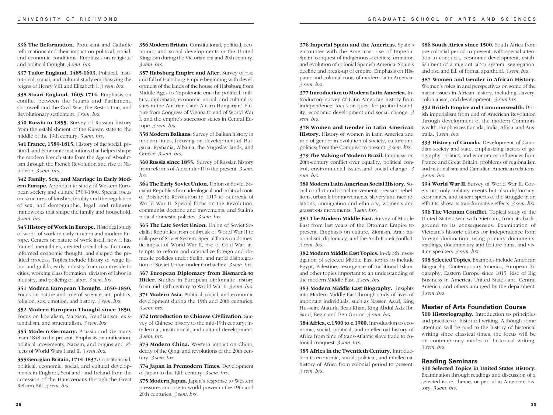**336 The Reformation.** Protestant and Catholic reformations and their impact on political, social, and economic conditions. Emphasis on religious and political thought. *3 sem. hrs.*

**337 Tudor England, 1485-1603.** Political, institutional, social, and cultural study emphasizing the reigns of Henry VIII and Elizabeth I. *3 sem. hrs.*

**338 Stuart England, 1603-1714.** Emphasis on conflict between the Stuarts and Parliament, Cromwell and the Civil War, the Restoration, and Revolutionary settlement. *3 sem. hrs.*

**340 Russia to 1855.** Survey of Russian history from the establishment of the Kievan state to the middle of the 19th century. *3 sem. hrs.*

**341 France, 1589-1815.** History of the social, political, and economic institutions that helped shape the modern French state from the Age of Absolutism through the French Revolution and rise of Napoleon. *3 sem. hrs.*

**342 Family, Sex, and Marriage in Early Modern Europe.** Approach to study of Western European society and culture 1500-1800. Special focus on structures of kinship, fertility and the regulation of sex, and demographic, legal, and religious frameworks that shape the family and household. *3 sem. hrs.*

**343 History of Work in Europe.** Historical study of world of work in early modern and modern Europe. Centers on nature of work itself, how it has framed mentalities, created social classifications, informed economic thought, and shaped the political process. Topics include history of wage labor and guilds, early industry from countryside to cities, working class formation, division of labor in industry, and policing of labor. *3 sem. hrs.*

**351 Modern European Thought, 1650-1850.** Focus on nature and role of science, art, politics, religion, sex, emotion, and history. *3 sem. hrs.*

**352 Modern European Thought since 1850.** Focus on liberalism, Marxism, Freudianism, existentialism, and structuralism. *3 sem. hrs.*

**354 Modern Germany.** Prussia and Germany from 1848 to the present. Emphasis on unification, political movements, Nazism, and origins and effects of World Wars I and II. *3 sem. hrs.*

**355 Georgian Britain, 1714-1837.** Constitutional, political, economic, social, and cultural developments in England, Scotland, and Ireland from the accession of the Hanoverians through the Great Reform Bill. *3 sem. hrs.*

**356 Modern Britain.** Constitutional, political, economic, and social developments in the United Kingdom during the Victorian era and 20th century. *3 sem. hrs.*

**357 Habsburg Empire and After.** Survey of rise and fall of Habsburg Empire beginning with development of the lands of the house of Habsburg from Middle Ages to Napoleonic era; the political, military, diplomatic, economic, social, and cultural issues in the Austrian (later Austro-Hungarian) Empire from Congress of Vienna to end of World War I; and the empire's successor states in Central Europe. *3 sem. hrs.*

**358 Modern Balkans.** Survey of Balkan history in modern times, focusing on development of Bulgaria, Romania, Albania, the Yugoslav lands, and Greece. *3 sem. hrs.*

**360 Russia since 1855.** Survey of Russian history from reforms of Alexander II to the present. *3 sem. hrs.*

**364 The Early Soviet Union.** Union of Soviet Socialist Republics from ideological and political roots of Bolshevik Revolution in 1917 to outbreak of World War II. Special focus on the Revolution, communist doctrine and movements, and Stalin's radical domestic policies. *3 sem. hrs.*

**365 The Late Soviet Union.** Union of Soviet Socialist Republics from outbreak of World War II to collapse of Soviet System. Special focus on domestic impact of World War II, rise of Cold War, attempts to reform and rationalize foreign and domestic policies under Stalin, and rapid disintegration of Soviet Union under Gorbachev. *3 sem. hrs.*

**367 European Diplomacy from Bismarck to Hitler.** Studies in European diplomatic history from mid-19th century to World War II. *3 sem. hrs.* **371 Modern Asia.** Political, social, and economic development during the 19th and 20th centuries. *3 sem. hrs.*

**372 Introduction to Chinese Civilization.** Survey of Chinese history to the mid-19th century; intellectual, institutional, and cultural development. *3 sem. hrs.*

**373 Modern China.** Western impact on China, decay of the Qing, and revolutions of the 20th century. *3 sem. hrs.*

**374 Japan in Premodern Times.** Development of Japan to the 19th century. *3 sem. hrs.*

**375 Modern Japan.** Japan's response to Western pressures and rise to world power in the 19th and 20th centuries. *3 sem. hrs.*

**376 Imperial Spain and the Americas.** Spain's encounter with the Americas: rise of Imperial Spain; conquest of indigenous societies; formation and evolution of colonial Spanish America; Spain's decline and break-up of empire. Emphasis on Hispanic and colonial roots of modern Latin America. *3 sem. hrs.*

**377 Introduction to Modern Latin America.** Introductory survey of Latin American history from independence; focus on quest for political stability, economic development and social change. *3 sem. hrs.*

**378 Women and Gender in Latin American History.** History of women in Latin America and role of gender in evolution of society, culture and politics; from the Conquest to present. *3 sem. hrs.*

**379 The Making of Modern Brazil.** Emphasis on 20th-century conflict over equality, political control, environmental issues and social change. *3 sem. hrs.*

**380 Modern Latin American Social History.** Social conflict and social movements: peasant rebellions, urban labor movements, slavery and race relations, immigration and ethnicity, women's and grassroots movements. *3 sem. hrs.*

**381 The Modern Middle East.** Survey of Middle East from last years of the Ottoman Empire to present. Emphasis on culture, Zionism, Arab nationalism, diplomacy, and the Arab-Israeli conflict. *3 sem. hrs.*

**382 Modern Middle East Topics.** In-depth investigation of selected Middle East topics to include Egypt, Palestine, resurgence of traditional Islam, and other topics important to an understanding of the modern Middle East. *3 sem. hrs.*

**383 Modern Middle East Biography.** Insights into Modern Middle East through study of lives of important individuals, such as Nasser, Asad, King Hussein, Ataturk, Reza Khan, King Abdul Aziz Ibn Saud, Begin and Ben Gurion. *3 sem. hrs.*

**384 Africa, c.1500 to c.1900.** Introduction to economic, social, political, and intellectual history of Africa from time of trans-Atlantic slave trade to colonial conquest. *3 sem. hrs.*

**385 Africa in the Twentieth Century.** Introduction to economic, social, political, and intellectual history of Africa from colonial period to present. *3 sem. hrs.*

**386 South Africa since 1500.** South Africa from pre-colonial period to present, with special attention to conquest, economic development, establishment of a migrant labor system, segregation, and rise and fall of formal apartheid. *3 sem. hrs.*

**387 Women and Gender in African History.** Women's roles in and perspectives on some of the major issues in African history, including slavery, colonialism, and development. *3 sem hrs.*

**392 British Empire and Commonwealth.** British imperialism from end of American Revolution through development of the modern Commonwealth. Emphasizes Canada, India, Africa, and Australia. *3 sem. hrs.*

**393 History of Canada.** Development of Canadian society and state, emphasizing factors of geography, politics, and economics; influences from France and Great Britain; problems of regionalism and nationalism; and Canadian-American relations. *3 sem. hrs.*

**394 World War II.** Survey of World War II. Covers not only military events but also diplomacy, economics, and other aspects of the struggle in an effort to show its transformative effects. *3 sem. hrs.*

**396 The Vietnam Conflict.** Topical study of the United States' war with Vietnam, from its background to its consequences. Examination of Vietnam's historic efforts for independence from foreign domination, using primary documents, readings, documentary and feature films, and visiting speakers. *3 sem. hrs.*

**398 Selected Topics.** Examples include American Biography, Contemporary America, European Biography, Eastern Europe since 1815, Rise of Big Business in America, United States and Central America, and others arranged by the department. *3 sem. hrs.*

# **Master of Arts Foundation Course**

**500 Historiography.** Introduction to principles and practices of historical writing. Although some attention will be paid to the history of historical writing since classical times, the focus will be on contemporary modes of historical writing. *3 sem. hrs.*

# **Reading Seminars**

**510 Selected Topics in United States History.** Examination through readings and discussion of a selected issue, theme, or period in American history. *3 sem. hrs.*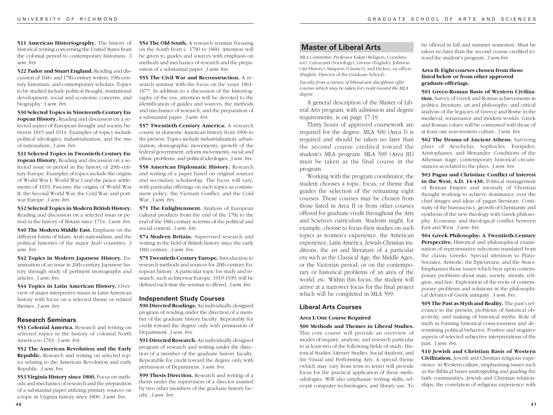**511 American Historiography.** The history of historical writing concerning the United States from the colonial period to contemporary historians. *3 sem. hrs.*

**522 Tudor and Stuart England.** Reading and discussion of 16th- and 17th-century writers, 19th-century historians, and contemporary scholars. Topics to be studied include political thought, institutional development, social and economic concerns, and biography. *3 sem. hrs.*

**530 Selected Topics in Nineteenth-Century European History.** Reading and discussion on a selected aspect of European thought and society between 1815 and 1914. Examples of topics include political ideologies, industrialization, and the rise of nationalism. *3 sem. hrs.*

**531 Selected Topics in Twentieth-Century European History.** Reading and discussion on a selected issue or period in the history of 20th-century Europe. Examples of topics include the origins of World War I; World War I and the peace settlements of 1919; Fascism; the origins of World War II; the Second World War; the Cold War; and postwar Europe. *3 sem. hrs.*

**532 Selected Topics in Modern British History.** Reading and discussion on a selected issue or period in the history of Britain since 1714. *3 sem. hrs.*

**540 The Modern Middle East.** Emphasis on the different forms of Islam, Arab nationalism, and the political histories of the major Arab countries. *3 sem. hrs.*

**542 Topics in Modern Japanese History.** Examination of an issue in 20th-century Japanese history through study of pertinent monographs and articles. *3 sem. hrs.*

**544 Topics in Latin American History.** Overview of major interpretive issues in Latin American history with focus on a selected theme or related themes. *3 sem. hrs.*

# **Research Seminars**

**551 Colonial America.** Research and writing on selected topics in the history of colonial North America to 1763. *3 sem. hrs.*

**552 The American Revolution and the Early Republic.** Research and writing on selected topics relating to the American Revolution and early Republic. *3 sem. hrs.*

**553 Virginia History since 1800.** Focus on methods and mechanics of research and the preparation of a substantial paper utilizing primary sources on a topic in Virginia history since 1800. *3 sem. hrs.*

**554 The Old South.** A research seminar focusing on the South from c. 1790 to 1860. Attention will be given to guides and sources with emphasis on methods and mechanics of research and the preparation of a substantial paper. *3 sem. hrs.*

**555 The Civil War and Reconstruction.** A research seminar with the focus on the years 1861- 1877. In addition to a discussion of the historiography of the era, attention will be devoted to the identification of guides and sources, the methods and mechanics of research, and the preparation of a substantial paper. *3 sem. hrs.*

**557 Twentieth-Century America.** A research course in domestic American history from 1896 to the present. Topics include industrialization, urbanization, demographic movements, growth of the federal government, reform movements, racial and ethnic problems, and political ideologies. *3 sem. hrs.*

**558 American Diplomatic History.** Research and writing of a paper based on original sources and secondary scholarship. The focus will vary, with particular offerings on such topics as containment policy, the Vietnam Conflict, and the Cold War. *3 sem. hrs.*

**571 The Enlightenment.** Analysis of European cultural products from the end of the 17th to the end of the 18th century in terms of the political and social context. *3 sem. hrs.*

**574 Modern Britain.** Supervised research and writing in the field of British history since the early 18th century. *3 sem. hrs.*

**575 Twentieth-Century Europe.** Introduction to research methods and sources for 20th-century European history. A particular topic for study and research, such as Interwar Europe, 1919-1939, will be defined each time the seminar is offered. *3 sem. hrs.*

#### **Independent Study Courses**

**590 Directed Readings.** An individually designed program of reading under the direction of a member of the graduate history faculty. Repeatable for credit toward the degree only with permission of Department. *3 sem. hrs.*

**591 Directed Research.** An individually designed program of research and writing under the direction of a member of the graduate history faculty. Repeatable for credit toward the degree only with permission of Department. *3 sem. hrs.*

**599 Thesis Direction.** Research and writing of a thesis under the supervision of a director assisted by two other members of the graduate history faculty. *3 sem. hrs.*

# **Master of Liberal Arts**

*MLA Committee:* Professor Eakin (Religion, Coordinator), Calvacanti (Sociology), Givens (English), Johnson (Art History), Simpson (Classics), and Hickey, ex officio (English, Director of the Graduate School).

*Faculty from a variety of liberal arts disciplines offer courses which may be taken for credit toward the MLA degree.*

A general description of the Master of Liberal Arts program, with admission and degree requirements, is on page 17-19.

Thirty hours of approved coursework are required for the degree. MLA 500 (Area I) is required and should be taken no later than the second course credited toward the student's MLA program. MLA 599 (Area III) must be taken as the final course in the program.

Working with the program coordinator, the student chooses a topic, focus, or theme that guides the selection of the remaining eight courses. These courses may be chosen from those listed in Area II or from other courses offered for graduate credit throughout the Arts and Sciences curriculum. Students might, for example, choose to focus their studies on such topics as women's experience, the American experience, Latin America, Jewish-Christian traditions, the art and literature of a particular era such as the Classical Age, the Middle Ages, or the Victorian period, or on the contemporary or historical problems of an area of the world, etc. Within this focus, the student will arrive at a narrower focus for the final project which will be completed in MLA 599.

# **Liberal Arts Courses**

#### **Area I: One Course Required**

**500 Methods and Themes in Liberal Studies.** This core course will provide an overview of modes of inquiry, analysis, and research particular to at least two of the following fields of study: Historical Studies, Literary Studies, Social Analysis, and the Visual and Performing Arts. A special theme (which may vary from term to term) will provide focus for the practical application of these methodologies. Will also emphasize writing skills, relevant computer technologies, and library use. To

be offered in fall and summer semesters. Must be taken no later than the second course credited toward the student's program. *3 sem hrs.*

#### **Area II: Eight courses chosen from those listed below or from other approved graduate offerings.**

**501 Greco-Roman Basis of Western Civilization.** Survey of Greek and Roman achievements in politics, literature, art and philosophy, and critical analysis of the legacies of Greece and Rome in the medieval, renaissance and modern worlds. Greek and Roman values will be contrasted with those of at least one non-western culture. *3 sem. hrs*

**502 The Drama of Ancient Athens.** Surviving plays of Aeschylus, Sophocles, Euripides, Aristophanes, and Menander. Conditions of the Athenian stage, contemporary historical circumstances as related to the plays. *3 sem. hrs.*

**503 Pagan and Christian: Conflict of Interest** in the West, A.D. 14-430. Political management of Roman Empire and anomaly of Christian thought working to achieve dominance over the chief images and ideas of pagan literature. Continuity of the bureaucracy, growth of Christianity and synthesis of the new theology with Greek philosophy. Economic and theological conflict between East and West. *3 sem. hrs.*

**504 Greek Philosophy: A Twentieth-Century Perspective.** Historical and philosophical examination of representative selections translated from the classic Greeks. Special attention to Plato-Socrates, Aristotle, the Epicureans, and the Stoics. Emphasizes those issues which bear upon contemporary problems about man, society, morals, religion, and law. Exploration of the roots of contemporary problems and solutions in the philosophical debates of Greek antiquity. *3 sem. hrs.*

**505 The Past as Myth and Reality.** The past's relevance to the present, problems of historical objectivity, and making of historical myths. Role of myth in forming historical consciousness and determining political behavior. Positive and negative aspects of selected subjective interpretations of the past. *3 sem. hrs.*

**510 Jewish and Christian Basis of Western Civilization.** Jewish and Christian religious experience in Western culture, emphasizing issues such as the Biblical bases undergirding and guiding the faith communities, Jewish and Christian relationships, the correlation of religious experience with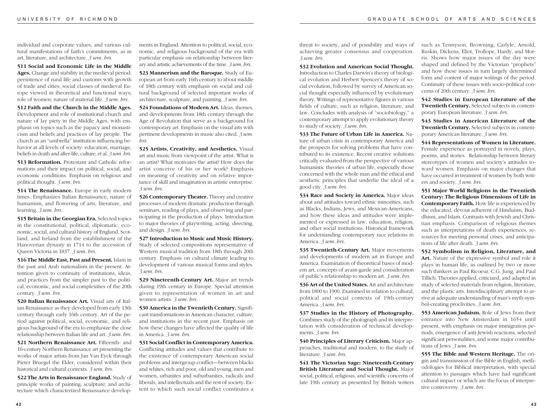individual and corporate values, and various cultural manifestations of faith's commitments, as in art, literature, and architecture. *3 sem. hrs.*

**511 Social and Economic Life in the Middle Ages.** Change and stability in the medieval period: persistence of rural life and customs with growth of trade and cities; social classes of medieval Europe viewed in theoretical and functional ways; role of women; nature of material life. *3 sem. hrs.*

**512 Faith and the Church in the Middle Ages.**

Development and role of institutional church and nature of lay piety in the Middle Ages, with emphasis on topics such as the papacy and monasticism and beliefs and practices of lay people. The church as an "umbrella" institution influencing behavior at all levels of society: education, marriage, beliefs in death and after-life, culture, et al. *3 sem. hrs.*

**513 Reformation.** Protestant and Catholic reformations and their impact on political, social, and economic conditions. Emphasis on religious and political thought. *3 sem. hrs.*

**514 The Renaissance.** Europe in early modern times. Emphasizes Italian Renaissance, nature of humanism, and flowering of arts, literature, and learning. *3 sem. hrs.*

**515 Britain in the Georgian Era.** Selected topics in the constitutional, political, diplomatic, economic, social, and cultural history of England, Scotland, and Ireland from the establishment of the Hanoverian dynasty in 1714 to the accession of Queen Victoria in 1837. *3 sem. hrs.*

**516 The Middle East, Past and Present.** Islam in the past and Arab nationalism in the present. Attention given to continuity of institutions, ideas, and practices from the simpler past to the political, economic, and social complexities of the 20th century. *3 sem. hrs.*

**520 Italian Renaissance Art.** Visual arts of Italian Renaissance as they developed from early 13th century through early 16th century. Art of the period against political, social, economic, and religious background of the era to emphasize the close relationship between Italian life and art. *3 sem. hrs.*

**521 Northern Renaissance Art.** Fifteenth- and 16-century Northern Renaissance art presenting the works of major artists from Jan Van Eyck through Pieter Bruegel the Elder, considered within their historical and cultural contexts. *3 sem. hrs.*

**522 The Arts in Renaissance England.** Study of principle works of painting, sculpture, and architecture which characterized Renaissance developments in England. Attention to political, social, economic, and religious background of the era with particular emphasis on relationship between literary and artistic achievements of the time. *3 sem. hrs.*

**523 Mannerism and the Baroque.** Study of European art from early 16th century to about middle of 18th century with emphasis on social and cultural background of selected important works of architecture, sculpture, and painting. *3 sem. hrs.*

**524 Foundations of Modern Art.** Ideas, themes, and developments from 18th century through the Age of Revolution that serve as a background for contemporary art. Emphasis on the visual arts with pertinent developments in music also cited. *3 sem. hrs.*

**525 Artists, Creativity, and Aesthetics.** Visual art and music from viewpoint of the artist. What is an artist? What motivates the artist? How does the artist conceive of his or her work? Emphasis on meaning of creativity and on relative importance of skill and imagination in artistic enterprise. *3 sem. hrs.*

**526 Contemporary Theater.** Theory and creative processes of modern dramatic production through seminars, reading of plays, and observing and participating in the production of plays. Introduction to major theories of playwriting, acting, directing, and design. *3 sem. hrs.*

**527 Introduction to Music and Music History.** Study of selected compositions representative of Western musical tradition from 18th through 20th century. Emphasis on cultural climate leading to development of various musical forms and styles. *3 sem. hrs.*

**529 Nineteenth-Century Art.** Major art trends during 19th century in Europe. Special attention given to representation of women in art and women artists. *3 sem. hrs.*

**530 America in the Twentieth Century.** Significant transformations in American character, culture, and institutions in the recent past. Emphasis on how these changes have affected the quality of life in America. *3 sem. hrs.*

**531 Social Conflict in Contemporary America.** Conflicting attitudes and values that contribute to the existence of contemporary American social problems and intergroup conflict—between blacks and whites, rich and poor, old and young, men and women, urbanites and suburbanites, radicals and liberals, and intellectuals and the rest of society. Extent to which such social conflict constitutes a

threat to society, and of possibility and ways of achieving greater consensus and cooperation. *3 sem. hrs.*

**532 Evolution and American Social Thought.** Introduction to Charles Darwin's theory of biological evolution and Herbert Spencer's theory of social evolution, followed by survey of American social thought especially influenced by evolutionary theory. Writings of representative figures in various fields of culture, such as religion, literature, and law. Concludes with analysis of "sociobiology," a contemporary attempt to apply evolutionary theory to study of society. *3 sem. hrs.*

**533 The Future of Urban Life in America.** Nature of urban crisis in contemporary America and the prospects for solving problems that have contributed to its existence. Recent creative solutions critically evaluated from the perspective of various humanistic theories of urban life, especially those concerned with the whole man and the ethical and aesthetic principles that underlie the ideal of a good city. *3 sem. hrs.*

**534 Race and Society in America.** Major ideas about and attitudes toward ethnic minorities, such as Blacks, Indians, Jews, and Mexican-Americans, and how these ideas and attitudes were implemented or expressed in law, education, religion, and other social institutions. Historical framework for understanding contemporary race relations in America. *3 sem. hrs.*

**535 Twentieth-Century Art.** Major movements and developments of modern art in Europe and America. Examination of theoretical bases of modern art, concepts of avant-garde and consideration of public's relationship to modern art. *3 sem. hrs.*

**536 Art of the United States.** Art and architecture from 1800 to 1900. Examined in relation to cultural, political and social contexts of 19th-century America. *3 sem. hrs.*

**537 Studies in the History of Photography.** Combines study of the photograph and its interpretation with consideration of technical developments. *3 sem. hrs.*

**540 Principles of Literary Criticism.** Major approaches, traditional and modern, to the study of literature. *3 sem. hrs.*

**541 The Victorian Sage: Nineteenth-Century British Literature and Social Thought.** Major social, political, religious, and scientific concerns of late 19th century as presented by British writers

such as Tennyson, Browning, Carlyle, Arnold, Ruskin, Dickens, Eliot, Trollope, Hardy, and Morris. Shows how major issues of the day were shaped and defined by the Victorian "prophets" and how these issues in turn largely determined form and content of major writings of the period. Continuity of these issues with socio-political concerns of 20th century. *3 sem. hrs.*

**542 Studies in European Literature of the Twentieth Century.** Selected subjects in contemporary European literature. *3 sem. hrs.*

**543 Studies in American Literature of the Twentieth Century.** Selected subjects in contemporary American literature. *3 sem. hrs.*

**544 Representations of Women in Literature.** Female experience as portrayed in novels, plays, poems, and stories. Relationship between literary stereotypes of women and society's attitudes toward women. Emphasis on major changes that have occurred in treatment of women by both writers and society. *3 sem. hrs.*

**551 Major World Religions in the Twentieth Century: The Religious Dimensions of Life in Contemporary Faith.** How life is experienced by the educated, devout adherent of Hinduism, Buddhism, and Islam. Contrasts with Jewish and Christian emphasis. Comparison of religious themes such as interpretations of death experiences, resources for meeting personal crises, and anticipations of life after death. *3 sem. hrs.*

**552 Symbolism in Religion, Literature, and Art.** Nature of the expressive symbol and role it plays in human life, as outlined by two or more such thinkers as Paul Ricoeur, C.G. Jung, and Paul Tillich. Theories applied, criticized, and adapted in study of selected materials from religion, literature, and the plastic arts. Interdisciplinary attempt to arrive at adequate understanding of man's myth-symbol-creating proclivities. *3 sem. hrs.*

**553 American Judaism.** Role of Jews from their entrance into New Amsterdam in 1654 until present, with emphasis on major immigration periods, emergence of anti-Jewish reactions, selected significant personalities, and some major contributions of Jews. *3 sem. hrs.*

**555 The Bible and Western Heritage.** The origin and transmission of the Bible in English, methodologies for Biblical interpretation, with special attention to passages which have had significant cultural impact or which are the focus of interpretive controversy. *3 sem. hrs.*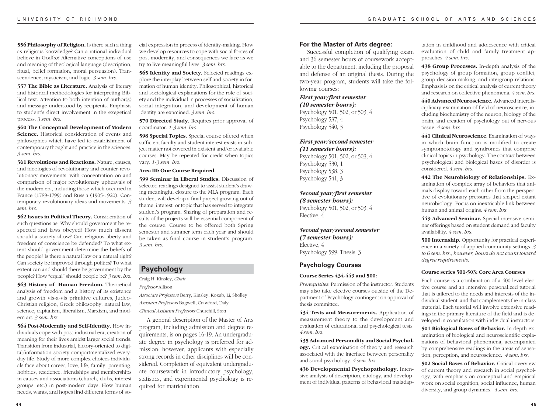**556 Philosophy of Religion.** Is there such a thing as religious knowledge? Can a rational individual believe in God(s)? Alternative conceptions of use and meaning of theological language (description, ritual, belief formation, moral persuasion). Transcendence, mysticism, and logic. *3 sem. hrs.*

**557 The Bible as Literature.** Analysis of literary and historical methodologies for interpreting Biblical text. Attention to both intention of author(s) and message understood by recipients. Emphasis to student's direct involvement in the exegetical process. *3 sem. hrs.*

**560 The Conceptual Development of Modern Science.** Historical consideration of events and philosophies which have led to establishment of contemporary thought and practice in the sciences. *3 sem. hrs.*

**561 Revolutions and Reactions.** Nature, causes, and ideologies of revolutionary and counter-revolutionary movements, with concentration on and comparison of major revolutionary upheavals of the modern era, including those which occurred in France (1789-1799) and Russia (1905-1920). Contemporary revolutionary ideas and movements. *3 sem. hrs.*

**562 Issues in Political Theory.** Consideration of such questions as: Why should government be respected and laws obeyed? How much dissent should a society allow? Can religious liberty and freedom of conscience be defended? To what extent should government determine the beliefs of the people? Is there a natural law or a natural right? Can society be improved through politics? To what extent can and should there be government by the people? How "equal" should people be? *3 sem. hrs.*

**563 History of Human Freedom.** Theoretical analysis of freedom and a history of its existence and growth vis-a-vis primitive cultures, Judeo-Christian religion, Greek philosophy, natural law, science, capitalism, liberalism, Marxism, and modern art. *3 sem. hrs.*

**564 Post-Modernity and Self-Identity.** How individuals cope with post-industrial era, creation of meaning for their lives amidst larger social trends. Transition from industrial, factory-oriented to digital/information society compartmentalized everyday life. Study of more complex choices individuals face about career, love, life, family, parenting, hobbies, residence, friendships and memberships in causes and associations (church, clubs, interest groups, etc.) in post-modern days. How human needs, wants, and hopes find different forms of social expression in process of identity-making. How we develop resources to cope with social forces of post-modernity, and consequences we face as we try to live meaningful lives. *3 sem. hrs.*

**565 Identity and Society.** Selected readings explore the interplay between self and society in formation of human identity. Philosophical, historical and sociological explanations for the role of society and the individual in processes of socialization, social integration, and development of human identity are examined. *3 sem. hrs.*

**570 Directed Study.** Requires prior approval of coordinator. *1-3 sem. hrs.*

**598 Special Topics.** Special course offered when sufficient faculty and student interest exists in subject matter not covered in existent and/or available courses. May be repeated for credit when topics vary. *1-3 sem. hrs.*

#### **Area III: One Course Required**

**599 Seminar in Liberal Studies.** Discussion of selected readings designed to assist student's drawing meaningful closure to the MLA program. Each student will develop a final project growing out of theme, interest, or topic that has served to integrate student's program. Sharing of preparation and results of the projects will be essential component of the course. Course to be offered both Spring semester and summer term each year and should be taken as final course in student's program. *3 sem. hrs.*

# **Psychology**

Craig H. Kinsley, *Chair Professor* Allison

*Associate Professors* Berry, Kinsley, Kozub, Li, Sholley *Assistant Professors* Bagwell, Crawford, Daly

*Clinical Assistant Professors* Churchill, Stott

A general description of the Master of Arts program, including admission and degree requirements, is on pages 16-19. An undergraduate degree in psychology is preferred for admission; however, applicants with especially strong records in other disciplines will be considered. Completion of equivalent undergraduate coursework in introductory psychology, statistics, and experimental psychology is required for matriculation.

#### **For the Master of Arts degree:**

Successful completion of qualifying exam and 36 semester hours of coursework acceptable to the department, including the proposal and defense of an original thesis. During the two-year program, students will take the following courses:

*First year/first semester (10 semester hours):* Psychology 501, 502, or 503, 4 Psychology 537, 4 Psychology 540, 3

#### *First year/second semester*

*(11 semester hours):* Psychology 501, 502, or 503, 4 Psychology 530, 1 Psychology 538, 3 Psychology 541, 3

# *Second year/first semester*

*(8 semester hours):* Psychology 501, 502, or 503, 4 Elective, 4

# *Second year/second semester (7 semester hours):* Elective, 4

Psychology 599, Thesis, 3

# **Psychology Courses**

#### **Course Series 434-449 and 500:**

*Prerequisites*: Permission of the instructor. Students may also take elective courses outside of the Department of Psychology contingent on approval of thesis committee.

**434 Tests and Measurements.** Application of measurement theory to the development and evaluation of educational and psychological tests. *4 sem. hrs.*

**435 Advanced Personality and Social Psychology.** Critical examination of theory and research associated with the interface between personality and social psychology. *4 sem. hrs.*

**436 Developmental Psychopathology.** Intensive analysis of description, etiology, and development of individual patterns of behavioral maladap-

tation in childhood and adolescence with critical evaluation of child and family treatment approaches. *4 sem. hrs.*

**438 Group Processes.** In-depth analysis of the psychology of group formation, group conflict, group decision making, and intergroup relations. Emphasis is on the critical analysis of current theory and research on collective phenomena. *4 sem. hrs.*

**440 Advanced Neuroscience.** Advanced interdisciplinary examination of field of neuroscience, including biochemistry of the neuron, biology of the brain, and creation of psychology out of nervous tissue. *4 sem. hrs.*

**441 Clinical Neuroscience**. Examination of ways in which brain function is modified to create symptomotology and syndromes that comprise clinical topics in psychology. The contrast between psychological and biological bases of disorder is considered. *4 sem. hrs.*

**442 The Neurobiology of Relationships.** Examination of complex array of behaviors that animals display toward each other from the perspective of evolutionary pressures that shaped extant neurobiology. Focus on inextricable link between human and animal origins. *4 sem. hrs.*

**449 Advanced Seminar.** Special intensive seminar offerings based on student demand and faculty availability. *4 sem. hrs.*

**500 Internship.** Opportunity for practical experience in a variety of applied community settings. *3 to 6 sem. hrs., however, hours do not count toward degree requirements.*

#### **Course series 501-503: Core Area Courses**

Each course is a combination of a 400-level elective course and an intensive personalized tutorial that is tailored to the needs and interests of the individual student and that complements the in-class material. Each tutorial will involve extensive readings in the primary literature of the field and is developed in consultation with individual instructors.

**501 Biological Bases of Behavior.** In-depth examination of biological and neuroscientific explanations of behavioral phenomena, accompanied by comprehensive readings in the areas of sensation, perception, and neuroscience. *4 sem. hrs.*

**502 Social Bases of Behavior.** Critical overview of current theory and research in social psychology, with emphasis on conceptual and empirical work on social cognition, social influence, human diversity, and group dynamics. *4 sem. hrs.*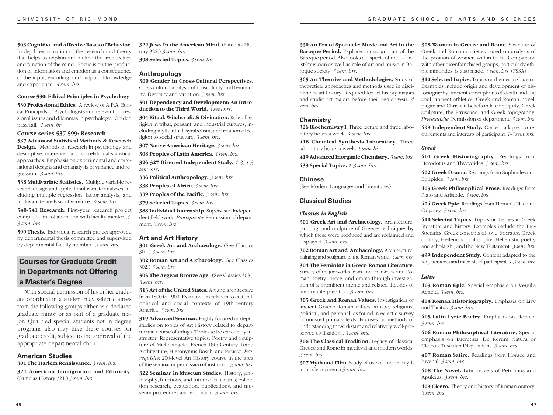**503 Cognitive and Affective Bases of Behavior.** In-depth examination of the research and theory that helps to explain and define the architecture and function of the mind. Focus is on the production of information and emotion as a consequence of the input, encoding, and output of knowledge and experience. *4 sem. hrs.*

#### **Course 530: Ethical Principles in Psychology**

**530 Professional Ethics.** A review of A.P.A. Ethical Principals of Psychologists and relevant professional issues and dilemmas in psychology. Graded pass/fail. *1 sem. hr.*

### **Course series 537-599: Research**

**537 Advanced Statistical Methods & Research Design.** Methods of research in psychology and descriptive, inferential, and correlational statistical approaches. Emphasis on experimental and correlational designs and on analysis of variance and regression. *3 sem. hrs.*

**538 Multivariate Statistics.** Multiple variable research design and applied multivariate analyses, including multiple regression, factor analysis, and multivariate analysis of variance. *4 sem. hrs.*

**540-541 Research.** First-year research project completed in collaboration with faculty mentor. *3- 3 sem. hrs.*

**599 Thesis.** Individual research project approved by departmental thesis committee and supervised by departmental faculty member. *3 sem. hrs.*

# **Courses for Graduate Credit in Departments not Offering a Master's Degree**

With special permission of his or her graduate coordinator, a student may select courses from the following groups either as a declared graduate minor or as part of a graduate major. Qualified special students not in degree programs also may take these courses for graduate credit, subject to the approval of the appropriate departmental chair.

# **American Studies**

**301 The Harlem Renaissance.** *3 sem. hrs.* **321 American Immigration and Ethnicity.** (Same as History 321.) *3 sem. hrs.*

**322 Jews In the American Mind.** (Same as History 322.) *3 sem. hrs.*

**398 Selected Topics.** *3 sem. hrs.*

#### **Anthropology**

**300 Gender in Cross-Cultural Perspectives.** Cross-cultural analysis of masculinity and femininity. Diversity and variation. *3 sem. hrs.*

**301 Dependency and Development: An Introduction to the Third World.** *3 sem hrs.*

**304 Ritual, Witchcraft, & Divination.** Role of religion in tribal, peasant, and industrial cultures, including myth, ritual, symbolism, and relation of religion to social structure. *3 sem. hrs.*

**307 Native American Heritage.** *3 sem. hrs.*

**308 Peoples of Latin America.** *3 sem. hrs.*

**326-327 Directed Independent Study.** *1-3, 1-3 sem. hrs.*

**336 Political Anthropology.** *3 sem. hrs.*

**338 Peoples of Africa.** *3 sem. hrs.*

**339 Peoples of the Pacific.** *3 sem. hrs.*

**379 Selected Topics.** *3 sem. hrs.*

**388 Individual Internship.** Supervised independent field work. *Prerequisite*: Permission of department. *3 sem. hrs.*

#### **Art and Art History**

**301 Greek Art and Archaeology.** (See Classics 301.) *3 sem. hrs.*

**302 Roman Art and Archaeology.** (See Classics 302.) *3 sem. hrs.*

**303 The Aegean Bronze Age.** (See Classics 303.) *3 sem. hrs.*

**313 Art of the United States.** Art and architecture from 1800 to 1900. Examined in relation to cultural, political and social contexts of 19th-century America. *3 sem. hrs.*

**319 Advanced Seminar.** Highly focused in-depth studies on topics of Art History related to departmental course offerings. Topics to be chosen by instructor. Representative topics: Poetry and Sculpture of Michelangelo, French 18th-Century Tomb Architecture, Hieronymus Bosch, and Picasso. *Prerequisite*: 200-level Art History course in the area of the seminar or permission of instructor. *3 sem. hrs.*

**322 Seminar in Museum Studies.** History, philosophy, functions, and future of museums; collection research, evaluation, publications, and museum procedures and education. *3 sem. hrs.*

**330 An Era of Spectacle: Music and Art in the Baroque Period.** Explores music and art of the Baroque period. Also looks at aspects of role of artist/musician as well as role of art and music in Baroque society. *3 sem. hrs.*

**365 Art Theories and Methodologies.** Study of theoretical approaches and methods used in discipline of art history. Required for art history majors and studio art majors before their senior year. *4 sem. hrs.*

#### **Chemistry**

**326 Biochemistry I.** Three lecture and three laboratory hours a week. *4 sem. hrs.*

**418 Chemical Synthesis Laboratory.** Three laboratory hours a week. *1 sem. hr.*

**419 Advanced Inorganic Chemistry.** *3 sem. hrs.* **433 Special Topics.** *1-3 sem. hrs.*

#### **Chinese**

(See Modern Languages and Literatures)

# **Classical Studies**

# *Classics in English*

**301 Greek Art and Archaeology.** Architecture, painting, and sculpture of Greece; techniques by which these were produced and are reclaimed and displayed. *3 sem. hrs.*

**302 Roman Art and Archaeology.** Architecture, painting and sculpture of the Roman world. *3 sem. hrs.*

**304 The Feminine in Greco-Roman Literature.** Survey of major works from ancient Greek and Roman poetry, prose, and drama through investigation of a prominent theme and related theories of literary interpretation. *3 sem. hrs.*

**305 Greek and Roman Values.** Investigation of ancient Graeco-Roman values, artistic, religious, political, and personal, as found in eclectic survey of unusual primary texts. Focuses on methods of understanding these distant and relatively well-preserved civilizations. *3 sem. hrs.*

**306 The Classical Tradition.** Legacy of classical Greece and Rome in medieval and modern worlds. *3 sem. hrs.*

**307 Myth and Film.** Study of use of ancient myth in modern cinema *3 sem. hrs.*

**308 Women in Greece and Rome.** Structure of Greek and Roman societies based on analysis of the position of women within them. Comparison with other disenfranchised groups, particularly ethnic minorities, is also made. *3 sem. hrs.* (FSSA)

**310 Selected Topics.** Topics or themes in Classics. Examples include origin and development of historiography, ancient conceptions of death and the soul, ancient athletics, Greek and Roman novel, pagan and Christian beliefs in late antiquity, Greek sculpture, the Etruscans, and Greek topography. *Prerequisite*: Permission of department. *3 sem. hrs.*

**499 Independent Study.** Content adapted to requirements and interests of participant. *1-3 sem. hrs.*

#### *Greek*

**401 Greek Historiography.** Readings from Herodotus and Thycydides. *3 sem. hrs.*

**402 Greek Drama.** Readings from Sophocles and Euripides. *3 sem. hrs.*

**403 Greek Philosophical Prose.** Readings from Plato and Aristotle. *3 sem. hrs.*

**404 Greek Epic.** Readings from Homer's Iliad and Odyssey. *3 sem. hrs.*

**410 Selected Topics.** Topics or themes in Greek literature and history. Examples include the Pre-Socratics, Greek concepts of love, Socrates, Greek oratory, Hellenistic philosophy, Hellenistic poetry and scholarshi, and the New Testament. *3 sem. hrs.*

**499 Independent Study.** Content adapted to the requirements and interests of participant. *1-3 sem. hrs.*

#### *Latin*

**403 Roman Epic.** Special emphasis on Vergil's Aeneid. *3 sem. hrs.*

**404 Roman Historiography.** Emphasis on Livy and Tacitus. *3 sem. hrs.*

**405 Latin Lyric Poetry.** Emphasis on Horace. *3 sem. hrs.*

**406 Roman Philosophical Literature.** Special emphasis on Lucretius' De Rerum Natura or Cicero's Tusculan Disputations. *3 sem. hrs.*

**407 Roman Satire.** Readings from Horace and Juvenal. *3 sem. hrs.*

**408 The Novel.** Latin novels of Petronius and Apuleius. *3 sem. hrs.*

**409 Cicero.** Theory and history of Roman oratory. *3 sem. hrs.*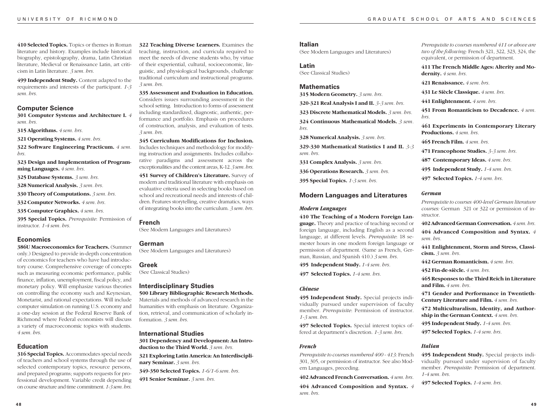**410 Selected Topics.** Topics or themes in Roman literature and history. Examples include historical biography, epistolography, drama, Latin Christian literature, Medieval or Renaissance Latin, art criticism in Latin literature. *3 sem. hrs.*

**499 Independent Study.** Content adapted to the requirements and interests of the participant. *1-3 sem. hrs.*

#### **Computer Science**

**301 Computer Systems and Architecture I.** *4 sem. hrs.*

**315 Algorithms.** *4 sem. hrs.*

**321 Operating Systems.** *4 sem. hrs.*

**322 Software Engineering Practicum.** *4 sem. hrs.*

**323 Design and Implementation of Programming Languages.** *4 sem. hrs.*

**325 Database Systems.** *3 sem. hrs.*

**328 Numerical Analysis.** *3 sem. hrs.*

**330 Theory of Computations.** *3 sem. hrs.*

**332 Computer Networks.** *4 sem. hrs.*

**335 Computer Graphics.** *4 sem. hrs.*

**395 Special Topics.** *Prerequisite*: Permission of instructor. *1-4 sem. hrs.*

#### **Economics**

**386U Macroeconomics for Teachers.** (Summer only.) Designed to provide in-depth concentration of economics for teachers who have had introductory course. Comprehensive coverage of concepts such as measuring economic performance, public finance, inflation, unemployment, fiscal policy, and monetary policy. Will emphasize various theories on controlling the economy such and Keynesian, Monetarist, and rational expectations. Will include computer simulation on running U.S. economy and a one-day session at the Federal Reserve Bank of Richmond where Federal economists will discuss a variety of macroeconomic topics with students. *4 sem. hrs.*

# **Education**

**316 Special Topics.** Accommodates special needs of teachers and school systems through the use of selected contemporary topics, resource persons, and prepared programs; supports requests for professional development. Variable credit depending on course structure and time commitment. *1-3 sem. hrs.*

**322 Teaching Diverse Learners.** Examines the teaching, instruction, and curricula required to meet the needs of diverse students who, by virtue of their experiential, cultural, socioeconomic, linguistic, and physiological backgrounds, challenge traditional curriculum and instructional programs. *3 sem. hrs.*

**335 Assessment and Evaluation in Education.** Considers issues surrounding assessment in the school setting. Introduction to forms of assessment including standardized, diagnostic, authentic, performance and portfolio. Emphasis on procedures of construction, analysis, and evaluation of tests. *3 sem. hrs.*

**345 Curriculum Modifications for Inclusion.** Includes techniques and methodology for modifying instruction and assignments. Includes collaborative paradigms and assessment across the exceptionalities and the content areas, K-12. *3 sem. hrs.*

**451 Survey of Children's Literature.** Survey of modern and traditional literature with emphasis on evaluative criteria used in selecting books based on school and recreational needs and interests of children. Features storytelling, creative dramatics, ways of integrating books into the curriculum. *3 sem. hrs.*

#### **French**

(See Modern Languages and Literatures)

# **German**

(See Modern Languages and Literatures)

# **Greek**

(See Classical Studies)

# **Interdisciplinary Studies**

**500 Library Bibliographic Research Methods.** Materials and methods of advanced research in the humanities with emphasis on literature. Organization, retrieval, and communication of scholarly information. *3 sem. hrs.*

# **International Studies 301 Dependency and Development: An Introduction to the Third World.** *3 sem. hrs.*

**321 Exploring Latin America: An Interdisciplinary Seminar.** *3 sem. hrs.*

**349-350 Selected Topics.** *1-6/1-6 sem. hrs.*

**491 Senior Seminar.** *3 sem. hrs.*

# **Italian**

(See Modern Languages and Literatures)

#### **Latin**

(See Classical Studies)

#### **Mathematics**

**315 Modern Geometry.** *3 sem. hrs.*

**320-321 Real Analysis I and II.** *3-3 sem. hrs.*

**323 Discrete Mathematical Models.** *3 sem. hrs.*

**324 Continuous Mathematical Models.** *3 sem. hrs.*

**328 Numerical Analysis.** *3 sem. hrs.*

**329-330 Mathematical Statistics I and II.** *3-3 sem. hrs.*

**331 Complex Analysis.** *3 sem. hrs.*

**336 Operations Research.** *3 sem. hrs.*

**395 Special Topics.** *1-3 sem. hrs.*

#### **Modern Languages and Literatures**

#### *Modern Languages*

**410 The Teaching of a Modern Foreign Language.** Theory and practice of teaching second or foreign language, including English as a second language, at different levels. *Prerequisite*: 18 semester hours in one modern foreign language or permission of department. (Same as French, German, Russian, and Spanish 410.) *3 sem. hrs.*

**495 Independent Study.** *1-4 sem. hrs.*

**497 Selected Topics.** *1-4 sem. hrs.*

#### *Chinese*

**495 Independent Study.** Special projects individually pursued under supervision of faculty member. *Prerequisite*: Permission of instructor. *1-3 sem. hrs.*

**497 Selected Topics.** Special interest topics offered at department's discretion. *1-3 sem. hrs.*

# *French*

*Prerequisite to courses numbered 400 - 413:* French 301, 305, or permission of instructor. See also Modern Languages, preceding.

**402 Advanced French Conversation.** *4 sem. hrs.*

**404 Advanced Composition and Syntax.** *4 sem. hrs.*

*Prerequisite to courses numbered 411 or above are two of the following:* French 321, 322, 323, 324, the equivalent, or permission of department.

**411 The French Middle Ages: Alterity and Modernity.** *4 sem. hrs.*

**421 Renaissance.** *4 sem. hrs.*

**431 Le Siècle Classique.** *4 sem. hrs.*

**441 Enlightenment.** *4 sem. hrs.*

**451 From Romanticism to Decadence.** *4 sem. hrs.*

**461 Experiments in Contemporary Literary Productions.** *4 sem. hrs.*

**465 French Film.** *4 sem. hrs.*

**471 Francophone Studies.** *3-3 sem. hrs.*

**487 Contemporary Ideas.** *4 sem. hrs.*

**495 Independent Study.** *1-4 sem. hrs.*

**497 Selected Topics.** *1-4 sem. hrs.*

# *German*

*Prerequisite to courses 400-level German literature courses:* German 321 or 322 or permission of instructor.

**402 Advanced German Conversation.** *4 sem. hrs.* **404 Advanced Composition and Syntax.** *4 sem. hrs.*

**441 Enlightenment, Storm and Stress, Classicism.** *3 sem. hrs.*

**442 German Romanticism.** *4 sem. hrs.*

**452 Fin-de-siècle.** *4 sem. hrs.*

**465 Responses to the Third Reich in Literature and Film.** *4 sem. hrs.*

**471 Gender and Performance in Twentieth-Century Literature and Film.** *4 sem. hrs.*

**472 Multiculturalism, Identity, and Authorship in the German Context.** *4 sem. hrs.*

**495 Independent Study.** *1-4 sem. hrs.*

**497 Selected Topics.** *1-4 sem. hrs.*

#### *Italian*

**495 Independent Study.** Special projects individually pursued under supervision of faculty member. *Prerequisite*: Permission of department. *1-4 sem. hrs.*

**497 Selected Topics.** *1-4 sem. hrs.*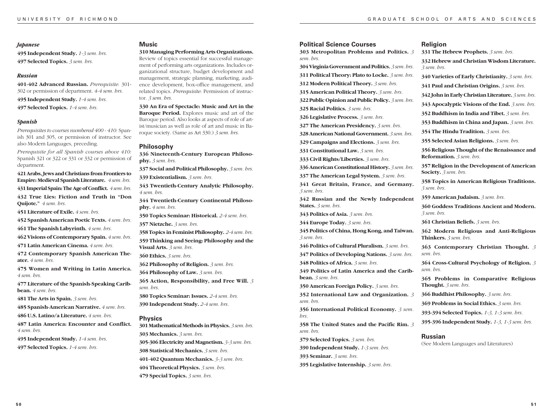#### *Japanese*

**495 Independent Study.** *1-3 sem. hrs.* **497 Selected Topics.** *3 sem. hrs.*

#### *Russian*

**401-402 Advanced Russian.** *Prerequisite*: 301- 302 or permission of department. *4-4 sem. hrs.* **495 Independent Study.** *1-4 sem. hrs.*

**497 Selected Topics.** *1-4 sem. hrs.*

# *Spanish*

*Prerequisites to courses numbered 400 - 410:* Spanish 301 and 305, or permission of instructor. See also Modern Languages, preceding.

*Prerequisite for all Spanish courses above 410:* Spanish 321 or 322 or 331 or 332 or permission of department.

**421 Arabs, Jews and Christians from Frontiers to Empire: Medieval Spanish Literature.** *4 sem. hrs.* **431 Imperial Spain: The Age of Conflict.** *4 sem. hrs.*

**432 True Lies: Fiction and Truth in "Don Quijote."** *4 sem. hrs.*

**451 Literature of Exile.** *4 sem. hrs.*

**452 Spanish American Poetic Texts.** *4 sem. hrs.*

**461 The Spanish Labyrinth.** *4 sem. hrs.*

**462 Visions of Contemporary Spain.** *4 sem. hrs.*

**471 Latin American Cinema.** *4 sem. hrs.*

**472 Contemporary Spanish American Theater.** *4 sem. hrs.*

**475 Women and Writing in Latin America.** *4 sem. hrs.*

**477 Literature of the Spanish-Speaking Caribbean.** *4 sem. hrs.*

**481 The Arts in Spain.** *3 sem. hrs.*

**485 Spanish-American Narrative.** *4 sem. hrs.*

**486 U.S. Latino/a Literature.** *4 sem. hrs.*

**487 Latin America: Encounter and Conflict.** *4 sem. hrs.*

**495 Independent Study.** *1-4 sem. hrs.*

**497 Selected Topics.** *1-4 sem. hrs.*

**5 0**

#### **Music**

**310 Managing Performing Arts Organizations.** Review of topics essential for successful management of performing arts organizations. Includes organizational structure, budget development and

management, strategic planning, marketing, audience development, box-office management, and related topics. *Prerequisite*: Permission of instructor. *3 sem. hrs.*

**330 An Era of Spectacle: Music and Art in the Baroque Period.** Explores music and art of the Baroque period. Also looks at aspects of role of artist/musician as well as role of art and music in Baroque society. (Same as Art 330.) *3 sem. hrs.*

#### **Philosophy**

**336 Nineteenth-Century European Philosophy.** *3 sem. hrs.*

**337 Social and Political Philosophy.** *3 sem. hrs.*

**339 Existentialism.** *3 sem. hrs.*

**343 Twentieth-Century Analytic Philosophy.** *4 sem. hrs.*

**344 Twentieth-Century Continental Philosophy.** *4 sem. hrs.*

**350 Topics Seminar: Historical.** *2-4 sem. hrs.* **357 Nietzche.** *3 sem. hrs.*

**358 Topics in Feminist Philosophy.** *2-4 sem. hrs.* **359 Thinking and Seeing: Philosophy and the Visual Arts.** *3 sem. hrs.* **360 Ethics.** *3 sem. hrs.*

**362 Philosophy of Religion.** *3 sem. hrs.*

**364 Philosophy of Law.** *3 sem. hrs.*

**365 Action, Responsibility, and Free Will.** *3 sem. hrs.*

**380 Topics Seminar: Issues.** *2-4 sem. hrs.* **390 Independent Study.** *2-4 sem. hrs.*

# **Physics**

**301 Mathematical Methods in Physics.** *3 sem. hrs.* **303 Mechanics.** *3 sem. hrs.* **305-306 Electricity and Magnetism.** *3-3 sem. hrs.* **308 Statistical Mechanics.** *3 sem. hrs.* **401-402 Quantum Mechanics.** *3-3 sem. hrs.* **404 Theoretical Physics.** *3 sem. hrs.* **479 Special Topics.** *3 sem. hrs.*

#### **Political Science Courses**

**303 Metropolitan Problems and Politics.** *3 sem. hrs.*

**304 Virginia Government and Politics.** *3 sem. hrs.*

**311 Political Theory: Plato to Locke.** *3 sem. hrs.*

**312 Modern Political Theory.** *3 sem. hrs.* **315 American Political Theory.** *3 sem. hrs.*

**322 Public Opinion and Public Policy.** *3 sem. hrs.*

**325 Racial Politics.** *3 sem. hrs.*

**326 Legislative Process.** *3 sem. hrs.*

**327 The American Presidency.** *3 sem. hrs.*

**328 American National Government.** *3 sem. hrs.*

**329 Campaigns and Elections.** *3 sem. hrs.*

**331 Constitutional Law.** *3 sem. hrs.*

**333 Civil Rights/Liberties.** *3 sem. hrs.*

**336 American Constitutional History.** *3 sem. hrs.*

**337 The American Legal System.** *3 sem. hrs.*

**341 Great Britain, France, and Germany.** *3 sem. hrs.*

**342 Russian and the Newly Independent States.** *3 sem. hrs.*

**343 Politics of Asia.** *3 sem. hrs.*

**344 Europe Today.** *3 sem. hrs.*

**345 Politics of China, Hong Kong, and Taiwan.** *3 sem. hrs.*

- **346 Politics of Cultural Pluralism.** *3 sem. hrs.*
- **347 Politics of Developing Nations.** *3 sem. hrs.*

**348 Politics of Africa.** *3 sem. hrs.*

**349 Politics of Latin America and the Caribbean.** *3 sem. hrs.*

**350 American Foreign Policy.** *3 sem. hrs.*

**352 International Law and Organization.** *3 sem. hrs.*

**356 International Political Economy.** *3 sem. hrs.*

**358 The United States and the Pacific Rim.** *3 sem. hrs.*

**379 Selected Topics.** *3 sem. hrs.*

**390 Independent Study.** *1-3 sem. hrs.*

**393 Seminar.** *3 sem. hrs.*

**395 Legislative Internship.** *3 sem. hrs.*

# **Religion**

**331 The Hebrew Prophets.** *3 sem. hrs.* **332 Hebrew and Christian Wisdom Literature.** *3 sem. hrs.*

**340 Varieties of Early Christianity.** *3 sem. hrs.*

**341 Paul and Christian Origins.** *3 sem. hrs.*

**342 John in Early Christian Literature.** *3 sem. hrs.*

**343 Apocalyptic Visions of the End.** *3 sem. hrs.*

**352 Buddhism in India and Tibet.** *3 sem. hrs.*

**353 Buddhism in China and Japan.** *3 sem. hrs.*

**354 The Hindu Tradition.** *3 sem. hrs.*

**355 Selected Asian Religions.** *3 sem. hrs.*

**356 Religious Thought of the Renaissance and Reformation.** *3 sem. hrs.*

**357 Religion in the Development of American Society.** *3 sem. hrs.*

**358 Topics in American Religious Traditions.** *3 sem. hrs.*

**359 American Judaism.** *3 sem. hrs.*

**360 Goddess Traditions Ancient and Modern.** *3 sem. hrs.*

**361 Christian Beliefs.** *3 sem. hrs.*

**362 Modern Religious and Anti-Religious Thinkers.** *3 sem. hrs.*

**363 Contemporary Christian Thought.** *3 sem. hrs.*

**364 Cross-Cultural Psychology of Religion.** *3 sem. hrs.*

**365 Problems in Comparative Religious Thought.** *3 sem. hrs.*

**366 Buddhist Philosophy.** *3 sem. hrs.*

**Russian**

**369 Problems in Social Ethics.** *3 sem. hrs.*

**393-394 Selected Topics.** *1-3, 1-3 sem. hrs.*

(See Modern Languages and Literatures)

**395-396 Independent Study.** *1-3, 1-3 sem. hrs.*

**5 1**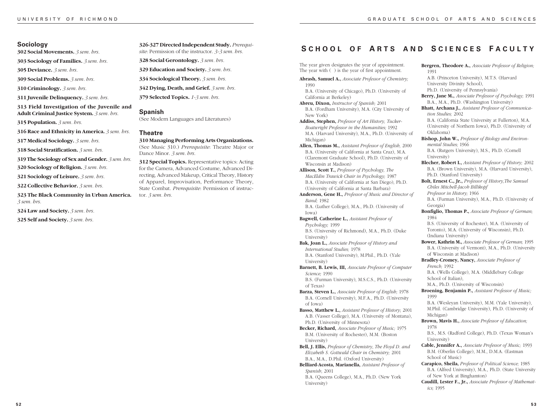**302 Social Movements.** *3 sem. hrs.*

**303 Sociology of Families.** *3 sem. hrs.*

**305 Deviance.** *3 sem. hrs.*

**309 Social Problems.** *3 sem. hrs.*

**310 Criminology.** *3 sem. hrs.*

**311 Juvenile Delinquency.** *3 sem. hrs.*

**313 Field Investigation of the Juvenile and Adult Criminal Justice System.** *3 sem. hrs.*

**315 Population.** *3 sem. hrs.*

**316 Race and Ethnicity in America.** *3 sem. hrs.*

**317 Medical Sociology.** *3 sem. hrs.*

**318 Social Stratification.** *3 sem. hrs.*

**319 The Sociology of Sex and Gender.** *3 sem. hrs.*

**320 Sociology of Religion.** *3 sem. hrs.*

**321 Sociology of Leisure.** *3 sem. hrs.*

**322 Collective Behavior.** *3 sem. hrs.*

**323 The Black Community in Urban America.** *3 sem. hrs.*

**324 Law and Society.** *3 sem. hrs.*

**325 Self and Society.** *3 sem. hrs.*

**326-327 Directed Independent Study.** *Prerequisite*: Permission of the instructor. *3-3 sem. hrs.*

**328 Social Gerontology.** *3 sem. hrs.*

**329 Education and Society.** *3 sem. hrs.*

**334 Sociological Theory.** *3 sem. hrs.*

**342 Dying, Death, and Grief.** *3 sem. hrs.*

**379 Selected Topics.** *1-3 sem. hrs.*

# **Spanish**

(See Modern Languages and Literatures)

#### **Theatre**

**310 Managing Performing Arts Organizations.** (See Music 310.) *Prerequisite*: Theatre Major or Dance Minor. *3 sem. hrs.*

**312 Special Topics.** Representative topics: Acting for the Camera, Advanced Costume, Advanced Directing, Advanced Makeup, Critical Theory, History of Apparel, Improvisation, Performance Theory, State Combat. *Prerequisite*: Permission of instructor. *3 sem. hrs.*

# **Sociology**<br> **S CHOOL OF ARTS** AND **SCIENCES FACULTY**

1991

The year given designates the year of appointment. The year with ( ) is the year of first appointment.

**Abrash, Samuel A.,** *Associate Professor of Chemistry;* 1990 B.A. (University of Chicago), Ph.D. (University of

California at Berkeley)

**Abreu, Dixon,** *Instructor of Spanish;* 2001 B.A. (Fordham University), M.A. (City University of New York)

**Addiss, Stephen,** *Professor of Art History, Tucker-Boatwright Professor in the Humanities;* 1992 M.A. (Harvard University), M.A., Ph.D. (University of Michigan)

**Allen, Thomas M.,** *Assistant Professor of English,* 2000 B.A. (University of California at Santa Cruz), M.A. (Claremont Graduate School), Ph.D. (University of Wisconsin at Madison)

**Allison, Scott T.,** *Professor of Psychology, The MacEldin Trawick Chair in Psychology;* 1987 B.A. (University of California at San Diego), Ph.D. (University of California at Santa Barbara)

**Anderson, Gene H.,** *Professor of Music and Director of Band;* 1982

B.A. (Luther College), M.A., Ph.D. (University of Iowa) **Bagwell, Catherine L.,** *Assistant Professor of Psychology;* 1999 B.S. (University of Richmond), M.A., Ph.D. (Duke University)

**Bak, Joan L.,** *Associate Professor of History and International Studies;* 1978 B.A. (Stanford University), M.Phil., Ph.D. (Yale University)

**Barnett, B. Lewis, III,** *Associate Professor of Computer Science;* 1990

B.S. (Furman University), M.S.C.S., Ph.D. (University of Texas)

**Barza, Steven L.,** *Associate Professor of English;* 1978 B.A. (Cornell University), M.F.A., Ph.D. (University of Iowa)

**Basso, Matthew L.,** *Assistant Professor of History*; 2001 A.B. (Vasser College), M.A. (University of Montana), Ph.D. (University of Minnesota)

**Becker, Richard,** *Associate Professor of Music;* 1975 B.M. (University of Rochester), M.M. (Boston University)

**Bell, J. Ellis,** *Professor of Chemistry*, *The Floyd D. and Elizabeth S. Gottwald Chair in Chemistry;* 2001 B.A., M.A., D.Phil. (Oxford University)

**Belliard-Acosta, Marianella,** *Assistant Professor of Spanish*; 2001 B.A. (Queens College), M.A., Ph.D. (New York University)

University Divinity School), Ph.D. (University of Pennsylvania) **Berry, Jane M.,** *Associate Professor of Psychology;* 1991 B.A., M.A., Ph.D. (Washington University) **Bhatt, Archana J.,** *Assistant Professor of Communication Studies;* 2002 B.A. (California State University at Fullerton), M.A. (University of Northern Iowa), Ph.D. (University of Oklahoma) **Bishop, John W.,** *Professor of Biology and Environmental Studies;* 1966 B.A. (Rutgers University), M.S., Ph.D. (Cornell University) **Blecher, Robert I.,** *Assistant Professor of History;* 2002

**Bergren, Theodore A.,** *Associate Professor of Religion;*

A.B. (Princeton University), M.T.S. (Harvard

B.A. (Brown University), M.A. (Harvard University), Ph.D. (Stanford University)

**Bolt, Ernest C., Jr.,** *Professor of History,The Samuel Chiles Mitchell-Jacob Billikopf Professor in History;* 1966 B.A. (Furman University), M.A., Ph.D. (University of

Georgia) **Bonfiglio, Thomas P.,** *Associate Professor of German;*

1984 B.S. (University of Rochester), M.A. (University of

Toronto), M.A. (University of Wisconsin), Ph.D. (Indiana University)

**Bower, Kathrin M.,** *Associate Professor of German;* 1995 B.A. (University of Vermont), M.A., Ph.D. (University of Wisconsin at Madison)

**Bradley-Cromey, Nancy,** *Associate Professor of French;* 1992

B.A. (Wells College), M.A. (Middlebury College School of Italian),

M.A., Ph.D. (University of Wisconsin) **Broening, Benjamin P.,** *Assistant Professor of Music;*

1999 B.A. (Wesleyan University), M.M. (Yale University), M.Phil. (Cambridge University), Ph.D. (University of Michigan)

**Brown, Mavis H.,** *Associate Professor of Education;* 1978

B.S., M.S. (Radford College), Ph.D. (Texas Woman's University)

**Cable, Jennifer A.,** *Associate Professor of Music;* 1993 B.M. (Oberlin College), M.M., D.M.A. (Eastman School of Music)

**Carapico, Sheila,** *Professor of Political Science;* 1985 B.A. (Alfred University), M.A., Ph.D. (State University of New York at Binghamton)

**Caudill, Lester F., Jr.,** *Associate Professor of Mathematics;* 1995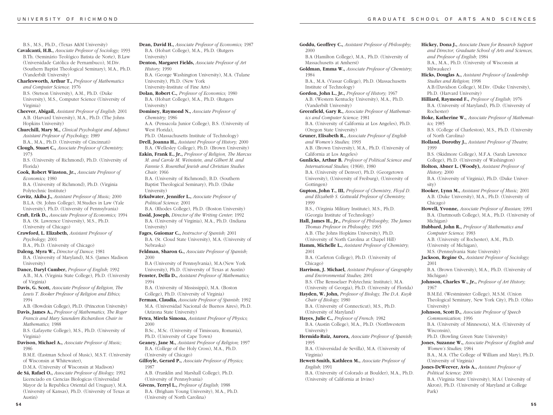B.S., M.S., Ph.D., (Texas A&M University)

- **Cavalcanti, H.B.,** *Associate Professor of Sociology;* 1993 B.Th. (Seminário Teológico Batista de Norte), B.Law (Universidade Católica de Pernambuco), M.Div. (Southern Baptist Theological Seminary), M.A., Ph.D. (Vanderbilt University)
- **Charlesworth, Arthur T.,** *Professor of Mathematics and Computer Science;* 1976 B.S. (Stetson University), A.M., Ph.D. (Duke

University), M.S., Computer Science (University of Virginia)

**Cheever, Abigail,** *Assistant Professor of English;* 2001 A.B. (Harvard University), M.A., Ph.D. (The Johns Hopkins University)

**Churchill, Mary M.,** *Clinical Psychologist and Adjunct Assistant Professor of Psychology;* 1989 B.A., M.A., Ph.D. (University of Cincinnati)

**Clough, Stuart C.,** *Associate Professor of Chemistry;* 1973

B.S. (University of Richmond), Ph.D. (University of Florida)

- **Cook, Robert Winston, Jr.,** *Associate Professor of Economics;* 1980 B.A. (University of Richmond), Ph.D. (Virginia Polytechnic Institute)
- **Covitz, Akiba J.,** *Assistant Professor of Music;* 2000 B.L.A. (St. Johns College), M.Studies in Law (Yale University), Ph.D. (University of Pennsylvania)

**Craft, Erik D.,** *Associate Professor of Economics;* 1994 B.A. (St. Lawrence University), M.S., Ph.D. (University of Chicago)

**Crawford, L. Elizabeth,** *Assistant Professor of Psychology;* 2001

B.A., Ph.D. (University of Chicago)

**Daleng, Myra W.,** *Director of Dance;* 1981 B.A. (University of Maryland), M.S. (James Madison University)

**Dance, Daryl Cumber,** *Professor of English;* 1992 A.B., M.A. (Virginia State College), Ph.D. (University of Virginia)

**Davis, G. Scott,** *Associate Professor of Religion, The Lewis T. Booker Professor of Religion and Ethics;* 1994

A.B. (Bowdoin College), Ph.D. (Princeton University) **Davis, James A.,** *Professor of Mathematics, The Roger*

*Francis and Mary Saunders Richardson Chair in Mathematics;* 1988 B.S. (Lafayette College), M.S., Ph.D. (University of

Virginia) **Davison, Michael A.,** *Associate Professor of Music;* 1986

B.M.E. (Eastman School of Music), M.S.T. (University of Wisconsin at Whitewater),

D.M.A. (University of Wisconsin at Madison)

**de Sá, Rafael O.,** *Associate Professor of Biology;* 1992 Licenciado en Ciencias Biologicas (Universidad Mayor de la Republica Oriental del Uruguay), M.A. (University of Kansas), Ph.D. (University of Texas at Austin)

**Dean, David H.,** *Associate Professor of Economics;* 1987 B.A. (Hobart College), M.A., Ph.D. (Rutgers University) **Denton, Margaret Fields,** *Associate Professor of Art History;* 1990 B.A. (George Washington University), M.A. (Tulane University), Ph.D. (New York University-Institute of Fine Arts) **Dolan, Robert C.,** *Professor of Economics;* 1980 B.A. (Hobart College), M.A., Ph.D. (Rutgers University) **Dominey, Raymond N.,** *Associate Professor of Chemistry;* 1986 A.A. (Pensacola Junior College), B.S. (University of West Florida), Ph.D. (Massachusetts Institute of Technology) **Drell, Joanna H.,** *Assistant Professor of History;* 2000 B.A. (Wellesley College), Ph.D. (Brown University) **Eakin, Frank E., Jr.,** *Professor of Religion, The Marcus M. and Carole M. Weinstein, and Gilbert M. and Fannie S. Rosenthal Jewish and Christian Studies Chair;* 1966 B.A. (University of Richmond), B.D. (Southern Baptist Theological Seminary), Ph.D. (Duke University) **Erkulwater, Jennifer L.,** *Associate Professor of Political Science;* 2001 B.A. (Rhodes College), Ph.D. (Boston University) **Essid, Joseph,** *Director of the Writing Center;* 1992 B.A. (University of Virginia), M.A., Ph.D. (Indiana University) **Fages, Guiomar C.,** *Instructor of Spanish;* 2001 B.A. (St. Cloud State University), M.A. (University of Nebraska) **Feldman, Sharon G.,** *Associate Professor of Spanish;* 2000 B.A (University of Pennsylvania), M.A.(New York University), Ph.D. (University of Texas at Austin) **Fenster, Della D.,** *Assistant Professor of Mathematics;* 1994 B.A. (University of Mississippi), M.A. (Boston College), Ph.D. (University of Virginia) **Ferman, Claudia,** *Associate Professor of Spanish;* 1992 M.A. (Universidad Nacional de Buenos Aires), Ph.D. (Arizona State University) **Fetea, Mirela Simona,** *Assistant Professor of Physics;* 2000 B.Sc., M.Sc. (University of Timisoara, Romania), Ph.D. (University of Cape Town) **Geaney, Jane M.,** *Assistant Professor of Religion;* 1997 B.A. (College of the Holy Cross), M.A., Ph.D. (University of Chicago) **Gilfoyle, Gerard P.,** *Associate Professor of Physics;* 1987 A.B. (Franklin and Marshall College), Ph.D. (University of Pennsylvania)

**Givens, Terryl L.,** *Professor of English;* 1988 B.A. (Brigham Young University), M.A., Ph.D. (University of North Carolina)

**Goddu, Geoffrey C.,** *Assistant Professor of Philosophy;* 2000 B.A (Hamilton College), M.A., Ph.D. (University of Massachusetts at Amherst) **Goldman, Emma W.,** *Associate Professor of Chemistry;* 1984 B.A., M.A. (Vassar College), Ph.D. (Massachusetts Institute of Technology) **Gordon, John L., Jr.,** *Professor of History;* 1967 A.B. (Western Kentucky University), M.A., Ph.D. (Vanderbilt University) **Greenfield, Gary R.,** *Associate Professor of Mathematics and Computer Science;* 1981 B.A. (University of California at Los Angeles), Ph.D. (Oregon State University) **Gruner, Elisabeth R.,** *Associate Professor of English and Women's Studies;* 1993 A.B. (Brown University), M.A., Ph.D. (University of California at Los Angeles) **Gunlicks, Arthur B.** *Professor of Political Science and International Studies;* (1968), 1980 B.A. (University of Denver), Ph.D. (Georgetown University), (University of Freiburg), (University of Gottingen) **Gupton, John T., III,** *Professor of Chemistry, Floyd D. and Elizabeth S. Gottwald Professor of Chemistry;* 1999 B.S., (Virginia Military Institute), M.S., Ph.D. (Georgia Institute of Technology) **Hall, James H., Jr.,** *Professor of Philosophy, The James Thomas Professor in Philosophy;* 1965 A.B. (The Johns Hopkins University), Ph.D. (University of North Carolina at Chapel Hill) **Hamm, Michelle L.,** *Assistant Professor of Chemistry;* 2001 B.A. (Carleton College), Ph.D. (University of Chicago) **Harrison, J. Michael,** *Assistant Professor of Geography and Environmental Studies;* 2001 B.S. (The Rensselaer Polytechnic Institute), M.A. (University of Georgia), Ph.D. (University of Florida) **Hayden, W. John,** *Professor of Biology, The D.A. Kuyk Chair of Biology;* 1980 B.A. (University of Connecticut), M.S., Ph.D. (University of Maryland) **Hayes, Julie C.,** *Professor of French;* 1982 B.A. (Austin College), M.A., Ph.D. (Northwestern University) **Hermida-Ruiz, Aurora,** *Associate Professor of Spanish;* 1995 B.A. (Universidad de Sevilla), M.A. (University of Virginia) **Hewett-Smith, Kathleen M.,** *Associate Professor of English;* 1991 B.A. (University of Colorado at Boulder), M.A., Ph.D. (University of California at Irvine)

**Hickey, Dona J.,** *Associate Dean for Research Support and Director, Graduate School of Arts and Sciences, and Professor of English;* 1984 B.A., M.A., Ph.D. (University of Wisconsin at Milwaukee) **Hicks, Douglas A.,** *Assistant Professor of Leadership Studies and Religion;* 1998 A.B.(Davidson College), M.Div. (Duke University), Ph.D. (Harvard University) **Hilliard, Raymond F.,** *Professor of English;* 1976 B.A. (University of Maryland), Ph.D. (University of Rochester) **Hoke, Katherine W.,** *Associate Professor of Mathematics;* 1985 B.S. (College of Charleston), M.S., Ph.D. (University of North Carolina) **Holland, Dorothy J.,** *Assistant Professor of Theatre;* 1999 B.S. (Skidmore College), M.F.A. (Sarah Lawrence College), Ph.D. (University of Washington) **Holton, Abner L. (Woody),** *Assistant Professor of History;* 2000 B.A. (University of Virginia), Ph.D. (Duke University) **Hooker, Lynn M.,** *Assistant Professor of Music;* 2001 A.B. (Duke University), M.A., Ph.D. (University of Chicago) **Howell, Yvonne,** *Associate Professor of Russian;* 1991 B.A. (Dartmouth College), M.A., Ph.D. (University of Michigan) **Hubbard, John R.,** *Professor of Mathematics and Computer Science;* 1983 A.B. (University of Rochester), A.M., Ph.D. (University of Michigan), M.S. (Pennsylvania State University) **Jackson, Regine O.,** *Assistant Professor of Sociology;* 2001 B.A. (Brown University), M.A., Ph.D. (University of Michigan) **Johnson, Charles W., Jr.,** *Professor of Art History;* 1967 B.M.Ed. (Westminster College), M.S.M. (Union Theological Seminary, New York City), Ph.D. (Ohio University) **Johnson, Scott D.,** *Associate Professor of Speech Communication;* 1996 B.A. (University of Minnesota), M.A. (University of Wisconsin), Ph.D. (Bowling Green State University) **Jones, Suzanne W.,** *Associate Professor of English and Women's Studies;* 1984 B.A., M.A. (The College of William and Mary), Ph.D. (University of Virginia) **Jones-DeWeever, Avis A.,** *Assistant Professor of Political Science;* 2000 B.A. (Virginia State University), M.A.( University of Akron), Ph.D. (University of Maryland at College Park)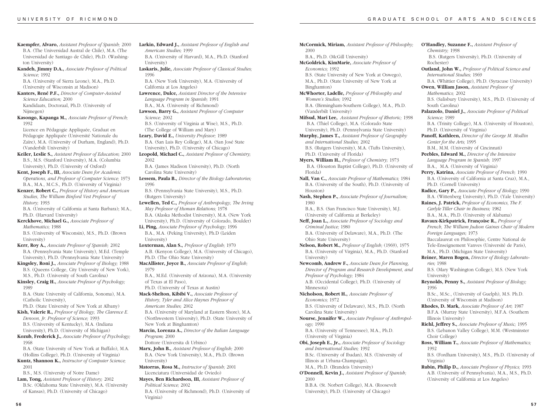- **Kaempfer, Alvaro,** *Assistant Professor of Spanish;* 2000 B.A. (The Universidad Austral de Chile), M.A. (The Universidad de Santiago de Chile), Ph.D. (Washington University)
- **Kandeh, Jimmy D.A.,** *Associate Professor of Political Science;* 1992 B.A. (University of Sierra Leone), M.A., Ph.D.

(University of Wisconsin at Madison)

- **Kanters, René P.F.,** *Director of Computer-Assisted Science Education;* 2000 Kandidaats, Doctoraal, Ph.D. (University of Nijmegen)
- **Kasongo, Kapanga M.,** *Associate Professor of French;* 1992
- Licence en Pédagogie Appliquée, Graduat en Pédagogie Appliquée (Université Nationale du Zaïre), M.A. (University of Durham, England), Ph.D. (Vanderbilt University)
- **Keiler, Leslie S.,** *Assistant Professor of Education;* 2000 B.S., M.S. (Stanford University), M.A. (Columbia University), Ph.D. (University of Oxford)
- **Kent, Joseph F., III,** *Associate Dean for Academic Operations, and Professor of Computer Science;* 1973 B.A., M.A., M.C.S., Ph.D. (University of Virginia)
- **Kenzer, Robert C.,** *Professor of History and American Studies, The William Binford Vest Professor of History;* 1993
- B.A. (University of California at Santa Barbara); M.A., Ph.D. (Harvard University)
- **Kerckhove, Michael G.,** *Associate Professor of Mathematics;* 1988 B.S. (University of Wisconsin), M.S., Ph.D. (Brown University)
- **Kerr, Roy A.,** *Associate Professor of Spanish;* 2002 B.A. (Pennsylvania State University), M.Ed. (Temple University), Ph.D. (Pennsylvania State University)
- **Kingsley, Roni J.,** *Associate Professor of Biology;* 1988 B.S. (Queens College, City University of New York), M.S., Ph.D. (University of South Carolina)
- **Kinsley, Craig H.,** *Associate Professor of Psychology;* 1989

B.A. (State University of California, Sonoma), M.A. (Catholic University),

- Ph.D. (State University of New York at Albany) **Kish, Valerie R.,** *Professor of Biology, The Clarence E. Denoon, Jr. Professor of Science;* 1993 B.S. (University of Kentucky), M.A. (Indiana University), Ph.D. (University of Michigan)
- **Kozub, Frederick J.,** *Associate Professor of Psychology;* 1968
- B.A. (State University of New York at Buffalo), M.A. (Hollins College), Ph.D. (University of Virginia)
- **Kuntz, Shannon K.,** *Instructor of Computer Science;* 2001
- B.S., M.S. (University of Notre Dame)
- **Lam, Tong,** *Assistant Professor of History;* 2002 B.Sc. (Oklahoma State University), M.A. (University of Kansas), Ph.D. (University of Chicago)
- **Larkin, Edward J.,** *Assistant Professor of English and American Studies;* 1999 B.A. (University of Harvard), M.A., Ph.D. (Stanford University) **Laskaris, Julie,** *Associate Professor of Classical Studies;* 1996 B.A. (New York University), M.A. (University of California at Los Angeles) **Lawrence, Dulce,** *Assistant Director of the Intensive*
	- *Language Program in Spanish;* 1991 B.A., M.A. (University of Richmond)
		- **Lawson, Barry G.,** *Assistant Professor of Computer Science;* 2002
		- B.S. (University of Virginia at Wise), M.S., Ph.D. (The College of William and Mary)
	- **Leary, David E.,** *University Professor;* 1989
	- B.A. (San Luis Rey College), M.A. (San José State University), Ph.D. (University of Chicago)
	- **Leopold, Michael C.,** *Assistant Professor of Chemistry;* 2002

B.A. (James Madison University), Ph.D. (North Carolina State University)

- **Lessem, Paula B.,** *Director of the Biology Laboratories;* 1996
- B.S. (Pennsylvania State University), M.S., Ph.D. (Rutgers University)
- **Lewellen, Ted C.,** *Professor of Anthropology, The Irving May Professor of Human Relations;* 1978 B.A. (Alaska Methodist University), M.A. (New York
- University), Ph.D. (University of Colorado, Boulder) **Li, Ping,** *Associate Professor of Psychology;* 1996
- B.A., M.A. (Peking University), Ph.D (Leiden University) **Loxterman, Alan S.,** *Professor of English;* 1970
- A.B. (Kenyon College), M.A. (University of Chicago), Ph.D. (The Ohio State University)
- **MacAllister, Joyce B.,** *Associate Professor of English;* 1979

B.A., M.Ed. (University of Arizona), M.A. (University of Texas at El Paso),

- Ph.D. (University of Texas at Austin) **Mack-Shelton, Kibibi V.,** *Associate Professor of*
- *History, Tyler and Alice Haynes Professor of American Studies;* 2002
- B.A. (University of Maryland at Eastern Shore), M.A. (Northwestern University), Ph.D. (State University of New York at Binghamton)
- **Marcin, Lorenza A.,** *Director of the Italian Language Program;* 2000
- Dottore (Universita di Urbino)
- **Marx, John B.,** *Assistant Professor of English;* 2000 B.A. (New York University), M.A., Ph.D. (Brown University)
- **Matorras, Rosa M.,** *Instructor of Spanish;* 2001 Licenciatura (Universidad de Oviedo)
- **Mayes, Ben Richardson, III,** *Assistant Professor of Political Science;* 2002 B.A. (University of Richmond), Ph.D. (University of Virginia)

**McCormick, Miriam,** *Assistant Professor of Philosophy;* 2000 B.A., Ph.D. (McGill University) **McGoldrick, KimMarie,** *Associate Professor of Economics;* 1992 B.S. (State University of New York at Oswego), M.A., Ph.D. (State University of New York at Binghamton) **McWhorter, Ladelle,** *Professor of Philosophy and Women's Studies;* 1992 B.A. (Birmingham-Southern College), M.A., Ph.D. (Vanderbilt University) **Mifsud, Mari Lee,** *Assistant Professor of Rhetoric;* 1998 B.A. (Thiel College), M.A. (Colorado State University), Ph.D. (Pennsylvania State University) **Murphy, James T.,** *Assistant Professor of Geography and International Studies;* 2002 B.S. (Rutgers University), M.A. (Tufts University), Ph.D. (University of Florida) **Myers, William H.,** *Professor of Chemistry;* 1973 B.A. (Houston Baptist College), Ph.D. (University of Florida) **Nall, Van C.,** *Associate Professor of Mathematics;* 1984 B.A. (University of the South), Ph.D. (University of Houston) **Nash, Stephen P.,** *Associate Professor of Journalism;* 1980 B.A., B.S. (San Francisco State University), M.J. (University of California at Berkeley) **Neff, Joan L.,** *Associate Professor of Sociology and Criminal Justice;* 1980 B.A. (University of Delaware), M.A., Ph.D. (The Ohio State University) **Nelson, Robert M.,** *Professor of English;* (1969), 1975 B.A. (University of Virginia), M.A., Ph.D. (Stanford University) **Newcomb, Andrew F.,** *Associate Dean for Planning, Director of Program and Research Development, and Professor of Psychology;* 1984 A.B. (Occidental College), Ph.D. (University of Minnesota) **Nicholson, Robert H.,** *Associate Professor of Economics;* 1972 B.S. (University of Delaware), M.S., Ph.D. (North Carolina State University) **Nourse, Jennifer W.,** *Associate Professor of Anthropology;* 1990 B.A. (University of Tennessee), M.A., Ph.D. (University of Virginia) **Obi, Joseph E., Jr.,** *Associate Professor of Sociology and International Studies;* 1992 B.Sc. (University of Ibadan), M.S. (University of Illinois at Urbana-Champaign), M.A., Ph.D. (Brandeis University) **O'Donnell, Kevin J.,** *Assistant Professor of Spanish;* 2000 (University of California at Los Angeles)

B.B.A. (St. Norbert College), M.A. (Roosevelt University), Ph.D. (University of Chicago)

**O'Handley, Suzanne F.,** *Assistant Professor of Chemistry;* 1998 B.S. (Rutgers University), Ph.D. (University of Rochester) **Outland, John W.,** *Professor of Political Science and International Studies;* 1969 B.A. (Whittier College), Ph.D. (Syracuse University) **Owen, William Jason,** *Assistant Professor of Mathematics;* 2002 B.S. (Salisbury University), M.S., Ph.D. (University of South Carolina) **Palazzolo, Daniel J.,** *Associate Professor of Political Science;* 1989 B.A. (Trinity College), M.A. (University of Houston), Ph.D. (University of Virginia) **Panoff, Kathleen,** *Director of the George M. Modlin Center for the Arts;* 1995 B.M., M.M. (University of Cincinnati) **Peebles, Edward M.,** *Director of the Intensive Language Program in Spanish;* 1997 B.A., M.A. (University of Virginia) **Perry, Katrina,** *Associate Professor of French;* 1990 B.A. (University of California at Santa Cruz), M.A., Ph.D. (Cornell University) **Radice, Gary P.,** *Associate Professor of Biology;* 1990 B.A. (Wittenberg University), Ph.D. (Yale University) **Raines, J. Patrick,** *Professor of Economics, The F. Carlyle Tiller Chair in Business;* 1982 B.A., M.A., Ph.D. (University of Alabama) **Ravaux-Kirkpatrick, Françoise R.,** *Professor of French, The William Judson Gaines Chair of Modern Foreign Languages;* 1973 Baccalaureat en Philosophie, Centre National de Tele-Enseignement Vanves (Université de Paris), M.A., Ph.D. (Michigan State University) **Reiner, Maren Bogen,** *Director of Biology Laboratories;* 1988 B.S. (Mary Washington College), M.S. (New York University) **Reynolds, Penny S.,** *Assistant Professor of Biology;* 1996 B.Sc., M.Sc., (University of Guelph), M.S. Ph.D. (University of Wisconsin at Madison) **Rhodes, D. Mark,** *Associate Professor of Art;* 1987 B.F.A. (Murray State University), M.F.A. (Southern Illinois University) **Riehl, Jeffrey S.,** *Associate Professor of Music;* 1995 B.S. (Lebanon Valley College), M.M. (Westminster Choir College) **Ross, William T.,** *Associate Professor of Mathematics;* 1992 B.S. (Fordham University), M.S., Ph.D. (University of Virginia) **Rubin, Philip D.,** *Associate Professor of Physics;* 1993 A.B. (University of Pennsylvania), M.A., M.S., Ph.D.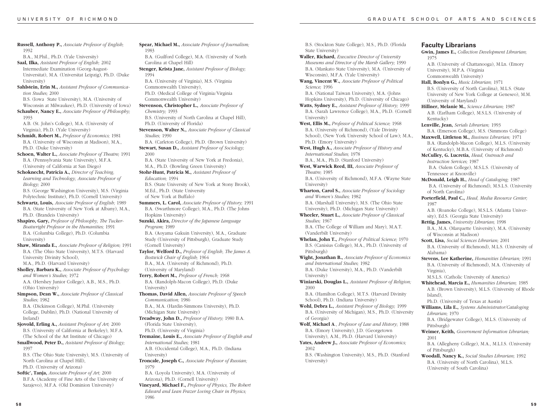**Russell, Anthony P.,** *Associate Professor of English;* 1992 B.A., M.Phil., Ph.D. (Yale University) **Saal, Ilka,** *Assistant Professor of English;* 2002 Intermediate Examination (Georg-August-Universitat), M.A. (Universitat Leipzig), Ph.D. (Duke University) **Sahlstein, Erin M.,** *Assistant Professor of Communication Studies;* 2000 B.S. (Iowa State University), M.A. (University of Wisconsin at Milwaukee), Ph.D. (University of Iowa) **Schauber, Nancy E.,** *Associate Professor of Philosophy;* 1993 A.B. (St. John's College), M.A. (University of Virginia), Ph.D. (Yale University) **Schmidt, Robert M.,** *Professor of Economics;* 1981 B.A. (University of Wisconsin at Madison), M.A., Ph.D. (Duke University) **Schoen, Walter L.,** *Associate Professor of Theatre;* 1991 B.A. (Pennsylvania State University), M.F.A. (University of California at San Diego) **Schoknecht, Patricia A.,** *Director of Teaching, Learning and Technology, Associate Professor of Biology;* 2000 B.S. (George Washington University), M.S. (Virginia Polytechnic Institute), Ph.D. (Cornell University) **Schwartz, Louis,** *Associate Professor of English;* 1989 B.A. (State University of New York at Albany), M.A., Ph.D. (Brandeis University) **Shapiro, Gary,** *Professor of Philosophy, The Tucker-Boatwright Professor in the Humanities;* 1991 B.A. (Columbia College), Ph.D. (Columbia University) **Shaw, Miranda E.,** *Associate Professor of Religion;* 1991 B.A. (The Ohio State University), M.T.S. (Harvard University Divinity School), M.A., Ph.D. (Harvard University) **Sholley, Barbara K.,** *Associate Professor of Psychology and Women's Studies;* 1972 A.A. (Hershey Junior College), A.B., M.S., Ph.D. (Ohio University) **Simpson, Dean W.,** *Associate Professor of Classical Studies;* 1982 B.A. (Dickinson College), M.Phil. (University College, Dublin), Ph.D. (National University of Ireland) **Sjovold, Erling A.,** *Assistant Professor of Art;* 2000 B.S. (University of California at Berkeley), M.F.A. (The School of the Art Institute of Chicago) **Smallwood, Peter D.,** *Assistant Professor of Biology;* 1997 B.S. (The Ohio State University), M.S. (University of North Carolina at Chapel Hill), Ph.D. (University of Arizona) **Softic', Tanja,** *Associate Professor of Art;* 2000 B.F.A. (Academy of Fine Arts of the University of Sarajevo), M.F.A. (Old Dominion University) 1983 Carolina at Chapel Hill) 1994 Commonwealth University), Commonwealth University) *Chemistry;* 1993 *Studies;* 1990 2000 *Education;* 1994 of New York at Buffalo) Hopkins University) *Program;* 1989 (Cornell University) (University of Maryland) University) *Communication;* 1986 (Michigan State University) (Florida State University), *International Studies;* 1981 University) 1979

**Spear, Michael M.,** *Associate Professor of Journalism;* B.A. (Guilford College), M.A. (University of North **Stenger, Krista Jane,** *Assistant Professor of Biology;* B.A. (University of Virginia), M.S. (Virginia Ph.D. (Medical College of Virginia/Virginia **Stevenson, Christopher L.,** *Associate Professor of* B.S. (University of North Carolina at Chapel Hill), Ph.D. (University of Florida) **Stevenson, Walter N.,** *Associate Professor of Classical* B.A. (Carleton College), Ph.D. (Brown University) **Stewart, Susan D.,** *Assistant Professor of Sociology;* B.A. (State University of New York at Fredonia), M.A., Ph.D. (Bowling Green University) **Stohr-Hunt, Patricia M.,** *Assistant Professor of* B.S. (State University of New York at Stony Brook), M.Ed., Ph.D. (State University **Summers, L. Carol,** *Associate Professor of History;* 1991 B.A. (Swarthmore College), M.A., Ph.D. (The Johns **Suzuki, Akira,** *Director of the Japanese Language* B.A. (Aoyama Gakuin University), M.A., Graduate Study (University of Pittsburgh), Graduate Study **Taylor, Welford D.,** *Professor of English, The James A. Bostwick Chair of English;* 1964 B.A., M.A. (University of Richmond), Ph.D. **Terry, Robert M.,** *Professor of French;* 1968 B.A. (Randolph-Macon College), Ph.D. (Duke **Thomas, David Allen,** *Associate Professor of Speech* B.A., M.A. (Hardin-Simmons University), Ph.D. **Treadway, John D.,** *Professor of History;* 1980 B.A. Ph.D. (University of Virginia) **Tremaine, Louis E.,** *Associate Professor of English and* A.B. (Occidental College), M.A., Ph.D. (Indiana **Troncale, Joseph C.,** *Associate Professor of Russian;* B.A. (Loyola University), M.A. (University of Arizona), Ph.D. (Cornell University)

**Vineyard, Michael F.,** *Professor of Physics, The Robert Edward and Lean Frazer Loving Chair in Physics;* 1986

B.S. (Stockton State College), M.S., Ph.D. (Florida State University) **Waller, Richard,** *Executive Director of University Museums and Director of the Marsh Gallery;* 1990 B.A. (Mankato State University), M.A. (University of Wisconsin), M.F.A. (Yale University) **Wang, Vincent W.,** *Associate Professor of Political Science;* 1996 B.A. (National Taiwan University), M.A. (Johns Hopkins University), Ph.D. (University of Chicago) **Watts, Sydney E.,** *Assistant Professor of History;* 1999 B.A. (Sarah Lawrence College), M.A., Ph.D. (Cornell University) **West, Ellis M.,** *Professor of Political Science;* 1968 B.A. (University of Richmond), (Yale Divinity School), (New York University School of Law); M.A., Ph.D. (Emory University) **West, Hugh A.,** *Associate Professor of History and International Studies;* 1978 B.A., M.A., Ph.D. (Stanford University) **West, Warwick Reed, III,** *Associate Professor of Theatre;* 1985 B.A. (University of Richmond), M.F.A. (Wayne State University) **Wharton, Carol S.,** *Associate Professor of Sociology and Women's Studies;* 1982 B.A. (Marshall University), M.S. (The Ohio State University), Ph.D. (Michigan State University) **Wheeler, Stuart L.,** *Associate Professor of Classical Studies;* 1967 B.A. (The College of William and Mary), M.A.T. (Vanderbilt University) **Whelan, John T.,** *Professor of Political Science;* 1970 B.S. (Canisius College), M.A., Ph.D. (University of Pittsburgh) **Wight, Jonathan B.,** *Associate Professor of Economics and International Studies;* 1982 B.A. (Duke University), M.A., Ph.D. (Vanderbilt University) **Winiarski, Douglas L.,** *Assistant Professor of Religion;* 2000 B.A. (Hamilton College), M.T.S. (Harvard Divinity School), Ph.D. (Indiana University) **Wohl, Debra L.,** *Assistant Professor of Biology;* 1999 B.A. (University of Michigan), M.S., Ph.D. (University of Georgia) **Wolf, Michael A**., *Professor of Law and History*; 1988 B.A. (Emory University), J.D. (Georgetown University), A.M., Ph.D. (Harvard University) **Yates, Andrew J.,** *Associate Professor of Economics;* 2002 B.S. (Washington University), M.S., Ph.D. (Stanford

University)

#### **Faculty Librarians**

**Gwin, James E.,** *Collection Development Librarian;* 1975 A.B. (University of Chattanooga), M.Ln. (Emory University), M.P.A. (Virginia Commonwealth University) **Hall, Bonlyn G.,** *Music Librarian;* 1971 B.S. (University of North Carolina), M.L.S. (State University of New York College at Geneseo), M.M. (University of Maryland) **Hillner, Melanie M.,** *Science Librarian;* 1987 A.B. (Earlham College), M.S.L.S. (University of Kentucky) **Lenville, Jean,** *Serials Librarian;* 1993 B.A. (Emerson College), M.S. (Simmons College) **Maxwell, Littleton M.,** *Business Librarian;* 1971 B.A. (Randolph-Macon College), M.L.S. (University of Kentucky), M.B.A. (University of Richmond) **McCulley, G. Lucretia,** *Head, Outreach and Instruction Services;* 1987 B.A. (Salem College), M.S.L.S. (University of Tennessee at Knoxville) **McDonald, Leigh H.,** *Head of Cataloging;* 1987 B.A. (University of Richmond), M.S.L.S. (University of North Carolina) **Porterfield, Paul C.,** *Head, Media Resource Center;* 1987 A.B. (Roanoke College), M.S.L.S. (Atlanta University), Ed.S. (Georgia State University) **Rettig, James,** *University Librarian;* 1998 B.A., M.A. (Marquette University), M.A. (University of Wisconsin at Madison) **Scott, Lisa,** *Social Sciences Librarian;* 2001 B.A. (University of Richmond), M.L.S. (University of Alabama) **Stevens, Lee Katherine,** *Humanities Librarian;* 1991 B.A. (University of Richmond), M.A. (University of Virginia), M.S.L.S. (Catholic University of America) **Whitehead, Marcia E.,** *Humanities Librarian;* 1985 A.B. (Brown University), M.L.S. (University of Rhode Island), Ph.D. (University of Texas at Austin) **Williams, Lila E.,** *Systems Administrator/Cataloging Librarian;* 1970 B.A. (Bridgewater College), M.L.S. (University of Pittsburgh) **Weimer, Keith,** *Government Information Librarian;* 2001 B.A. (Allegheny College), M.A., M.L.I.S. (University of Pittsburgh) **Woodall, Nancy K.,** *Social Studies Librarian;* 1992 B.A. (University of North Carolina), M.L.S. (University of South Carolina)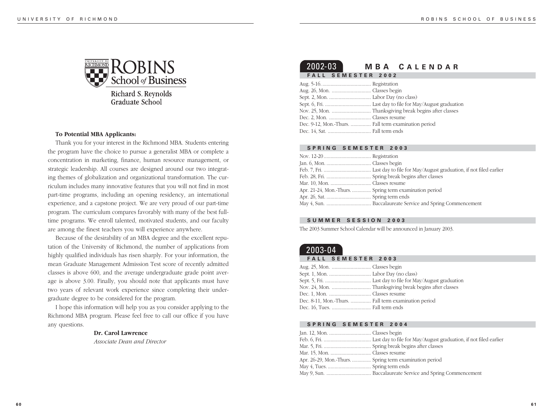

Richard S. Reynolds **Graduate School** 

#### **To Potential MBA Applicants:**

Thank you for your interest in the Richmond MBA. Students entering the program have the choice to pursue a generalist MBA or complete a concentration in marketing, finance, human resource management, or strategic leadership. All courses are designed around our two integrating themes of globalization and organizational transformation. The curriculum includes many innovative features that you will not find in most part-time programs, including an opening residency, an international experience, and a capstone project. We are very proud of our part-time program. The curriculum compares favorably with many of the best fulltime programs. We enroll talented, motivated students, and our faculty are among the finest teachers you will experience anywhere.

Because of the desirability of an MBA degree and the excellent reputation of the University of Richmond, the number of applications from highly qualified individuals has risen sharply. For your information, the mean Graduate Management Admission Test score of recently admitted classes is above 600, and the average undergraduate grade point average is above 3.00. Finally, you should note that applicants must have two years of relevant work experience since completing their undergraduate degree to be considered for the program.

I hope this information will help you as you consider applying to the Richmond MBA program. Please feel free to call our office if you have any questions.

#### **Dr. Carol Lawrence**

*Associate Dean and Director*

# 2002-03 **MBA C ALENDAR FALL SEMESTER 2002**

|  | Dec. 9-12, Mon.-Thurs.  Fall term examination period |
|--|------------------------------------------------------|
|  |                                                      |

#### **SPRING SEMESTER 2003**

| Apr. 21-24, Mon.-Thurs.  Spring term examination period |  |
|---------------------------------------------------------|--|
|                                                         |  |
|                                                         |  |

#### **SUMMER SESSION 2003**

The 2003 Summer School Calendar will be announced in January 2003.

# 2003-04

# **FALL SEMESTER 2003**

| Dec. 8-11, Mon.-Thurs.  Fall term examination period |  |
|------------------------------------------------------|--|
|                                                      |  |

#### **SPRING SEMESTER 2004**

| Apr. 26-29, Mon.-Thurs.  Spring term examination period |  |
|---------------------------------------------------------|--|
|                                                         |  |
|                                                         |  |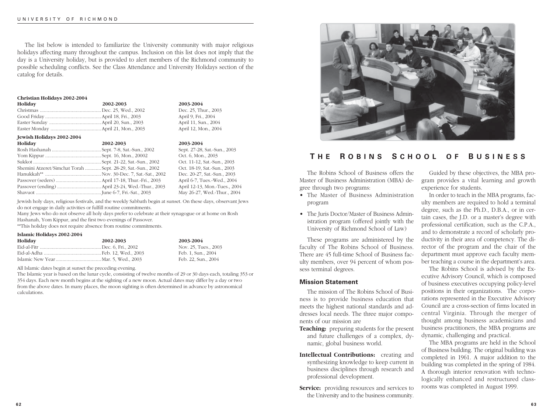The list below is intended to familiarize the University community with major religious holidays affecting many throughout the campus. Inclusion on this list does not imply that the day is a University holiday, but is provided to alert members of the Richmond community to possible scheduling conflicts. See the Class Attendance and University Holidays section of the catalog for details.

#### **Christian Holidays 2002-2004**

**Jewish Holidays 2002-2004**

| Holiday | 2002-2003 | 2003-2004            |
|---------|-----------|----------------------|
|         |           | Dec. 25, Thur., 2003 |
|         |           | April 9, Fri., 2004  |
|         |           | April 11, Sun., 2004 |
|         |           | April 12, Mon., 2004 |

| $\mu$ representation and $\mu$ and $\mu$                    |           |
|-------------------------------------------------------------|-----------|
| Holiday                                                     | 2002-2003 |
|                                                             |           |
|                                                             |           |
|                                                             |           |
| Shemini Atzeret/Simchat Torah  Sept. 28-29, Sat.-Sun., 2002 |           |
|                                                             |           |
|                                                             |           |
|                                                             |           |
|                                                             |           |

Jewish holy days, religious festivals, and the weekly Sabbath begin at sunset. On these days, observant Jews do not engage in daily activities or fulfill routine commitments.

**Holiday 2002-2003 2003-2004**

Sept. 27-28, Sat.-Sun., 2003 Oct. 6, Mon., 2003 Oct. 11-12, Sat.-Sun., 2003 Oct. 18-19, Sat.-Sun., 2003 Dec. 20-27, Sat.-Sun., 2003 April 6-7, Tues.-Wed., 2004 April 12-13, Mon.-Tues., 2004 May 26-27, Wed.-Thur., 2004

Many Jews who do not observe all holy days prefer to celebrate at their synagogue or at home on Rosh Hashanah, Yom Kippur, and the first two evenings of Passover.

\*\*This holiday does not require absence from routine commitments.

### **Islamic Holidays 2002-2004**

| Holiday | 2002-2003 | 2003-2004            |
|---------|-----------|----------------------|
|         |           | Nov. 25, Tues., 2003 |
|         |           | Feb. 1, Sun., 2004   |
|         |           | Feb. 22, Sun., 2004  |

All Islamic dates begin at sunset the preceding evening.

The Islamic year is based on the lunar cycle, consisting of twelve months of 29 or 30 days each, totaling 353 or 354 days. Each new month begins at the sighting of a new moon. Actual dates may differ by a day or two from the above dates. In many places, the moon sighting is often determined in advance by astronomical calculations.



# **T H E R OBINS S CHOOL O F B USINESS**

The Robins School of Business offers the Master of Business Administration (MBA) degree through two programs:

- The Master of Business Administration program
- The Juris Doctor/Master of Business Administration program (offered jointly with the University of Richmond School of Law)

These programs are administered by the faculty of The Robins School of Business. There are 45 full-time School of Business faculty members, over 94 percent of whom possess terminal degrees.

# **Mission Statement**

The mission of The Robins School of Business is to provide business education that meets the highest national standards and addresses local needs. The three major components of our mission are

- **Teaching:** preparing students for the present and future challenges of a complex, dynamic, global business world.
- **Intellectual Contributions:** creating and synthesizing knowledge to keep current in business disciplines through research and professional development.
- **Service:** providing resources and services to the University and to the business community.

Guided by these objectives, the MBA program provides a vital learning and growth experience for students.

In order to teach in the MBA programs, faculty members are required to hold a terminal degree, such as the Ph.D., D.B.A., or in certain cases, the J.D. or a master's degree with professional certification, such as the C.P.A., and to demonstrate a record of scholarly productivity in their area of competency. The director of the program and the chair of the department must approve each faculty member teaching a course in the department's area.

The Robins School is advised by the Executive Advisory Council, which is composed of business executives occupying policy-level positions in their organizations. The corporations represented in the Executive Advisory Council are a cross-section of firms located in central Virginia. Through the merger of thought among business academicians and business practitioners, the MBA programs are dynamic, challenging and practical.

The MBA programs are held in the School of Business building. The original building was completed in 1961. A major addition to the building was completed in the spring of 1984. A thorough interior renovation with technologically enhanced and restructured classrooms was completed in August 1999.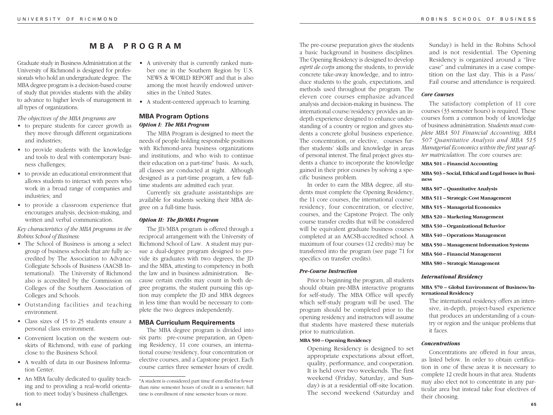# **MBA PROGRAM**

Graduate study in Business Administration at the University of Richmond is designed for professionals who hold an undergraduate degree. The MBA degree program is a decision-based course of study that provides students with the ability to advance to higher levels of management in all types of organizations.

*The objectives of the MBA programs are*

- to prepare students for career growth as they move through different organizations and industries;
- to provide students with the knowledge and tools to deal with contemporary business challenges;
- to provide an educational environment that allows students to interact with peers who work in a broad range of companies and industries; and
- to provide a classroom experience that encourages analysis, decision-making, and written and verbal communication.

*Key characteristics of the MBA programs in the Robins School of Business:*

- The School of Business is among a select group of business schools that are fully accredited by The Association to Advance Collegiate Schools of Business (AACSB International). The University of Richmond also is accredited by the Commission on Colleges of the Southern Association of Colleges and Schools.
- Outstanding facilities and teaching environment.
- Class sizes of 15 to 25 students ensure a personal class environment.
- Convenient location on the western outskirts of Richmond, with ease of parking close to the Business School.
- A wealth of data in our Business Information Center.
- An MBA faculty dedicated to quality teaching and to providing a real-world orientation to meet today's business challenges.
- A university that is currently ranked number one in the Southern Region by U.S. NEWS & WORLD REPORT and that is also among the most heavily endowed universities in the United States.
- A student-centered approach to learning.

# **MBA Program Options** *Option I: The MBA Program*

The MBA Program is designed to meet the needs of people holding responsible positions with Richmond-area business organizations and institutions, and who wish to continue their education on a part-time\* basis. As such, all classes are conducted at night. Although designed as a part-time program, a few fulltime students are admitted each year.

Currently six graduate assistantships are available for students seeking their MBA degree on a full-time basis.

# *Option II: The JD/MBA Program*

The JD/MBA program is offered through a reciprocal arrangement with the University of Richmond School of Law. A student may pursue a dual-degree program designed to provide its graduates with two degrees, the JD and the MBA, attesting to competency in both the law and in business administration. Because certain credits may count in both degree programs, the student pursuing this option may complete the JD and MBA degrees in less time than would be necessary to complete the two degrees independently.

# **MBA Curriculum Requirements**

The MBA degree program is divided into six parts: pre-course preparation, an Opening Residency, 11 core courses, an international course/residency, four concentration or elective courses, and a Capstone project. Each course carries three semester hours of credit.

\*A student is considered part time if enrolled for fewer than nine semester hours of credit in a semester; full time is enrollment of nine semester hours or more.

The pre-course preparation gives the students a basic background in business disciplines. The Opening Residency is designed to develop *esprit de corps* among the students, to provide concrete take-away knowledge, and to introduce students to the goals, expectations, and methods used throughout the program. The eleven core courses emphasize advanced analysis and decision-making in business. The international course/residency provides an indepth experience designed to enhance understanding of a country or region and gives students a concrete global business experience. The concentration, or elective, courses further students' skills and knowledge in areas of personal interest. The final project gives students a chance to incorporate the knowledge gained in their prior courses by solving a specific business problem.

In order to earn the MBA degree, all students must complete the Opening Residency, the 11 core courses, the international course/ residency, four concentration, or elective, courses, and the Capstone Project. The only course transfer credits that will be considered will be equivalent graduate business courses completed at an AACSB-accredited school. A maximum of four courses (12 credits) may be transferred into the program (see page 71 for specifics on transfer credits).

#### *Pre-Course Instruction*

Prior to beginning the program, all students should obtain pre-MBA interactive programs for self-study. The MBA Office will specify which self-study program will be used. The program should be completed prior to the opening residency and instructors will assume that students have mastered these materials prior to matriculation.

#### **MBA 500 – Opening Residency**

Opening Residency is designed to set appropriate expectations about effort, quality, performance, and cooperation. It is held over two weekends. The first weekend (Friday, Saturday, and Sunday) is at a residential off-site location. The second weekend (Saturday and

Sunday) is held in the Robins School and is not residential. The Opening Residency is organized around a "live case" and culminates in a case competition on the last day. This is a Pass/ Fail course and attendance is required.

#### *Core Courses*

The satisfactory completion of 11 core courses (33 semester hours) is required. These courses form a common body of knowledge of business administration. S*tudents must complete MBA 501 Financial Accounting, MBA 507 Quantitative Analysis and MBA 515 Managerial Economics within the first year after matriculation*. The core courses are:

# **MBA 501 – Financial Accounting**

**MBA 503 – Social, Ethical and Legal Issues in Business MBA 507 – Quantitative Analysis**

**MBA 511 – Strategic Cost Management**

**MBA 515 – Managerial Economics**

**MBA 520 – Marketing Management**

**MBA 530 – Organizational Behavior**

**MBA 540 – Operations Management**

**MBA 550 – Management Information Systems**

**MBA 560 – Financial Management**

**MBA 580 – Strategic Management**

#### *International Residency*

# **MBA 570 – Global Environment of Business/International Residency**

The international residency offers an intensive, in-depth, project-based experience that produces an understanding of a country or region and the unique problems that it faces.

#### *Concentrations*

Concentrations are offered in four areas, as listed below. In order to obtain certification in one of these areas it is necessary to complete 12 credit hours in that area. Students may also elect not to concentrate in any particular area but instead take four electives of their choosing.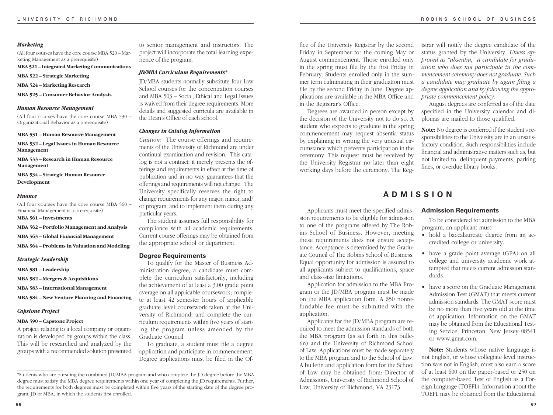#### *Marketing*

(All four courses have the core course MBA 520 – Marketing Management as a prerequisite)

**MBA 521 – Integrated Marketing Communications**

**MBA 522 – Strategic Marketing**

**MBA 524 – Marketing Research**

**MBA 525 – Consumer Behavior Analysis**

#### *Human Resource Management*

(All four courses have the core course MBA 530 – Organizational Behavior as a prerequisite)

**MBA 531 – Human Resource Management**

**MBA 532 – Legal Issues in Human Resource Management**

**MBA 533 – Research in Human Resource Management**

**MBA 534 – Strategic Human Resource Development**

#### *Finance*

(All four courses have the core course MBA 560 – Financial Management is a prerequisite)

**MBA 561 – Investments**

**MBA 562 – Portfolio Management and Analysis**

**MBA 563 – Global Financial Management**

**MBA 564 – Problems in Valuation and Modeling**

*Strategic Leadership*

**MBA 581 – Leadership**

**MBA 582 – Mergers & Acquisitions**

**MBA 583 – International Management**

**MBA 584 – New Venture Planning and Financing**

#### *Capstone Project*

#### **MBA 590 – Capstone Project**

A project relating to a local company or organization is developed by groups within the class. This will be researched and analyzed by the groups with a recommended solution presented to senior management and instructors. The project will incorporate the total learning experience of the program.

#### *JD/MBA Curriculum Requirements\**

JD/MBA students normally substitute four Law School courses for the concentration courses and MBA 503 – Social, Ethical and Legal Issues is waived from their degree requirements. More details and suggested curricula are available in the Dean's Office of each school.

#### *Changes in Catalog Information*

*Caution:* The course offerings and requirements of the University of Richmond are under continual examination and revision. This catalog is not a contract; it merely presents the offerings and requirements in effect at the time of publication and in no way guarantees that the offerings and requirements will not change. The University specifically reserves the right to change requirements for any major, minor, and/ or program, and to implement them during any particular years.

The student assumes full responsibility for compliance with all academic requirements. Current course offerings may be obtained from the appropriate school or department.

#### **Degree Requirements**

To qualify for the Master of Business Administration degree, a candidate must complete the curriculum satisfactorily, including the achievement of at least a 3.00 grade point average on all applicable coursework; complete at least 42 semester hours of applicable graduate level coursework taken at the University of Richmond; and complete the curriculum requirements within five years of starting the program unless amended by the Graduate Council.

To graduate, a student must file a degree application and participate in commencement. Degree applications must be filed in the Of-

fice of the University Registrar by the second Friday in September for the coming May or August commencement. Those enrolled only in the spring must file by the first Friday in February. Students enrolled only in the summer term culminating in their graduation must file by the second Friday in June. Degree applications are available in the MBA Office and in the Registrar's Office.

Degrees are awarded in person except by the decision of the University not to do so. A student who expects to graduate in the spring commencement may request absentia status by explaining in writing the very unusual circumstance which prevents participation in the ceremony. This request must be received by the University Registrar no later than eight working days before the ceremony. The Reg-

Applicants must meet the specified admission requirements to be eligible for admission to one of the programs offered by The Robins School of Business. However, meeting these requirements does not ensure acceptance. Acceptance is determined by the Graduate Council of The Robins School of Business. Equal opportunity for admission is assured to all applicants subject to qualifications, space

Application for admission to the MBA Program or the JD/MBA program must be made on the MBA application form. A \$50 nonrefundable fee must be submitted with the

Applicants for the JD/MBA program are required to meet the admission standards of both the MBA program (as set forth in this bulletin) and the University of Richmond School of Law. Applications must be made separately to the MBA program and to the School of Law. A bulletin and application form for the School of Law may be obtained from: Director of Admissions, University of Richmond School of Law, University of Richmond, VA 23173.

and class-size limitations.

application.

istrar will notify the degree candidate of the status granted by the University. *Unless approved as "absentia," a candidate for graduation who does not participate in the commencement ceremony does not graduate. Such a candidate may graduate by again filing a degree application and by following the appropriate commencement policy.*

August degrees are conferred as of the date specified in the University calendar and diplomas are mailed to those qualified.

**Note:** No degree is conferred if the student's responsibilities to the University are in an unsatisfactory condition. Such responsibilities include financial and administrative matters such as, but not limited to, delinquent payments, parking fines, or overdue library books.

# **ADMISSION**

#### **Admission Requirements**

To be considered for admission to the MBA program, an applicant must:

- hold a baccalaureate degree from an accredited college or university.
- have a grade point average (GPA) on all college and university academic work attempted that meets current admission standards.
- have a score on the Graduate Management Admission Test (GMAT) that meets current admission standards. The GMAT score must be no more than five years old at the time of application. Information on the GMAT may be obtained from the Educational Testing Service, Princeton, New Jersey 08541 or www.gmat.com.

**Note:** Students whose native language is not English, or whose collegiate level instruction was not in English, must also earn a score of at least 600 on the paper-based or 250 on the computer-based Test of English as a Foreign Language (TOEFL). Information about the TOEFL may be obtained from the Educational

<sup>\*</sup>Students who are pursuing the combined JD/MBA program and who complete the JD degree before the MBA degree must satisfy the MBA degree requirements within one year of completing the JD requirements. Further, the requirements for both degrees must be completed within five years of the starting date of the degree program, JD or MBA, in which the students first enrolled.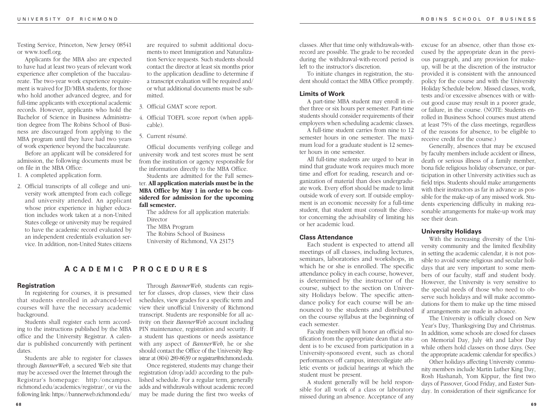Testing Service, Princeton, New Jersey 08541 or www.toefl.org.

Applicants for the MBA also are expected to have had at least two years of relevant work experience after completion of the baccalaureate. The two-year work experience requirement is waived for JD/MBA students, for those who hold another advanced degree, and for full-time applicants with exceptional academic records. However, applicants who hold the Bachelor of Science in Business Administration degree from The Robins School of Business are discouraged from applying to the MBA program until they have had two years of work experience beyond the baccalaureate.

Before an applicant will be considered for admission, the following documents must be on file in the MBA Office:

1. A completed application form.

2. Official transcripts of all college and university work attempted from each college and university attended. An applicant whose prior experience in higher education includes work taken at a non-United States college or university may be required to have the academic record evaluated by an independent credentials evaluation service. In addition, non-United States citizens are required to submit additional documents to meet Immigration and Naturalization Service requests. Such students should contact the director at least six months prior to the application deadline to determine if a transcript evaluation will be required and/ or what additional documents must be submitted.

- 3. Official GMAT score report.
- 4. Official TOEFL score report (when applicable).

5. Current résumé.

Official documents verifying college and university work and test scores must be sent from the institution or agency responsible for the information directly to the MBA Office.

Students are admitted for the Fall semester. **All application materials must be in the MBA Office by May 1 in order to be considered for admission for the upcoming fall semester.**

The address for all application materials: Director The MBA Program The Robins School of Business University of Richmond, VA 23173

# **A CADEMIC P ROCEDURES**

### **Registration**

In registering for courses, it is presumed that students enrolled in advanced-level courses will have the necessary academic background.

Students shall register each term according to the instructions published by the MBA office and the University Registrar. A calendar is published concurrently with pertinent dates.

Students are able to register for classes through *BannerWeb*, a secured Web site that may be accessed over the Internet through the Registrar's homepage: http:/oncampus. richmond.edu/academics/registrar/, or via the following link: https://bannerweb.richmond.edu/

Through *BannerWeb*, students can register for classes, drop classes, view their class schedules, view grades for a specific term and view their unofficial University of Richmond transcript. Students are responsible for all activity on their *BannerWeb* account including PIN maintenance, registration and security. If a student has questions or needs assistance with any aspect of *BannerWeb*, he or she should contact the Office of the University Registrar at (804) 289-8639 or registrar@richmond.edu.

Once registered, students may change their registration (drop/add) according to the published schedule. For a regular term, generally adds and withdrawals without academic record may be made during the first two weeks of

classes. After that time only withdrawals-withrecord are possible. The grade to be recorded during the withdrawal-with-record period is left to the instructor's discretion.

To initiate changes in registration, the student should contact the MBA Office promptly.

#### **Limits of Work**

A part-time MBA student may enroll in either three or six hours per semester. Part-time students should consider requirements of their employers when scheduling academic classes.

A full-time student carries from nine to 12 semester hours in one semester. The maximum load for a graduate student is 12 semester hours in one semester.

All full-time students are urged to bear in mind that graduate work requires much more time and effort for reading, research and organization of material than does undergraduate work. Every effort should be made to limit outside work of every sort. If outside employment is an economic necessity for a full-time student, that student must consult the director concerning the advisability of limiting his or her academic load.

#### **Class Attendance**

Each student is expected to attend all meetings of all classes, including lectures, seminars, laboratories and workshops, in which he or she is enrolled. The specific attendance policy in each course, however, is determined by the instructor of the course, subject to the section on University Holidays below. The specific attendance policy for each course will be announced to the students and distributed on the course syllabus at the beginning of each semester.

Faculty members will honor an official notification from the appropriate dean that a student is to be excused from participation in a University-sponsored event, such as choral performances off campus, intercollegiate athletic events or judicial hearings at which the student must be present.

A student generally will be held responsible for all work of a class or laboratory missed during an absence. Acceptance of any excuse for an absence, other than those excused by the appropriate dean in the previous paragraph, and any provision for makeup, will be at the discretion of the instructor provided it is consistent with the announced policy for the course and with the University Holiday Schedule below. Missed classes, work, tests and/or excessive absences with or without good cause may result in a poorer grade, or failure, in the course. (NOTE: Students enrolled in Business School courses must attend at least 75% of the class meetings, regardless of the reasons for absence, to be eligible to receive credit for the course.)

Generally, absences that may be excused by faculty members include accident or illness, death or serious illness of a family member, bona fide religious holiday observance, or participation in other University activities such as field trips. Students should make arrangements with their instructors as far in advance as possible for the make-up of any missed work. Students experiencing difficulty in making reasonable arrangements for make-up work may see their dean.

# **University Holidays**

With the increasing diversity of the University community and the limited flexibility in setting the academic calendar, it is not possible to avoid some religious and secular holidays that are very important to some members of our faculty, staff and student body. However, the University is very sensitive to the special needs of those who need to observe such holidays and will make accommodations for them to make up the time missed if arrangements are made in advance.

The University is officially closed on New Year's Day, Thanksgiving Day and Christmas. In addition, some schools are closed for classes on Memorial Day, July 4th and Labor Day while others hold classes on those days. (See the appropriate academic calendar for specifics.)

Other holidays affecting University community members include Martin Luther King Day, Rosh Hashanah, Yom Kippur, the first two days of Passover, Good Friday, and Easter Sunday. In consideration of their significance for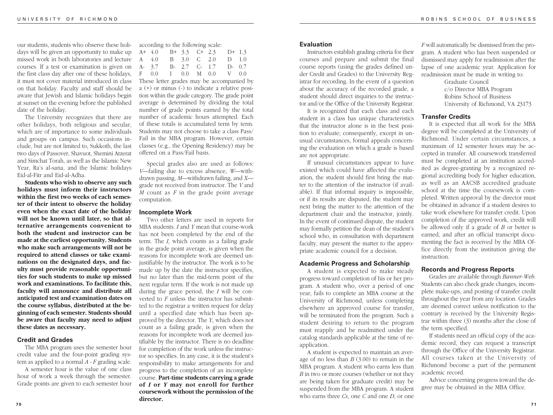our students, students who observe these holidays will be given an opportunity to make up missed work in both laboratories and lecture courses. If a test or examination is given on the first class day after one of these holidays, it must not cover material introduced in class on that holiday. Faculty and staff should be aware that Jewish and Islamic holidays begin at sunset on the evening before the published date of the holiday.

The University recognizes that there are other holidays, both religious and secular, which are of importance to some individuals and groups on campus. Such occasions include, but are not limited to, Sukkoth, the last two days of Passover, Shavuot, Shemini Atzerat and Simchat Torah, as well as the Islamic New Year, Ra's al-sana, and the Islamic holidays Eid-al-Fitr and Eid-al-Adha.

**Students who wish to observe any such holidays must inform their instructors within the first two weeks of each semester of their intent to observe the holiday even when the exact date of the holiday will not be known until later, so that alternative arrangements convenient to both the student and instructor can be made at the earliest opportunity. Students who make such arrangements will not be required to attend classes or take examinations on the designated days, and faculty must provide reasonable opportunities for such students to make up missed work and examinations. To facilitate this, faculty will announce and distribute all anticipated test and examination dates on the course syllabus, distributed at the beginning of each semester. Students should be aware that faculty may need to adjust these dates as necessary.**

# **Credit and Grades**

The MBA program uses the semester hour credit value and the four-point grading system as applied to a normal *A - F* grading scale.

A semester hour is the value of one class hour of work a week through the semester. Grade points are given to each semester hour according to the following scale:

| A+ $4.0$ B+ $3.3$ C+ $2.3$ D+ $1.3$<br>A 4.0 B 3.0 C 2.0 D 1.0<br>A- 3.7 B- 2.7 C- 1.7 D- 0.7<br>F 0.0 I 0.0 M 0.0 V 0.0 |  |  |  |  |
|--------------------------------------------------------------------------------------------------------------------------|--|--|--|--|
|                                                                                                                          |  |  |  |  |
|                                                                                                                          |  |  |  |  |
|                                                                                                                          |  |  |  |  |
|                                                                                                                          |  |  |  |  |

These letter grades may be accompanied by a (+) or minus (-) to indicate a relative position within the grade category. The grade point average is determined by dividing the total number of grade points earned by the total number of academic hours attempted. Each of these totals is accumulated term by term. Students may not choose to take a class Pass/ Fail in the MBA program. However, certain classes (e.g., the Opening Residency) may be offered on a Pass/Fail basis.

Special grades also are used as follows: *V*—failing due to excess absence, *W*—withdrawn passing, *M*—withdrawn failing, and *X* grade not received from instructor. The *V* and *M* count as *F* in the grade point average computation.

#### **Incomplete Work**

Two other letters are used in reports for MBA students. *I* and *Y* mean that course-work has not been completed by the end of the term. The *I*, which counts as a failing grade in the grade point average, is given when the reasons for incomplete work are deemed unjustifiable by the instructor. The work is to be made up by the date the instructor specifies, but no later than the mid-term point of the next regular term. If the work is not made up during the grace period, the *I* will be converted to *F* unless the instructor has submitted to the registrar a written request for delay until a specified date which has been approved by the director. The *Y*, which does not count as a failing grade, is given when the reasons for incomplete work are deemed justifiable by the instructor. There is no deadline for completion of the work unless the instructor so specifies. In any case, it is the student's responsibility to make arrangements for and progress to the completion of an incomplete course. **Part-time students carrying a grade of** *I* **or** *Y* **may not enroll for further coursework without the permission of the director.**

# **Evaluation**

Instructors establish grading criteria for their courses and prepare and submit the final course reports (using the grades defined under Credit and Grades) to the University Registrar for recording. In the event of a question about the accuracy of the recorded grade, a student should direct inquiries to the instructor and/or the Office of the University Registrar.

It is recognized that each class and each student in a class has unique characteristics that the instructor alone is in the best position to evaluate; consequently, except in unusual circumstances, formal appeals concerning the evaluation on which a grade is based are not appropriate.

If unusual circumstances appear to have existed which could have affected the evaluation, the student should first bring the matter to the attention of the instructor (if available). If that informal inquiry is impossible, or if its results are disputed, the student may next bring the matter to the attention of the department chair and the instructor, jointly. In the event of continued dispute, the student may formally petition the dean of the student's school who, in consultation with department faculty, may present the matter to the appropriate academic council for a decision.

# **Academic Progress and Scholarship**

A student is expected to make steady progress toward completion of his or her program. A student who, over a period of one year, fails to complete an MBA course at the University of Richmond, unless completing elsewhere an approved course for transfer, will be terminated from the program. Such a student desiring to return to the program must reapply and be readmitted under the catalog standards applicable at the time of reapplication.

A student is expected to maintain an average of no less than *B* (3.00) to remain in the MBA program. A student who earns less than *B* in two or more courses (whether or not they are being taken for graduate credit) may be suspended from the MBA program. A student who earns three *Cs*, one *C* and one *D*, or one

*F* will automatically be dismissed from the program. A student who has been suspended or dismissed may apply for readmission after the lapse of one academic year. Application for readmission must be made in writing to:

> Graduate Council c/o Director MBA Program Robins School of Business University of Richmond, VA 23173

# **Transfer Credits**

It is expected that all work for the MBA degree will be completed at the University of Richmond. Under certain circumstances, a maximum of 12 semester hours may be accepted in transfer. All coursework transferred must be completed at an institution accredited as degree-granting by a recognized regional accrediting body for higher education, as well as an AACSB accredited graduate school at the time the coursework is completed. Written approval by the director must be obtained in advance if a student desires to take work elsewhere for transfer credit. Upon completion of the approved work, credit will be allowed only if a grade of *B* or better is earned, and after an official transcript documenting the fact is received by the MBA Office directly from the institution giving the instruction.

# **Records and Progress Reports**

Grades are available through *Banner-Web*. Students can also check grade changes, incomplete make-ups, and posting of transfer credit throughout the year from any location. Grades are deemed correct unless notification to the contrary is received by the University Registrar within three (3) months after the close of the term specified.

If students need an official copy of the academic record, they can request a transcript through the Office of the University Registrar. All courses taken at the University of Richmond become a part of the permanent academic record.

Advice concerning progress toward the degree may be obtained in the MBA Office.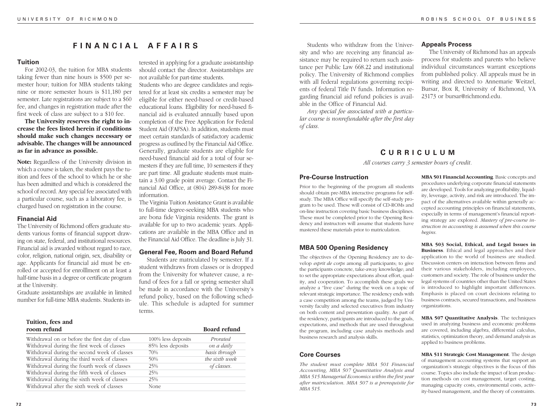# **FINANCIAL AFFAIRS**

# **Tuition**

For 2002-03, the tuition for MBA students taking fewer than nine hours is \$500 per semester hour; tuition for MBA students taking nine or more semester hours is \$11,180 per semester. Late registrations are subject to a \$60 fee, and changes in registration made after the first week of class are subject to a \$10 fee.

**The University reserves the right to increase the fees listed herein if conditions should make such changes necessary or advisable. The changes will be announced as far in advance as possible.**

**Note:** Regardless of the University division in which a course is taken, the student pays the tuition and fees of the school to which he or she has been admitted and which is considered the school of record. Any special fee associated with a particular course, such as a laboratory fee, is charged based on registration in the course.

#### **Financial Aid**

The University of Richmond offers graduate students various forms of financial support drawing on state, federal, and institutional resources. Financial aid is awarded without regard to race, color, religion, national origin, sex, disability or age. Applicants for financial aid must be enrolled or accepted for enrolllment on at least a half-time basis in a degree or certificate program at the University.

Graduate assistantships are available in limited number for full-time MBA students. Students in-

**Tuition, fees and**

terested in applying for a graduate assistantship should contact the director. Assistantships are not available for part-time students.

Students who are degree candidates and registered for at least six credits a semester may be eligible for either need-based or credit-based educational loans. Eligibility for need-based financial aid is evaluated annually based upon completion of the Free Application for Federal Student Aid (FAFSA). In addition, students must meet certain standards of satisfactory academic progress as outlined by the Financial Aid Office. Generally, graduate students are eligible for need-based financial aid for a total of four semesters if they are full time, 10 semesters if they are part time. All graduate students must maintain a 3.00 grade point average. Contact the Financial Aid Office, at (804) 289-8438 for more information.

The Virginia Tuition Assistance Grant is available to full-time degree-seeking MBA students who are bona fide Virginia residents. The grant is available for up to two academic years. Applications are available in the MBA Office and in the Financial Aid Office. The deadline is July 31.

# **General Fee, Room and Board Refund**

Students are matriculated by semester. If a student withdraws from classes or is dropped from the University for whatever cause, a refund of fees for a fall or spring semester shall be made in accordance with the University's refund policy, based on the following schedule. This schedule is adapted for summer terms.

| Tunnun, Res anu                                |                    |                     |
|------------------------------------------------|--------------------|---------------------|
| room refund                                    |                    | <b>Board refund</b> |
| Withdrawal on or before the first day of class | 100% less deposits | Prorated            |
| Withdrawal during the first week of classes    | 85% less deposits  | on a daily          |
| Withdrawal during the second week of classes   | 70%                | basis through       |
| Withdrawal during the third week of classes    | 50%                | the sixth week      |
| Withdrawal during the fourth week of classes   | 25%                | of classes.         |
| Withdrawal during the fifth week of classes    | 25%                |                     |
| Withdrawal during the sixth week of classes    | 25%                |                     |
| Withdrawal after the sixth week of classes     | None               |                     |

Students who withdraw from the University and who are receiving any financial assistance may be required to return such assistance per Public Law 668.22 and institutional policy. The University of Richmond complies with all federal regulations governing recipients of federal Title IV funds. Information regarding financial aid refund policies is available in the Office of Financial Aid.

*Any special fee associated with a particular course is nonrefundable after the first day of class.*

# **Appeals Process**

The University of Richmond has an appeals process for students and parents who believe individual circumstances warrant exceptions from published policy. All appeals must be in writing and directed to Annemarie Weitzel, Bursar, Box R, University of Richmond, VA 23173 or bursar@richmond.edu.

# **C URRICULUM**

*All courses carry 3 semester hours of credit.*

# **Pre-Course Instruction**

Prior to the beginning of the program all students should obtain pre-MBA interactive programs for selfstudy. The MBA Office will specify the self-study program to be used. These will consist of CD-ROMs and on-line instruction covering basic business disciplines. These must be completed prior to the Opening Residency and instructors will assume that students have mastered these materials prior to matriculation.

# **MBA 500 Opening Residency**

The objectives of the Opening Residency are to develop *esprit de corps* among all participants; to give the participants concrete, take-away knowledge; and to set the appropriate expectations about effort, quality, and cooperation. To accomplish these goals we analyze a "live case" during the week on a topic of relevant strategic importance. The residency ends with a case competition among the teams, judged by University faculty and selected executives from industry on both content and presentation quality. As part of the residency, participants are introduced to the goals, expectations, and methods that are used throughout the program, including case analysis methods and business research and analysis skills.

# **Core Courses**

*The student must complete MBA 501 Financial Accounting, MBA 507 Quantitative Analysis and MBA 515 Managerial Economics within the first year after matriculation*. *MBA 507 is a prerequisite for MBA 515.*

**MBA 501 Financial Accounting**. Basic concepts and procedures underlying corporate financial statements are developed. Tools for analyzing profitability, liquidity, leverage, activity, and risk are introduced. The impact of the alternatives available within generally accepted accounting principles on financial statements, especially in terms of management's financial reporting strategy are explored. *Mastery of pre-course instruction in accounting is assumed when this course begins.*

**MBA 503 Social, Ethical, and Legal Issues in Business**. Ethical and legal approaches and their application to the world of business are studied. Discussion centers on interaction between firms and their various stakeholders, including employees, customers and society. The role of business under the legal systems of countries other than the United States is introduced to highlight important differences. Emphasis is placed on court decisions relating to business contracts, secured transactions, and business organizations.

**MBA 507 Quantitative Analysis**. The techniques used in analyzing business and economic problems are covered, including algebra, differential calculus, statistics, optimization theory, and demand analysis as applied to business problems.

**MBA 511 Strategic Cost Management**. The design of management accounting systems that support an organization's strategic objectives is the focus of this course. Topics also include the impact of lean production methods on cost management, target costing, managing capacity costs, environmental costs, activity-based management, and the theory of constraints.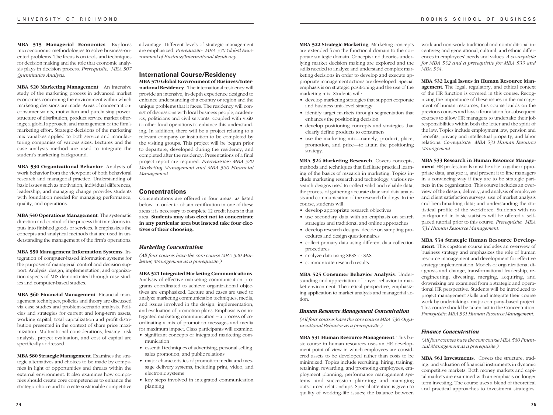**MBA 515 Managerial Economics**. Explores microeconomic methodologies to solve business-oriented problems. The focus is on tools and techniques for decision making and the role that economic analysis plays in decision process. *Prerequisite: MBA 507 Quantitative Analysis*.

**MBA 520 Marketing Management**. An intensive study of the marketing process in advanced market economies concerning the environment within which marketing decisions are made. Areas of concentration: consumer wants, motivation and purchasing power, structure of distribution; product service market offerings; a global approach; and management of the firm's marketing effort. Strategic decisions of the marketing mix variables applied to both service and manufacturing companies of various sizes. Lectures and the case analysis method are used to integrate the student's marketing background.

**MBA 530 Organizational Behavior**. Analysis of work behavior from the viewpoint of both behavioral research and managerial practice. Understanding of basic issues such as motivation, individual differences, leadership, and managing change provides students with foundation needed for managing performance, quality, and operations.

**MBA 540 Operations Management**. The systematic direction and control of the process that transforms inputs into finished goods or services. It emphasizes the concepts and analytical methods that are used in understanding the management of the firm's operations.

**MBA 550 Management Information Systems**. Integration of computer-based information systems for the purposes of managerial control and decision support. Analysis, design, implementation, and organization aspects of MIS demonstrated through case studies and computer-based studies.

**MBA 560 Financial Management**. Financial management techniques, policies and theory are discussed via case studies and problem-scenario analysis. Policies and strategies for current and long-term assets, working capital, total capitalization and profit distribution presented in the context of share price maximization. Multinational considerations, leasing, risk analysis, project evaluation, and cost of capital are specifically addressed.

**MBA 580 Strategic Management**. Examines the strategic alternatives and choices to be made by companies in light of opportunities and threats within the external environment. It also examines how companies should create core competencies to enhance the strategic choice and to create sustainable competitive advantage. Different levels of strategic management are emphasized. *Prerequisite: MBA 570 Global Environment of Business/International Residency.*

#### **International Course/Residency MBA 570 Global Environment of Business/Inter-**

**national Residency**.The international residency will provide an intensive, in-depth experience designed to enhance understanding of a country or region and the unique problems that it faces. The residency will consist of discussions with local business people, academics, politicians and civil servants, coupled with visits to other local operations to enhance this understanding. In addition, there will be a project relating to a relevant company or institution to be completed by the visiting groups. This project will be begun prior to departure, developed during the residency, and completed after the residency. Presentations of a final project report are required. *Prerequisites: MBA 520 Marketing Management and MBA 560 Financial Management.*

#### **Concentrations**

Concentrations are offered in four areas, as listed below. In order to obtain certification in one of these areas it is necessary to complete 12 credit hours in that area. **Students may also elect not to concentrate in any particular area but instead take four electives of their choosing.**

#### *Marketing Concentration*

*(All four courses have the core course MBA 520 Marketing Management as a prerequisite.)*

# **MBA 521 Integrated Marketing Communications**.

Analysis of effective marketing communication programs coordinated to achieve organizational objectives are emphasized. Lecture and cases are used to analyze marketing communication techniques, media, and issues involved in the design, implementation, and evaluation of promotion plans. Emphasis is on integrated marketing communication – a process of coordinating a mix of promotion messages and media for maximum impact. Class participants will examine:

- significant concepts of integrated marketing communication
- essential techniques of advertising, personal selling, sales promotion, and public relations
- major characteristics of promotion media and message delivery systems, including print, video, and electronic systems
- key steps involved in integrated communication planning

**MBA 522 Strategic Marketing**. Marketing concepts are extended from the functional domain to the corporate strategic domain. Concepts and theories underlying market decision making are explored and the skills needed to analyze and understand complex marketing decisions in order to develop and execute appropriate management actions are developed. Special emphasis is on strategic positioning and the use of the marketing mix. Students will:

- develop marketing strategies that support corporate and business unit-level strategy
- identify target markets through segmentation that enhances the positioning decision
- develop positioning concepts and strategies that clearly define products to consumers
- use the marketing mix—namely, product, place, promotion, and price—to attain the positioning strategy.

**MBA 524 Marketing Research**. Covers concepts, methods and techniques that facilitate practical learning of the basics of research in marketing. Topics include marketing research and technology; various research designs used to collect valid and reliable data; the process of gathering accurate data; and data analysis and communication of the research findings. In the course, students will:

- develop appropriate research objectives
- use secondary data with an emphasis on search strategies and traditional and online approaches
- develop research designs, decide on sampling procedures and design questionnaires
- collect primary data using different data collection procedures
- analyze data using SPSS or SAS
- communicate research results.

**MBA 525 Consumer Behavior Analysis**. Understanding and appreciation of buyer behavior in market environment. Theoretical perspective, emphasizing application to market analysis and managerial action.

#### *Human Resource Management Concentration*

*(All four courses have the core course MBA 530 Organizational Behavior as a prerequisite.)*

**MBA 531 Human Resource Management**. This basic course in human resources uses an HR development point of view in which employees are considered assets to be developed rather than costs to be minimized. Topics include recruiting, hiring, training, retaining, rewarding, and promoting employees; employment planning, performance management systems, and succession planning; and managing outsourced relationships. Special attention is given to quality of working-life issues; the balance between

work and non-work; traditional and nontraditional incentives; and generational, cultural, and ethnic differences in employees' needs and values. *A co-requisite for MBA 532 and a prerequisite for MBA 533 and MBA 534.*

**MBA 532 Legal Issues in Human Resource Man-**

**agement**. The legal, regulatory, and ethical context of the HR function is covered in this course. Recognizing the importance of these issues in the management of human resources, this course builds on the previous courses and lays a foundation for subsequent courses to allow HR managers to undertake their job responsibilities within both the letter and the spirit of the law. Topics include employment law, pension and benefits, privacy and intellectual property, and labor relations. *Co-requisite: MBA 531 Human Resource Management.*

**MBA 533 Research in Human Resource Manage-**

**ment**. HR professionals must be able to gather appropriate data, analyze it, and present it to line managers in a convincing way if they are to be strategic partners in the organization. This course includes an overview of the design, delivery, and analysis of employee and client satisfaction surveys; use of market analysis and benchmarking data; and understanding the statistical profile of the workforce. Students with no background in basic statistics will be offered a selfpaced tutorial prior to this course. *Prerequisite: MBA 531 Human Resource Management.*

**MBA 534 Strategic Human Resource Develop-**

**ment**. This capstone course includes an overview of business strategy and emphasizes the role of human resource management and development for effective strategy implementation. Models of organizational diagnosis and change, transformational leadership, reengineering, divesting, merging, acquiring, and downsizing are examined from a strategic and operational HR perspective. Students will be introduced to project management skills and integrate their course work by undertaking a major company-based project. This course should be taken last in the Concentration. *Prerequisite: MBA 531 Human Resource Management.*

#### *Finance Concentration*

*(All four courses have the core course MBA 560 Financial Management as a prerequisite.)*

**MBA 561 Investments**. Covers the structure, trading, and valuation of financial instruments in dynamic competitive markets. Both money markets and capital markets are examined with an emphasis on longer term investing. The course uses a blend of theoretical and practical approaches to investment strategies.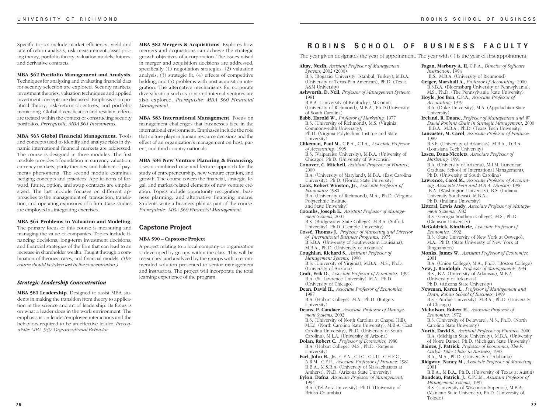Specific topics include market efficiency, yield and rate of return analysis, risk measurement, asset pricing theory, portfolio theory, valuation models, futures, and derivative contracts.

#### **MBA 562 Portfolio Management and Analysis**.

Techniques for analyzing and evaluating financial data for security selection are explored. Security markets, investment theories, valuation techniques and applied investment concepts are discussed. Emphasis is on political theory, risk/return objectives, and portfolio monitoring. Global diversification and resultant effects are treated within the context of constructing security portfolios. *Prerequisite: MBA 561 Investments.*

**MBA 563 Global Financial Management**. Tools and concepts used to identify and analyze risks in dynamic international financial markets are addressed. The course is designed in three modules. The first module provides a foundation in currency valuation, currency markets, parity theories, and balance of payments phenomena. The second module examines hedging concepts and practices. Applications of forward, future, option, and swap contracts are emphasized. The last module focuses on different approaches to the management of transaction, translation, and operating exposures of a firm. Case studies are employed as integrating exercises.

#### **MBA 564 Problems in Valuation and Modeling**.

The primary focus of this course is measuring and managing the value of companies. Topics include financing decisions, long-term investment decisions, and financial strategies of the firm that can lead to an increase in shareholder wealth. Taught through a combination of theories, cases, and financial models. *(This course should be taken last in the concentration.)*

#### *Strategic Leadership Concentration*

**MBA 581 Leadership**. Designed to assist MBA students in making the transition from theory to application in the science and art of leadership. Its focus is on what a leader does in the work environment. The emphasis is on leader/employee interactions and the behaviors required to be an effective leader. *Prerequisite: MBA 530 Organizational Behavior.*

**MBA 582 Mergers & Acquisitions**. Explores how mergers and acquisitions can achieve the strategic growth objectives of a corporation. The issues raised in merger and acquisition decisions are addressed, specifically (1) negotiation strategies, (2) valuation analysis, (3) strategic fit, (4) effects of competitive bidding, and (5) problems with post acquisition integration. The alternative mechanisms for corporate diversification such as joint and internal ventures are also explored. *Prerequisite: MBA 560 Financial Management.*

**MBA 583 International Management**. Focus on management challenges that businesses face in the international environment. Emphases include the role that culture plays in human resource decisions and the effect of an organization's management on host, parent, and third country nationals.

**MBA 584 New Venture Planning & Financing.** Uses a combined case and lecture approach for the study of entrepreneurship, new venture creation, and growth. The course covers the financial, strategic, legal, and market-related elements of new venture creation. Topics include opportunity recognition, business planning, and alternative financing means. Students write a business plan as part of the course. *Prerequisite: MBA 560 Financial Management.*

#### **Capstone Project**

#### **MBA 590 – Capstone Project**

A project relating to a local company or organization is developed by groups within the class. This will be researched and analyzed by the groups with a recommended solution presented to senior management and instructors. The project will incorporate the total learning experience of the program.

# **R OBINS S CHOOL O F BUSINESS FACULTY**

The year given designates the year of appointment. The year with ( ) is the year of first appointment.

**Altay, Nezih,** *Assistant Professor of Management Systems;* 2002 (2000) B.S. (Bogazici University, Istanbul, Turkey), M.B.A. (University of Texas-Pan American), Ph.D. (Texas A&M University) **Ashworth, D. Neil**, *Professor of Management Systems;* 1981 B.B.A. (University of Kentucky), M.Comm. (University of Richmond), M.B.A., Ph.D.(University of South Carolina) **Babb, Harold W.**, *Professor of Marketing;* 1977 B.S. (University of Richmond), M.S. (Virginia Commonwealth University), Ph.D. (Virginia Polytechnic Institue and State University) **Clikeman, Paul M.,** C.P.A., C.I.A., *Associate Professor of Accounting,* 1995 B.S. (Valparaiso University), M.B.A. (University of Chicago), Ph.D. (University of Wisconsin) **Conover, C. Mitchell**, *Assistant Professor of Finance;* 2000 B.A. (University of Maryland), M.B.A. (East Carolina University), Ph.D. (Florida State University) **Cook, Robert Winston, Jr.**, *Associate Professor of Economics;* 1980 B.A. (University of Richmond), M.A., Ph.D. (Virginia Polytechnic Institute and State University) **Coombs, Joseph E.**, *Assistant Professor of Management Systems,* 2001 B.S. (Bridgewater State College), M.B.A. (Suffolk University), Ph.D. (Temple University) **Cossé, Thomas J.**, *Professor of Marketing and Director of International Business Programs;* 1975 B.S.B.A. (University of Southwestern Louisiana), M.B.A., Ph.D. (University of Arkansas) **Coughlan, Richard S.**, *Assistant Professor of Management Systems;* 1998 B.S. (University of Virginia), M.B.A., M.S., Ph.D. (University of Arizona) **Craft, Erik D.**, *Associate Professor of Economics,* 1994 B.A. (St. Lawrence University). M.A., Ph.D. (University of Chicago) **Dean, David H.**, *Associate Professor of Economics;* 1987 B.A. (Hobart College), M.A., Ph.D. (Rutgers University) **Deans, P. Candace**, *Associate Professor of Management Systems,* 2002 B.S. (University of North Carolina at Chapel Hill), M.Ed. (North Carolina State University), M.B.A. (East Carolina University), Ph.D. (University of South Carolina), M.L.A. (University of Arizona) **Dolan, Robert C.**, *Professor of Economics;* 1980 B.A. (Hobart College), M.S., Ph.D. (Rutgers University) **Earl, John H., Jr.**, C.F.A., C.I.C., C.L.U., C.H.F.C., A.R.M., C.F.P., *Associate Professor of Finance;* 1981 B.B.A., M.S.B.A. (University of Massachusetts at Amherst), Ph.D. (Arizona State University) **Eylon, Dafna**, *Associate Professor of Management;* 1994 B.A. (Tel-Aviv University), Ph.D. (University of British Columbia) **Fagan, Marbury A. II,** C.P.A., *Director of Software*

**7 6 7 7** *Instruction***,** 1994 B.S., M.B.A. (University of Richmond) **Geiger, Marshall A.,** *Professor of Accounting;* 2000 B.S.B.A. (Bloomsburg University of Pennsylvania), M.S., Ph.D. (The Pennsylvania State University) **Hoyle, Joe Ben,** C.P.A.*, Associate Professor of Accounting;* 1979 B.A. (Duke University), M.A. (Appalachian State University) **Ireland, R. Duane,** *Professor of Management and W. David Robbins Chair in Strategic Management***,** 2000 B.B.A., M.B.A., Ph.D. (Texas Tech University) **Lancaster, M. Carol**, *Associate Professor of Finance;* 1989 B.S.E. (University of Arkansas), M.B.A., D.B.A. (Louisiana Tech University) **Lascu, Dana-Nicoleta**, *Associate Professor of Marketing;* 1991 B.A. (University of Arizona), M.I.M. (American Graduate School of International Management), Ph.D. (University of South Carolina) **Lawrence, Carol M.,** *Associate Professor of Accounting, Associate Dean and M.B.A. Director;* 1996 B.A. (Washington University), B.S. (Indiana University Southeast), M.B.A., Ph.D. (Indiana University) **Litteral, Lewis Andy**, *Associate Professor of Management Systems;* 1982 B.S. (Georgia Southern College), M.S., Ph.D. (Clemson University) **McGoldrick, KimMarie**, *Associate Professor of Economics;* 1992 B.S. (State University of New York at Oswego), M.A., Ph.D. (State University of New York at Binghamton) **Monks, James W.**, *Assistant Professor of Economics;* 2001 B.A. (Union College), M.A., Ph.D. (Boston College) **New, J. Randolph**, *Professor of Management*; 1994 B.S., B.A. (University of Arkansas), M.B.A. (University of Arkansas), Ph.D. (Arizona State University) **Newman, Karen L.**, *Professor of Management and Dean, Robins School of Business*; 1999 B.S. (Purdue University), M.B.A., Ph.D. (University of Chicago) **Nicholson, Robert H.**, *Associate Professor of Economics;* 1972 B.S. (University of Delaware), M.S., Ph.D. (North Carolina State University) **North, David S.**, *Assistant Professor of Finance*; 2000 B.A. (Michigan State University), M.B.A. (University of Notre Dame), Ph.D. (Michigan State University) **Raines, J. Patrick**, *Professor of Economics, The F. Carlyle Tiller Chair in Business;* 1982 B.A., M.A., Ph.D. (University of Alabama) **Ridgway, Nancy M.,** *Associate Professor of Marketing*; 2001 B.B.A., M.B.A., Ph.D. (University of Texas at Austin) **Rondeau, Patrick, J.,** C.P.I.M.*, Assistant Professor of Management Systems,* 1997 B.S. (University of Wisconsin-Superior), M.B.A. (Mankato State University), Ph.D. (University of Toledo)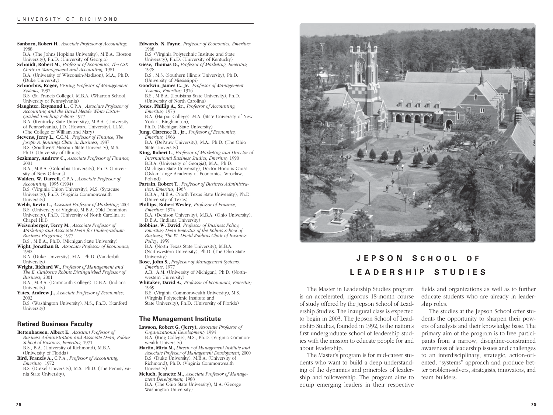**Sanborn, Robert H.**, *Associate Professor of Accounting;* 1988 B.A. (The Johns Hopkins University), M.B.A. (Boston

University), Ph.D. (University of Georgia)

- **Schmidt, Robert M.**, *Professor of Economics, The CSX Chair in Management and Accounting,* 1981 B.A. (University of Wisconsin-Madison), M.A., Ph.D. (Duke University)
- **Schnorbus, Roger,** *Visiting Professor of Management Systems,* 1997

B.S. (St. Francis College), M.B.A. (Wharton School, University of Pennsylvania)

**Slaughter, Raymond L.,** C.P.A.*, Associate Professor of Accounting and the David Meade White Distinguished Teaching Fellow;* 1977 B.A. (Kentucky State University), M.B.A. (University of Pennsylvania), J.D. (Howard University), LL.M. (The College of William and Mary)

**Stevens, Jerry L.**, C.C.M., *Professor of Finance, The Joseph A. Jennings Chair in Business;* 1987 B.S. (Southwest Missouri State University), M.S., Ph.D. (University of Illinois)

**Szakmary, Andrew C.,** *Associate Professor of Finance;* 2001

B.A., M.B.A. (Columbia University), Ph.D. (University of New Orleans)

**Walden, W. Darrell,** C.P.A., *Associate Professor of Accounting*, 1995 (1994) B.S. (Virginia Union University), M.S. (Syracuse University), Ph.D. (Virginia Commonwealth University)

**Webb, Kevin L.,** *Assistant Professor of Marketing*; 2001 B.S. (University of Virgina), M.B.A. (Old Dominion University), Ph.D. (University of North Carolina at Chapel Hill)

**Weisenberger, Terry M.**, *Associate Professor of Marketing and Associate Dean for Undergraduate Business Programs;* 1977 B.S., M.B.A., Ph.D. (Michigan State University)

**Wight, Jonathan B.**, *Associate Professor of Economics;* 1982

B.A. (Duke University), M.A., Ph.D. (Vanderbilt University)

**Wright, Richard W.,** *Professor of Management and The E. Claiborne Robins Distinguished Professor of Business;* 2001 B.A., M.B.A. (Dartmouth College), D.B.A. (Indiana

University)

**Yates, Andrew J.,** *Associate Professor of Economics*; 2002

B.S. (Washington University), M.S., Ph.D. (Stanford University)

# **Retired Business Faculty**

**Bettenhausen, Albert E.**, *Assistant Professor of Business Administration and Associate Dean, Robins School of Business, Emeritus;* 1971 B.S., B.A. (University of Richmond), M.B.A. (University of Florida)

**Bird, Francis A.,** C.P.A., *Professor of Accounting, Emeritus;* 1972 B.S. (Drexel University), M.S., Ph.D. (The Pennsylva-

nia State University),

- **Edwards, N. Fayne**, *Professor of Economics, Emeritus;* 1968
- B.S. (Virginia Polytechnic Institute and State
- University), Ph.D. (University of Kentucky) **Giese, Thomas D.,** *Professor of Marketing, Emeritus*;
- 1978 B.S., M.S. (Southern Illinois University), Ph.D.
- (University of Mississippi) **Goodwin, James C., Jr.**, *Professor of Management*
- *Systems, Emeritus;* 1976
- B.S., M.B.A. (Louisiana State University), Ph.D. (University of North Carolina)
- **Jones, Phillip A., Sr.**, *Professor of Accounting, Emeritus*; 1973 B.A. (Harpur College), M.A. (State University of New
	- York at Binghamton), Ph.D. (Michigan State University)
- **Jung, Clarence R., Jr.**, *Professor of Economics, Emeritus;* 1966
- B.A. (DePauw University), M.A., Ph.D. (The Ohio State University)
- **King, Robert L.**, *Professor of Marketing and Director of International Business Studies, Emeritus;* 1990 B.B.A. (University of Georgia), M.A., Ph.D. (Michigan State University), Doctor Honoris Causa (Oskar Lange Academy of Economics, Wroclaw, Poland)

**Partain, Robert T.**, *Professor of Business Administration, Emeritus;* 1963 B.B.A., M.B.A. (North Texas State University), Ph.D. (University of Texas)

**Phillips, Robert Wesley**, *Professor of Finance, Emeritus;* 1974 B.A. (Denison University), M.B.A. (Ohio University),

D.B.A. (Indiana University)

**Robbins, W. David**, *Professor of Business Policy, Emeritus; Dean Emeritus of the Robins School of Business; The W. David Robbins Chair of Business Policy;* 1959 B.A. (North Texas State University), M.B.A.

(Northwestern University), Ph.D. (The Ohio State University)

**Rose, John S.,** *Professor of Management Systems, Emeritus*; 1977

A.B., A.M. (University of Michigan), Ph.D. (Northwestern University)

**Whitaker, David A.**, *Professor of Economics, Emeritus;* 1969

B.S. (Virginia Commonwealth University), M.S. (Virginia Polytechnic Institute and State University), Ph.D. (University of Florida)

# **The Management Institute**

**Lawson, Robert G. (Jerry),** *Associate Professor of Organizational Development;* 1994 B.A. (King College), M.S., Ph.D. (Virginia Commonwealth University)

**Martin, Mirta M.,** *Director of Management Institute and Associate Professor of Management Development*; 2000 B.S. (Duke University), M.B.A. (University of Richmond), Ph.D. (Virginia Commonwealth University)

**Meluch, Jeanette M.**, *Associate Professor of Management Development;* 1988 B.A. (The Ohio State University), M.A. (George Washington University)



# **JEPSON S CHOOL O F LEADERSHIP STUDIES**

The Master in Leadership Studies program is an accelerated, rigorous 18-month course of study offered by the Jepson School of Leadership Studies. The inaugural class is expected to begin in 2003. The Jepson School of Leadership Studies, founded in 1992, is the nation's first undergraduate school of leadership studies with the mission to educate people for and about leadership.

The Master's program is for mid-career students who want to build a deep understanding of the dynamics and principles of leadership and followership. The program aims to equip emerging leaders in their respective fields and organizations as well as to further educate students who are already in leadership roles.

The studies at the Jepson School offer students the opportunity to sharpen their powers of analysis and their knowledge base. The primary aim of the program is to free participants from a narrow, discipline-constrained awareness of leadership issues and challenges to an interdisciplinary, strategic, action-oriented, "systems" approach and produce better problem-solvers, strategists, innovators, and team builders.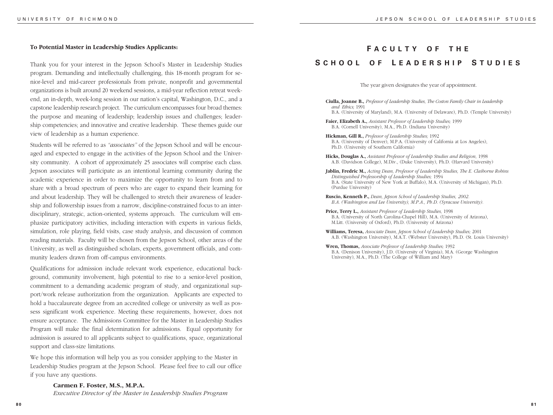#### **To Potential Master in Leadership Studies Applicants:**

Thank you for your interest in the Jepson School's Master in Leadership Studies program. Demanding and intellectually challenging, this 18-month program for senior-level and mid-career professionals from private, nonprofit and governmental organizations is built around 20 weekend sessions, a mid-year reflection retreat weekend, an in-depth, week-long session in our nation's capital, Washington, D.C., and a capstone leadership research project. The curriculum encompasses four broad themes: the purpose and meaning of leadership; leadership issues and challenges; leadership competencies; and innovative and creative leadership. These themes guide our view of leadership as a human experience.

Students will be referred to as *"associates"* of the Jepson School and will be encouraged and expected to engage in the activities of the Jepson School and the University community. A cohort of approximately 25 associates will comprise each class. Jepson associates will participate as an intentional learning community during the academic experience in order to maximize the opportunity to learn from and to share with a broad spectrum of peers who are eager to expand their learning for and about leadership. They will be challenged to stretch their awareness of leadership and followership issues from a narrow, discipline-constrained focus to an interdisciplinary, strategic, action-oriented, systems approach. The curriculum will emphasize participatory activities, including interaction with experts in various fields, simulation, role playing, field visits, case study analysis, and discussion of common reading materials. Faculty will be chosen from the Jepson School, other areas of the University, as well as distinguished scholars, experts, government officials, and community leaders drawn from off-campus environments.

Qualifications for admission include relevant work experience, educational background, community involvement, high potential to rise to a senior-level position, commitment to a demanding academic program of study, and organizational support/work release authorization from the organization. Applicants are expected to hold a baccalaureate degree from an accredited college or university as well as possess significant work experience. Meeting these requirements, however, does not ensure acceptance. The Admissions Committee for the Master in Leadership Studies Program will make the final determination for admissions. Equal opportunity for admission is assured to all applicants subject to qualifications, space, organizational support and class-size limitations.

We hope this information will help you as you consider applying to the Master in Leadership Studies program at the Jepson School. Please feel free to call our office if you have any questions.

#### **Carmen F. Foster, M.S., M.P.A.**

*Executive Director of the Master in Leadership Studies Program*

# **F ACULTY O F THE S CHOOL O F L EADERSHIP S TUDIES**

The year given designates the year of appointment.

- **Ciulla, Joanne B.,** *Professor of Leadership Studies, The Coston Family Chair in Leadership and Ethics;* 1991 B.A. (University of Maryland), M.A. (University of Delaware), Ph.D. (Temple University)
- **Faier, Elizabeth A.,** *Assistant Professor of Leadership Studies;* 1999 B.A. (Cornell University), M.A., Ph.D. (Indiana University)
- **Hickman, Gill R.,** *Professor of Leadership Studies;* 1992 B.A. (University of Denver), M.P.A. (University of California at Los Angeles), Ph.D. (University of Southern California)
- **Hicks, Douglas A.,** *Assistant Professor of Leadership Studies and Religion,* 1998 A.B. (Davidson College), M.Div., (Duke University), Ph.D. (Harvard University)
- **Jablin, Fredric M.,** *Acting Dean, Professor of Leadership Studies, The E. Claiborne Robins Distinguished Professorship of Leadership Studies;* 1994 B.A. (State University of New York at Buffalo), M.A. (University of Michigan), Ph.D. (Purdue University)
- **Ruscio, Kenneth P.,** *Dean, Jepson School of Leadership Studies, 2002. B.A. (Washington and Lee University), M.P.A., Ph.D. (Syracuse University).*
- **Price, Terry L.,** *Assistant Professor of Leadership Studies,* 1998 B.A. (University of North Carolina-Chapel Hill), M.A. (University of Arizona), M.Litt. (University of Oxford), Ph.D. (University of Arizona)
- **Williams, Teresa,** *Associate Dean, Jepson School of Leadership Studies;* 2001 A.B. (Washington University), M.A.T. (Webster University), Ph.D. (St. Louis University)
- **Wren, Thomas,** *Associate Professor of Leadership Studies;* 1992 B.A. (Denison University), J.D. (University of Virginia), M.A. (George Washington University), M.A., Ph.D. (The College of William and Mary)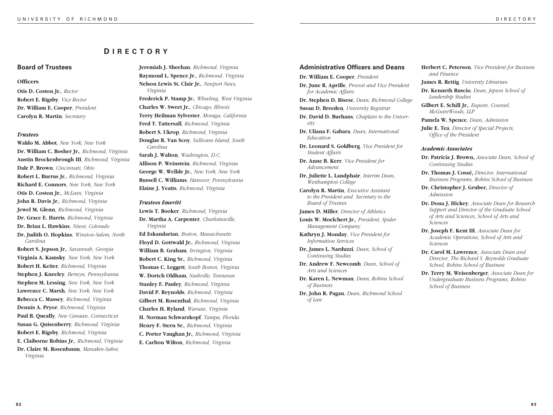# **D IRECTORY**

### **Board of Trustees**

#### **Officers**

**Otis D. Coston Jr.***, Rector* **Robert E. Rigsby***, Vice Rector* **Dr. William E. Cooper***, President* **Carolyn R. Martin***, Secretary*

#### *Trustees*

*Carolina*

**Waldo M. Abbot***, New York, New York* **Dr. William C. Bosher Jr.***, Richmond, Virginia* **Austin Brockenbrough III***, Richmond, Virginia* **Dale P. Brown***, Cincinnati, Ohio* **Robert L. Burrus Jr.***, Richmond, Virginia* **Richard E. Connors***, New York, New York* **Otis D. Coston Jr.***, McLean, Virginia* **John R. Davis Jr.***, Richmond, Virginia* **Jewel M. Glenn***, Richmond, Virginia* **Dr. Grace E. Harris***, Richmond, Virginia* **Dr. Brian L. Hawkins***, Niwot, Colorado* **Dr. Judith O. Hopkins***, Winston-Salem, North*

**Robert S. Jepson Jr.***, Savannah, Georgia* **Virginia A. Kamsky***, New York, New York* **Robert H. Keiter***, Richmond, Virginia* **Stephen J. Kneeley***, Berwyn, Pennsylvania* **Stephen M. Lessing***, New York, New York* **Lawrence C. Marsh***, New York, New York* **Rebecca C. Massey***, Richmond, Virginia* **Dennis A. Pryor***, Richmond, Virginia* **Paul B. Queally***, New Canaan, Connecticut* **Susan G. Quisenberry***, Richmond, Virginia* **Robert E. Rigsby***, Richmond, Virginia* **E. Claiborne Robins Jr.***, Richmond, Virginia* **Dr. Claire M. Rosenbaum***, Manakin-Sabot, Virginia*

**Jeremiah J. Sheehan***, Richmond, Virginia* **Raymond L. Spence Jr.***, Richmond, Virginia* **Nelson Lewis St. Clair Jr.***, Newport News, Virginia*

**Frederick P. Stamp Jr.***, Wheeling, West Virginia* **Charles W. Sweet Jr.***, Chicago, Illinois* **Terry Heilman Sylvester***, Moraga, California* **Fred T. Tattersall***, Richmond, Virginia* **Robert S. Ukrop***, Richmond, Virginia* **Douglas R. Van Scoy***, Sullivans Island, South Carolina*

**Sarah J. Walton***, Washington, D.C.* **Allison P. Weinstein***, Richmond, Virginia* **George W. Wellde Jr.***, New York, New York* **Russell C. Williams***, Hanover, Pennsylvania* **Elaine J. Yeatts***, Richmond, Virginia*

### *Trustees Emeriti*

**Lewis T. Booker***, Richmond, Virginia* **Dr. Martha A. Carpenter***, Charlottesville, Virginia*

**Ed Eskandarian***, Boston, Massachusetts* **Floyd D. Gottwald Jr.***, Richmond, Virginia* **William B. Graham***, Irvington, Virginia* **Robert C. King Sr.***, Richmond, Virginia* **Thomas C. Leggett***, South Boston, Virginia* **W. Dortch Oldham***, Nashville, Tennessee* **Stanley F. Pauley***, Richmond, Virginia* **David P. Reynolds***, Richmond, Virginia* **Gilbert M. Rosenthal***, Richmond, Virginia* **Charles H. Ryland***, Warsaw, Virginia* **H. Norman Schwarzkopf***, Tampa, Florida* **Henry F. Stern Sr.***, Richmond, Virginia* **C. Porter Vaughan Jr.***, Richmond, Virginia* **E. Carlton Wilton***, Richmond, Virginia*

# **Administrative Officers and Deans**

**Dr. William E. Cooper***, President*

**Dr. June R. Aprille***, Provost and Vice President for Academic Affairs*

**Dr. Stephen D. Bisese***, Dean, Richmond College*

**Susan D. Breeden***, University Registrar*

**Dr. David D. Burhans***, Chaplain to the University*

**Dr. Uliana F. Gabara***, Dean, International Education*

**Dr. Leonard S. Goldberg***, Vice President for Student Affairs*

**Dr. Anne B. Kerr***, Vice President for Advancement*

**Dr. Juliette L. Landphair***, Interim Dean, Westhampton College*

**Carolyn R. Martin***, Executive Assistant to the President and Secretary to the Board of Trustees*

**James D. Miller***, Director of Athletics*

**Louis W. Moelchert Jr.***, President, Spider Management Company*

**Kathryn J. Monday***, Vice President for Information Services*

**Dr. James L. Narduzzi***, Dean, School of Continuing Studies*

**Dr. Andrew F. Newcomb***, Dean, School of Arts and Sciences*

**Dr. Karen L. Newman***, Dean, Robins School of Business*

**Dr. John R. Pagan***, Dean, Richmond School of Law*

**Herbert C. Peterson***, Vice President for Business and Finance*

**James R. Rettig***, University Librarian*

**Dr. Kenneth Ruscio***, Dean, Jepson School of Leadership Studies*

**Gilbert E. Schill Jr.***, Esquire, Counsel, McGuireWoods, LLP*

**Pamela W. Spence***, Dean, Admission*

**Julie E. Tea***, Director of Special Projects, Office of the President*

#### *Academic Associates*

**Dr. Patricia J. Brown,** *Associate Dean, School of Continuing Studies*

**Dr. Thomas J. Cossé,** *Director, International Business Programs, Robins School of Business*

**Dr. Christopher J. Gruber,** *Director of Admission*

**Dr. Dona J. Hickey**, *Associate Dean for Research Support and Director of the Graduate School of Arts and Sciences, School of Arts and Sciences*

**Dr. Joseph F. Kent III**, *Associate Dean for Academic Operations, School of Arts and Sciences*

**Dr. Carol M. Lawrence**, *Associate Dean and Director, The Richard S. Reynolds Graduate School, Robins School of Business*

**Dr. Terry M. Weisenberger**, *Associate Dean for Undergraduate Business Programs, Robins School of Business*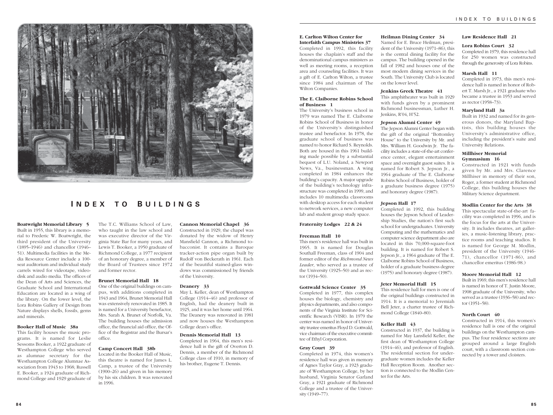

# **I NDEX T O B UILDINGS**

#### **Boatwright Memorial Library 5**

Built in 1955, this library is a memorial to Frederic W. Boatwright, the third president of the University (1895–1946) and chancellor (1946– 51). Multimedia facilities in the Media Resource Center include a 100 seat auditorium and individual study carrels wired for videotape, videodisk and audio media. The offices of the Dean of Arts and Sciences, the Graduate School and International Education are located in a wing of the library. On the lower level, the Lora Robins Gallery of Design from Nature displays shells, fossils, gems and minerals.

#### **Booker Hall of Music 38a**

This facility houses the music programs. It is named for Leslie Sessoms Booker, a 1922 graduate of Westhampton College who served as alumnae secretary for the Westhampton College Alumnae Association from 1943 to 1968; Russell E. Booker, a 1924 graduate of Richmond College and 1929 graduate of The T.C. Williams School of Law, who taught in the law school and was executive director of the Virginia State Bar for many years, and Lewis T. Booker, a 1950 graduate of Richmond College, a 1977 recipient of an honorary degree, a member of the Board of Trustees since 1972 and former rector.

#### **Brunet Memorial Hall 18**

One of the original buildings on campus, with additions completed in 1943 and 1964, Brunet Memorial Hall was extensively renovated in 1985. It is named for a University benefactor, Mrs. Sarah A. Brunet of Norfolk, Va. The building houses the admission office, the financial aid office, the Office of the Registrar and the Bursar's office.

#### **Camp Concert Hall 38b**

Located in the Booker Hall of Music, this theatre is named for James L. Camp, a trustee of the University (1900–26) and given in his memory by his six children. It was renovated in 1996.

**Cannon Memorial Chapel 36** Constructed in 1929, the chapel was donated by the widow of Henry Mansfield Cannon, a Richmond tobacconist. It contains a Baroque tracker-action pipe organ built by Rudolf von Beckerath in 1961. Each of the beautiful stained-glass windows was commissioned by friends of the University.

#### **Deanery 33**

May L. Keller, dean of Westhampton College (1914–46) and professor of English, had the deanery built in 1925, and it was her home until 1964. The Deanery was renovated in 1981 and now houses the Westhampton College dean's office.

# **Dennis Memorial Hall 13**

Completed in 1964, this men's residence hall is the gift of Overton D. Dennis, a member of the Richmond College class of 1910, in memory of his brother, Eugene T. Dennis.

#### **E. Carlton Wilton Center for Interfaith Campus Ministries 37**

Completed in 1992, this facility houses the chaplain's staff and the denominational campus ministers as well as meeting rooms, a reception area and counseling facilities. It was a gift of E. Carlton Wilton, a trustee since 1984 and chairman of The Wilton Companies.

#### **The E. Claiborne Robins School of Business 1**

The University's business school in 1979 was named The E. Claiborne Robins School of Business in honor of the University's distinguished trustee and benefactor. In 1978, the graduate school of business was named to honor Richard S. Reynolds. Both are housed in this 1961 building made possible by a substantial bequest of L.U. Noland, a Newport News, Va., businessman. A wing completed in 1984 enhances the building's capacity. A major upgrade of the building's technology infrastructure was completed in 1999, and includes 10 multimedia classrooms with desktop access for each student to network services, a new computer lab and student group study space.

#### **Fraternity Lodges 22 & 24**

#### **Freeman Hall 10**

This men's residence hall was built in 1965. It is named for Douglas Southall Freeman, class of 1904 and former editor of the *Richmond News Leader*, who served as a trustee of the University (1925–50) and as rector (1934–50).

#### **Gottwald Science Center 35**

Completed in 1977, this complex houses the biology, chemistry and physics departments, and also components of the Virginia Institute for Scientific Research (VISR). In 1979 the center was named in honor of University trustee emeritus Floyd D. Gottwald, vice chairman of the executive committee of Ethyl Corporation.

#### **Gray Court 39**

Completed in 1974, this women's residence hall was given in memory of Agnes Taylor Gray, a 1923 graduate of Westhampton College, by her husband, Virginia Senator Garland Gray, a 1921 graduate of Richmond College and a trustee of the University (1949–77).

#### **Heilman Dining Center 34**

Named for E. Bruce Heilman, president of the University (1971–86), this is the central dining facility for the campus. The building opened in the fall of 1982 and houses one of the most modern dining services in the South. The University Club is located on the lower level.

#### **Jenkins Greek Theatre 41**

This amphitheater was built in 1929 with funds given by a prominent Richmond businessman, Luther H. Jenkins, R'04, H'52.

#### **Jepson Alumni Center 49**

The Jepson Alumni Center began with the gift of the original "Bottomley House" to the University by Mr. and Mrs. William H. Goodwin Jr. The facility includes a state-of-the-art conference center, elegant entertainment space and overnight guest suites. It is named for Robert S. Jepson Jr., a 1964 graduate of The E. Claiborne Robins School of Business, holder of a graduate business degree (1975) and honorary degree (1987).

#### **Jepson Hall 17**

Completed in 1992, this building houses the Jepson School of Leadership Studies, the nation's first such school for undergraduates. University Computing and the mathematics and computer science department also are located in this 70,000-square-foot building. It is named for Robert S. Jepson Jr., a 1964 graduate of The E. Claiborne Robins School of Business, holder of a graduate business degree (1975) and honorary degree (1987).

#### **Jeter Memorial Hall 15**

This residence hall for men is one of the original buildings constructed in 1914. It is a memorial to Jeremiah Bell Jeter, a charter trustee of Richmond College (1840–80).

#### **Keller Hall 43**

Constructed in 1937, the building is named for May Lansfield Keller, the first dean of Westhampton College (1914–46), and professor of English. The residential section for undergraduate women includes the Keller Hall Reception Room. Another section is connected to the Modlin Center for the Arts.

#### **Law Residence Hall 21**

#### **Lora Robins Court 32**

Completed in 1979, this residence hall for 250 women was constructed through the generosity of Lora Robins.

#### **Marsh Hall 11**

Completed in 1973, this men's residence hall is named in honor of Robert T. Marsh Jr., a 1921 graduate who became a trustee in 1953 and served as rector (1958–73).

#### **Maryland Hall 3a**

Built in 1932 and named for its generous donors, the Maryland Baptists, this building houses the University's administrative office, including the president's suite and University Relations.

#### **Millhiser Memorial Gymnasium 16**

Constructed in 1921 with funds given by Mr. and Mrs. Clarence Millhiser in memory of their son, Roger, a former student at Richmond College, this building houses the Military Science department.

#### **Modlin Center for the Arts 38**

This spectacular state-of-the-art facility was completed in 1996, and is the focus for the arts at the University. It includes theatres, art galleries, a music-listening library, practice rooms and teaching studios. It is named for George M. Modlin, president of the University (1946- 71), chancellor (1971-86), and chancellor emeritus (1986-98.)

#### **Moore Memorial Hall 12**

Built in 1969, this men's residence hall is named in honor of T. Justin Moore, 1908 graduate of the University, who served as a trustee (1936–58) and rector (1951–58).

#### **North Court 40**

Constructed in 1914, this women's residence hall is one of the original buildings on the Westhampton campus. The four residence sections are grouped around a large English court, with a classroom section connected by a tower and cloisters.